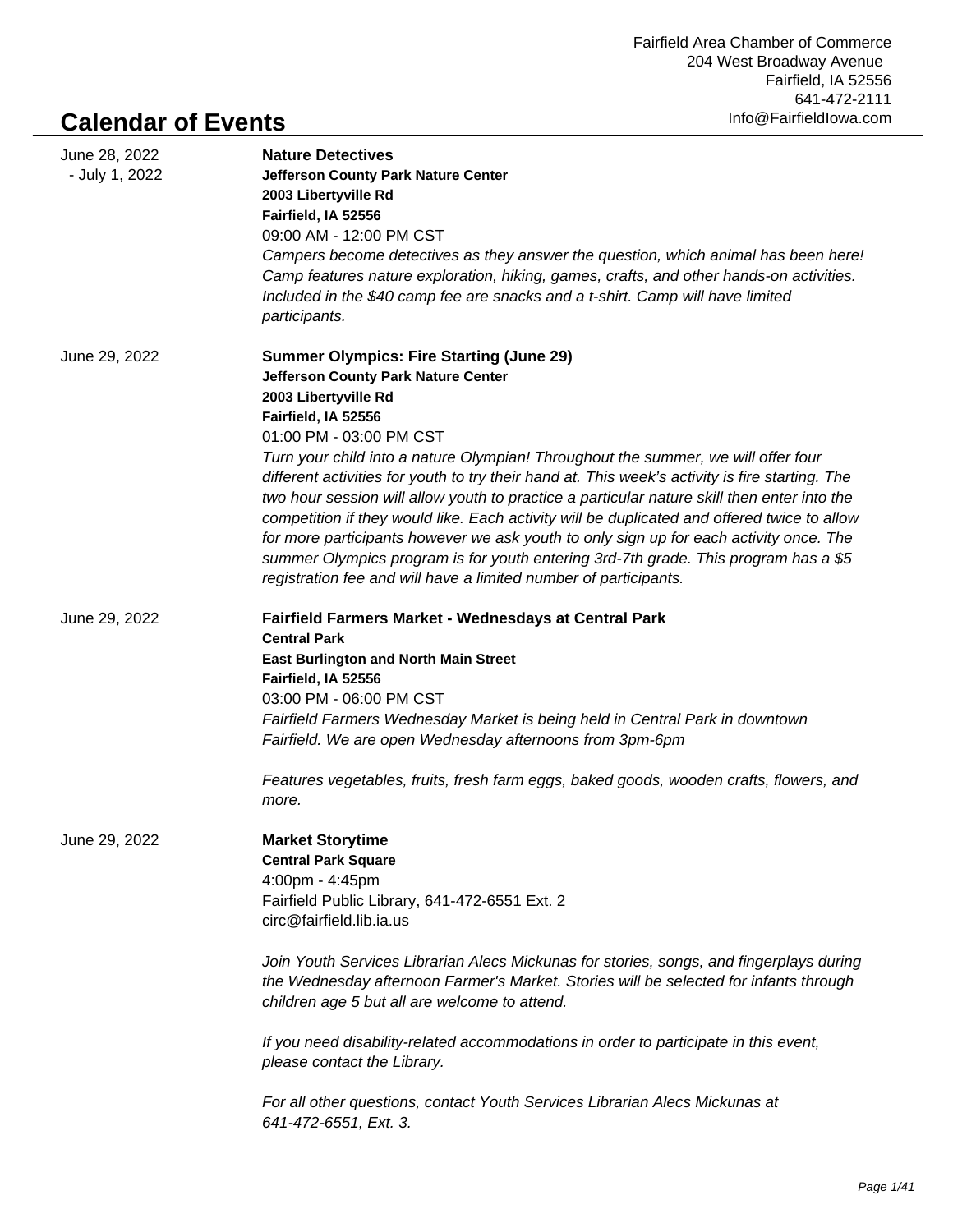## **Calendar of Events**

| June 28, 2022<br>- July 1, 2022 | <b>Nature Detectives</b><br><b>Jefferson County Park Nature Center</b><br>2003 Libertyville Rd<br>Fairfield, IA 52556<br>09:00 AM - 12:00 PM CST<br>Campers become detectives as they answer the question, which animal has been here!<br>Camp features nature exploration, hiking, games, crafts, and other hands-on activities.<br>Included in the \$40 camp fee are snacks and a t-shirt. Camp will have limited<br>participants.                                                                                                                                                                                                                                                                                                                                                                        |
|---------------------------------|-------------------------------------------------------------------------------------------------------------------------------------------------------------------------------------------------------------------------------------------------------------------------------------------------------------------------------------------------------------------------------------------------------------------------------------------------------------------------------------------------------------------------------------------------------------------------------------------------------------------------------------------------------------------------------------------------------------------------------------------------------------------------------------------------------------|
| June 29, 2022                   | <b>Summer Olympics: Fire Starting (June 29)</b><br>Jefferson County Park Nature Center<br>2003 Libertyville Rd<br>Fairfield, IA 52556<br>01:00 PM - 03:00 PM CST<br>Turn your child into a nature Olympian! Throughout the summer, we will offer four<br>different activities for youth to try their hand at. This week's activity is fire starting. The<br>two hour session will allow youth to practice a particular nature skill then enter into the<br>competition if they would like. Each activity will be duplicated and offered twice to allow<br>for more participants however we ask youth to only sign up for each activity once. The<br>summer Olympics program is for youth entering 3rd-7th grade. This program has a \$5<br>registration fee and will have a limited number of participants. |
| June 29, 2022                   | Fairfield Farmers Market - Wednesdays at Central Park<br><b>Central Park</b><br><b>East Burlington and North Main Street</b><br>Fairfield, IA 52556<br>03:00 PM - 06:00 PM CST<br>Fairfield Farmers Wednesday Market is being held in Central Park in downtown<br>Fairfield. We are open Wednesday afternoons from 3pm-6pm<br>Features vegetables, fruits, fresh farm eggs, baked goods, wooden crafts, flowers, and<br>more.                                                                                                                                                                                                                                                                                                                                                                               |
| June 29, 2022                   | <b>Market Storytime</b><br><b>Central Park Square</b><br>4:00pm - 4:45pm<br>Fairfield Public Library, 641-472-6551 Ext. 2<br>circ@fairfield.lib.ia.us<br>Join Youth Services Librarian Alecs Mickunas for stories, songs, and fingerplays during<br>the Wednesday afternoon Farmer's Market. Stories will be selected for infants through<br>children age 5 but all are welcome to attend.<br>If you need disability-related accommodations in order to participate in this event,<br>please contact the Library.<br>For all other questions, contact Youth Services Librarian Alecs Mickunas at<br>641-472-6551, Ext. 3.                                                                                                                                                                                   |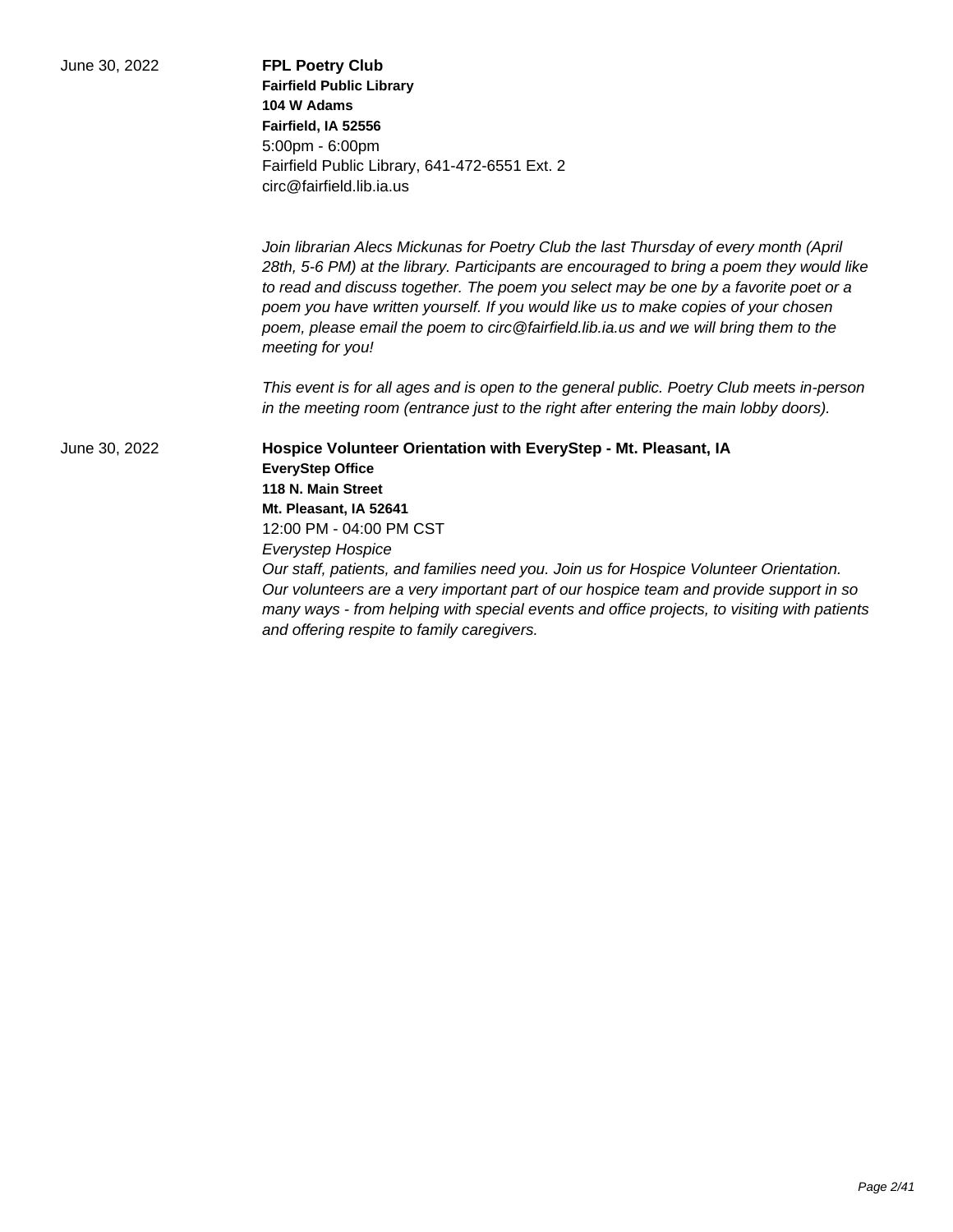| June 30, 2022 | <b>FPL Poetry Club</b><br><b>Fairfield Public Library</b><br>104 W Adams<br>Fairfield, IA 52556<br>5:00pm - 6:00pm<br>Fairfield Public Library, 641-472-6551 Ext. 2<br>circ@fairfield.lib.ia.us                                                                                                                                                                                                                                                                                                                                    |
|---------------|------------------------------------------------------------------------------------------------------------------------------------------------------------------------------------------------------------------------------------------------------------------------------------------------------------------------------------------------------------------------------------------------------------------------------------------------------------------------------------------------------------------------------------|
|               | Join librarian Alecs Mickunas for Poetry Club the last Thursday of every month (April<br>28th, 5-6 PM) at the library. Participants are encouraged to bring a poem they would like<br>to read and discuss together. The poem you select may be one by a favorite poet or a<br>poem you have written yourself. If you would like us to make copies of your chosen<br>poem, please email the poem to circ@fairfield.lib.ia.us and we will bring them to the<br>meeting for you!                                                      |
|               | This event is for all ages and is open to the general public. Poetry Club meets in-person<br>in the meeting room (entrance just to the right after entering the main lobby doors).                                                                                                                                                                                                                                                                                                                                                 |
| June 30, 2022 | Hospice Volunteer Orientation with EveryStep - Mt. Pleasant, IA<br><b>EveryStep Office</b><br>118 N. Main Street<br>Mt. Pleasant, IA 52641<br>12:00 PM - 04:00 PM CST<br><b>Everystep Hospice</b><br>Our staff, patients, and families need you. Join us for Hospice Volunteer Orientation.<br>Our volunteers are a very important part of our hospice team and provide support in so<br>many ways - from helping with special events and office projects, to visiting with patients<br>and offering respite to family caregivers. |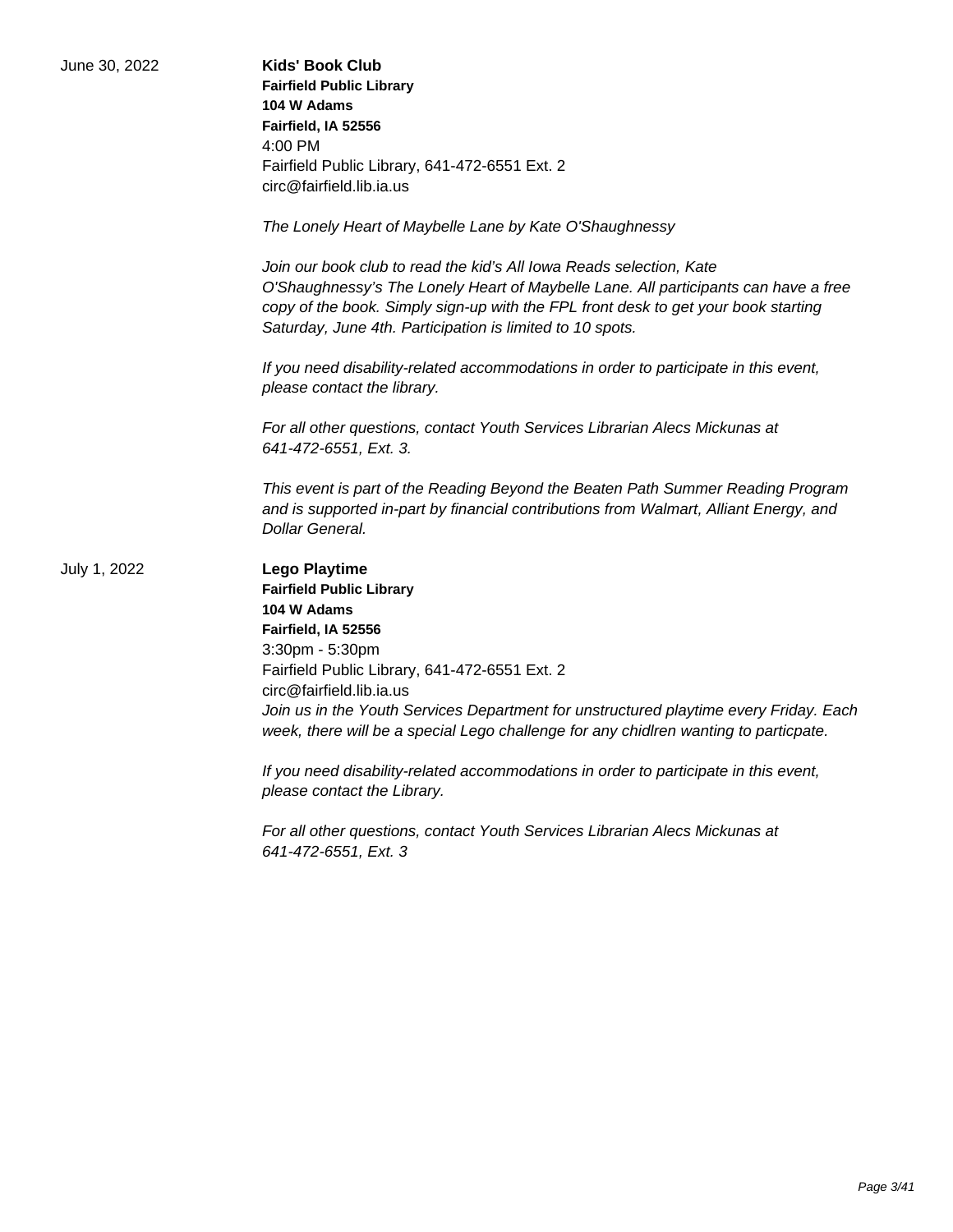| June 30, 2022 | <b>Kids' Book Club</b><br><b>Fairfield Public Library</b><br>104 W Adams<br>Fairfield, IA 52556<br>4:00 PM<br>Fairfield Public Library, 641-472-6551 Ext. 2<br>circ@fairfield.lib.ia.us                                                                                                                                                                                        |
|---------------|--------------------------------------------------------------------------------------------------------------------------------------------------------------------------------------------------------------------------------------------------------------------------------------------------------------------------------------------------------------------------------|
|               | The Lonely Heart of Maybelle Lane by Kate O'Shaughnessy                                                                                                                                                                                                                                                                                                                        |
|               | Join our book club to read the kid's All lowa Reads selection, Kate<br>O'Shaughnessy's The Lonely Heart of Maybelle Lane. All participants can have a free<br>copy of the book. Simply sign-up with the FPL front desk to get your book starting<br>Saturday, June 4th. Participation is limited to 10 spots.                                                                  |
|               | If you need disability-related accommodations in order to participate in this event,<br>please contact the library.                                                                                                                                                                                                                                                            |
|               | For all other questions, contact Youth Services Librarian Alecs Mickunas at<br>641-472-6551, Ext. 3.                                                                                                                                                                                                                                                                           |
|               | This event is part of the Reading Beyond the Beaten Path Summer Reading Program<br>and is supported in-part by financial contributions from Walmart, Alliant Energy, and<br>Dollar General.                                                                                                                                                                                    |
| July 1, 2022  | <b>Lego Playtime</b><br><b>Fairfield Public Library</b><br>104 W Adams<br>Fairfield, IA 52556<br>3:30pm - 5:30pm<br>Fairfield Public Library, 641-472-6551 Ext. 2<br>circ@fairfield.lib.ia.us<br>Join us in the Youth Services Department for unstructured playtime every Friday. Each<br>week, there will be a special Lego challenge for any chidlren wanting to particpate. |
|               | If you need disability-related accommodations in order to participate in this event,<br>please contact the Library.                                                                                                                                                                                                                                                            |
|               | For all other questions, contact Youth Services Librarian Alecs Mickunas at<br>641-472-6551, Ext. 3                                                                                                                                                                                                                                                                            |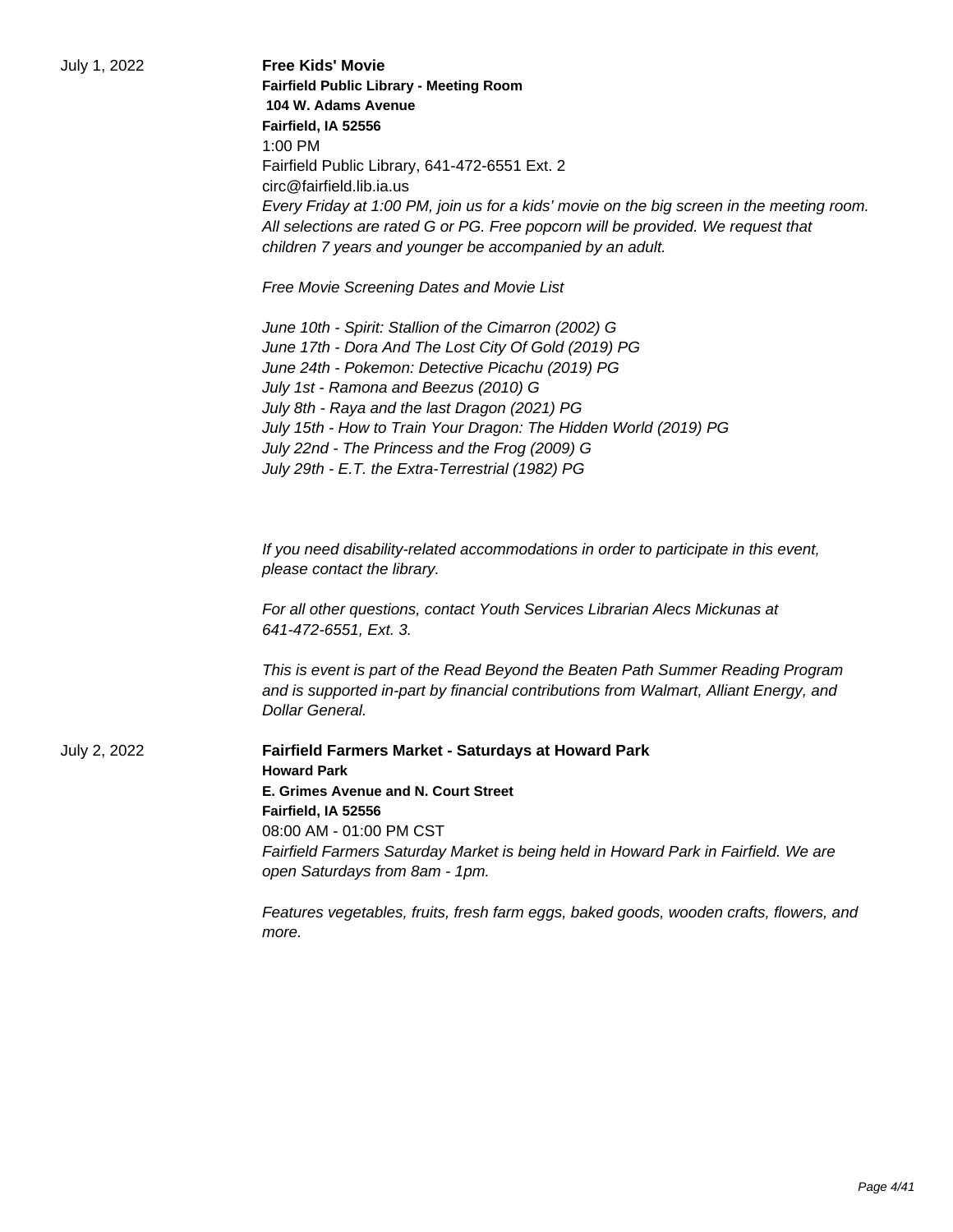|  |  | July 1, 2022 |
|--|--|--------------|
|--|--|--------------|

| July 1, 2022 | <b>Free Kids' Movie</b><br><b>Fairfield Public Library - Meeting Room</b><br>104 W. Adams Avenue<br>Fairfield, IA 52556<br>1:00 PM<br>Fairfield Public Library, 641-472-6551 Ext. 2<br>circ@fairfield.lib.ia.us<br>Every Friday at 1:00 PM, join us for a kids' movie on the big screen in the meeting room.<br>All selections are rated G or PG. Free popcorn will be provided. We request that                                      |
|--------------|---------------------------------------------------------------------------------------------------------------------------------------------------------------------------------------------------------------------------------------------------------------------------------------------------------------------------------------------------------------------------------------------------------------------------------------|
|              | children 7 years and younger be accompanied by an adult.                                                                                                                                                                                                                                                                                                                                                                              |
|              | Free Movie Screening Dates and Movie List                                                                                                                                                                                                                                                                                                                                                                                             |
|              | June 10th - Spirit: Stallion of the Cimarron (2002) G<br>June 17th - Dora And The Lost City Of Gold (2019) PG<br>June 24th - Pokemon: Detective Picachu (2019) PG<br>July 1st - Ramona and Beezus (2010) G<br>July 8th - Raya and the last Dragon (2021) PG<br>July 15th - How to Train Your Dragon: The Hidden World (2019) PG<br>July 22nd - The Princess and the Frog (2009) G<br>July 29th - E.T. the Extra-Terrestrial (1982) PG |
|              | If you need disability-related accommodations in order to participate in this event,<br>please contact the library.                                                                                                                                                                                                                                                                                                                   |
|              | For all other questions, contact Youth Services Librarian Alecs Mickunas at<br>641-472-6551, Ext. 3.                                                                                                                                                                                                                                                                                                                                  |
|              | This is event is part of the Read Beyond the Beaten Path Summer Reading Program<br>and is supported in-part by financial contributions from Walmart, Alliant Energy, and<br>Dollar General.                                                                                                                                                                                                                                           |
| July 2, 2022 | <b>Fairfield Farmers Market - Saturdays at Howard Park</b><br><b>Howard Park</b>                                                                                                                                                                                                                                                                                                                                                      |
|              | E. Grimes Avenue and N. Court Street<br>Fairfield, IA 52556                                                                                                                                                                                                                                                                                                                                                                           |
|              | 08:00 AM - 01:00 PM CST<br>Fairfield Farmers Saturday Market is being held in Howard Park in Fairfield. We are<br>open Saturdays from 8am - 1pm.                                                                                                                                                                                                                                                                                      |
|              | Features vegetables, fruits, fresh farm eggs, baked goods, wooden crafts, flowers, and<br>more.                                                                                                                                                                                                                                                                                                                                       |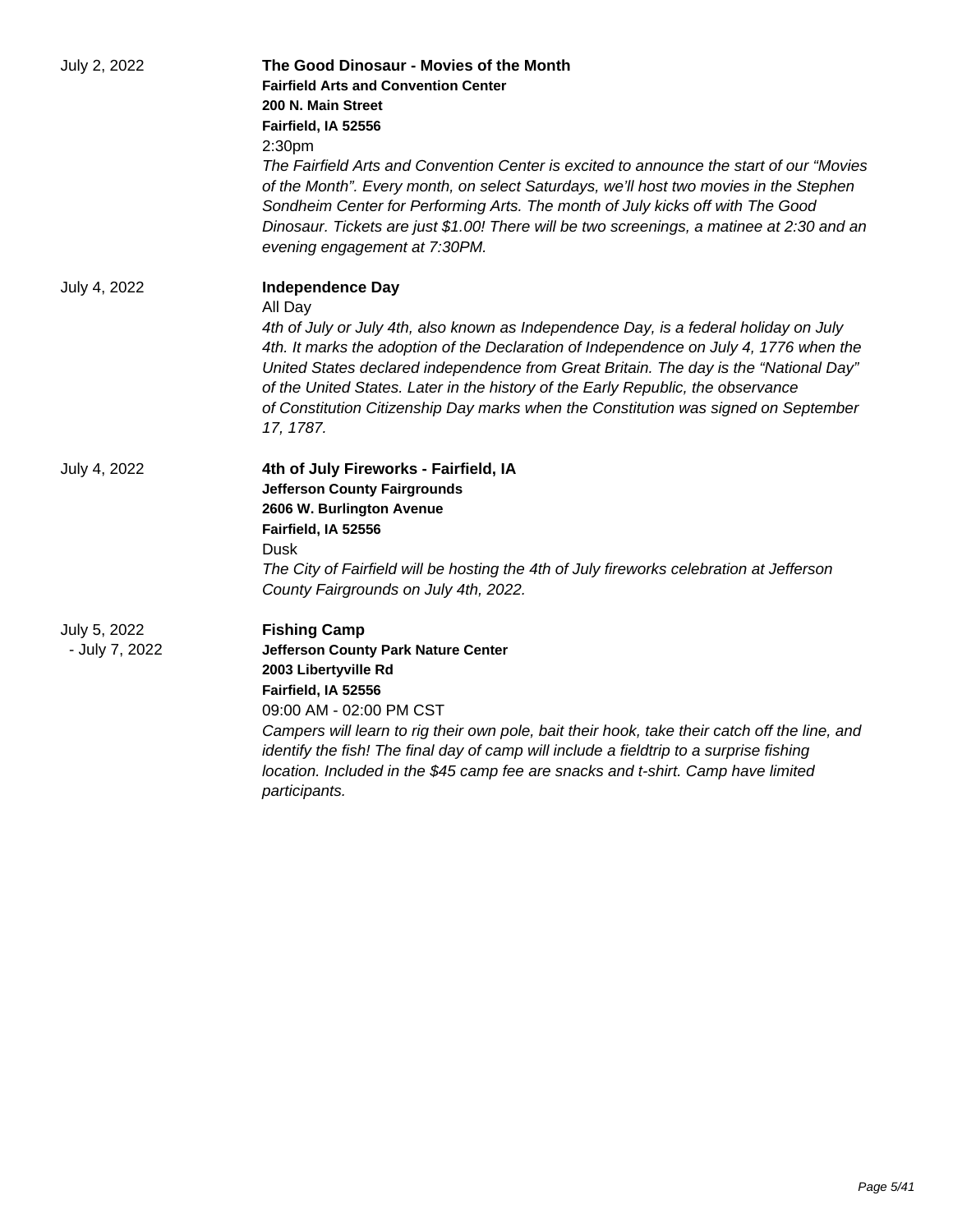| July 2, 2022                   | The Good Dinosaur - Movies of the Month<br><b>Fairfield Arts and Convention Center</b><br>200 N. Main Street<br>Fairfield, IA 52556<br>2:30 <sub>pm</sub><br>The Fairfield Arts and Convention Center is excited to announce the start of our "Movies"<br>of the Month". Every month, on select Saturdays, we'll host two movies in the Stephen<br>Sondheim Center for Performing Arts. The month of July kicks off with The Good<br>Dinosaur. Tickets are just \$1.00! There will be two screenings, a matinee at 2:30 and an<br>evening engagement at 7:30PM. |
|--------------------------------|-----------------------------------------------------------------------------------------------------------------------------------------------------------------------------------------------------------------------------------------------------------------------------------------------------------------------------------------------------------------------------------------------------------------------------------------------------------------------------------------------------------------------------------------------------------------|
| July 4, 2022                   | <b>Independence Day</b><br>All Day<br>4th of July or July 4th, also known as Independence Day, is a federal holiday on July<br>4th. It marks the adoption of the Declaration of Independence on July 4, 1776 when the<br>United States declared independence from Great Britain. The day is the "National Day"<br>of the United States. Later in the history of the Early Republic, the observance<br>of Constitution Citizenship Day marks when the Constitution was signed on September<br>17, 1787.                                                          |
| July 4, 2022                   | 4th of July Fireworks - Fairfield, IA<br><b>Jefferson County Fairgrounds</b><br>2606 W. Burlington Avenue<br>Fairfield, IA 52556<br>Dusk<br>The City of Fairfield will be hosting the 4th of July fireworks celebration at Jefferson<br>County Fairgrounds on July 4th, 2022.                                                                                                                                                                                                                                                                                   |
| July 5, 2022<br>- July 7, 2022 | <b>Fishing Camp</b><br><b>Jefferson County Park Nature Center</b><br>2003 Libertyville Rd<br>Fairfield, IA 52556<br>09:00 AM - 02:00 PM CST<br>Campers will learn to rig their own pole, bait their hook, take their catch off the line, and<br>identify the fish! The final day of camp will include a fieldtrip to a surprise fishing<br>location. Included in the \$45 camp fee are snacks and t-shirt. Camp have limited<br>participants.                                                                                                                   |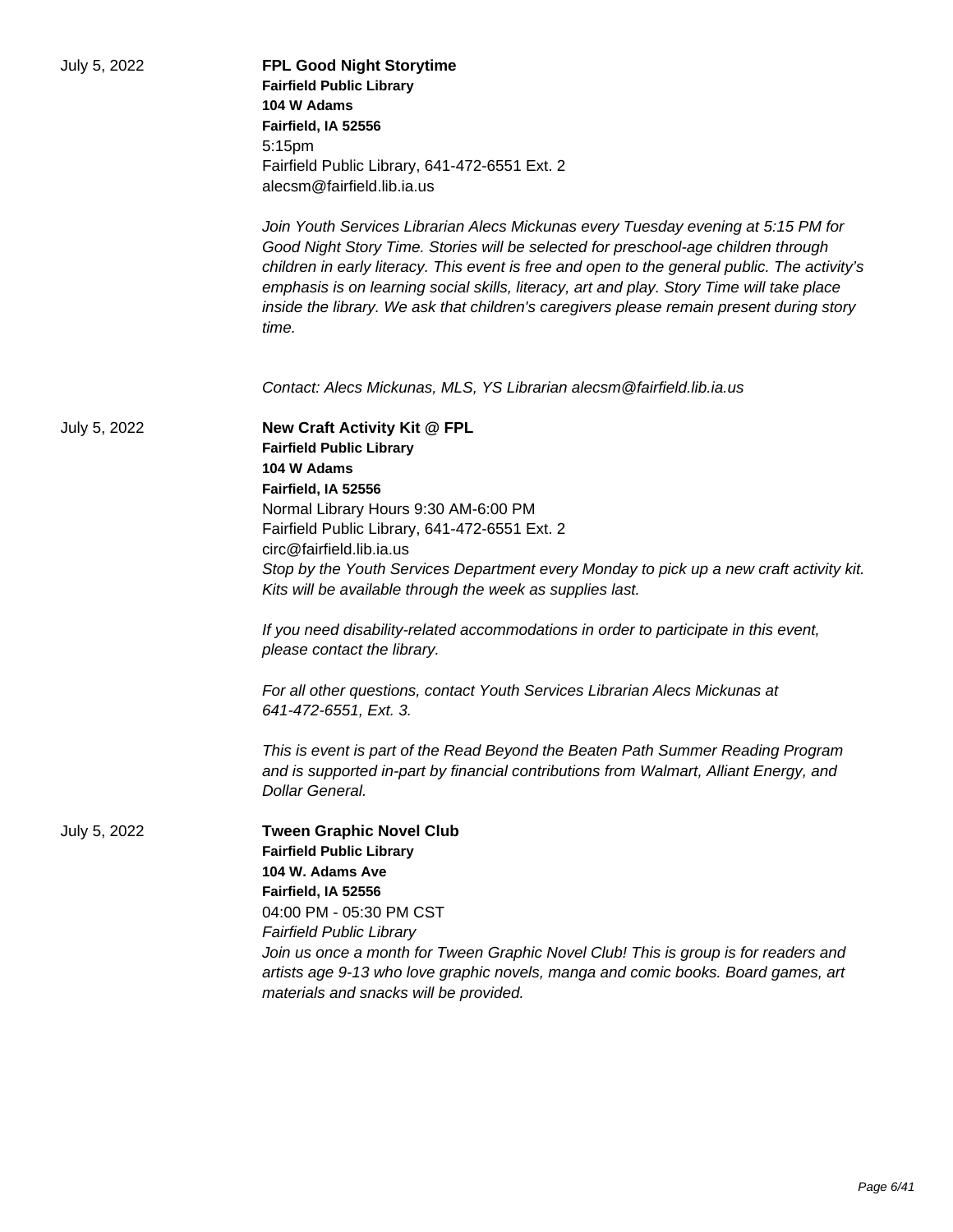| July 5, 2022 | <b>FPL Good Night Storytime</b><br><b>Fairfield Public Library</b><br>104 W Adams<br>Fairfield, IA 52556<br>5:15pm<br>Fairfield Public Library, 641-472-6551 Ext. 2<br>alecsm@fairfield.lib.ia.us<br>Join Youth Services Librarian Alecs Mickunas every Tuesday evening at 5:15 PM for<br>Good Night Story Time. Stories will be selected for preschool-age children through<br>children in early literacy. This event is free and open to the general public. The activity's<br>emphasis is on learning social skills, literacy, art and play. Story Time will take place<br>inside the library. We ask that children's caregivers please remain present during story |
|--------------|------------------------------------------------------------------------------------------------------------------------------------------------------------------------------------------------------------------------------------------------------------------------------------------------------------------------------------------------------------------------------------------------------------------------------------------------------------------------------------------------------------------------------------------------------------------------------------------------------------------------------------------------------------------------|
|              | time.<br>Contact: Alecs Mickunas, MLS, YS Librarian alecsm@fairfield.lib.ia.us                                                                                                                                                                                                                                                                                                                                                                                                                                                                                                                                                                                         |
| July 5, 2022 | New Craft Activity Kit @ FPL<br><b>Fairfield Public Library</b><br>104 W Adams<br>Fairfield, IA 52556<br>Normal Library Hours 9:30 AM-6:00 PM<br>Fairfield Public Library, 641-472-6551 Ext. 2<br>circ@fairfield.lib.ia.us<br>Stop by the Youth Services Department every Monday to pick up a new craft activity kit.<br>Kits will be available through the week as supplies last.<br>If you need disability-related accommodations in order to participate in this event,<br>please contact the library.                                                                                                                                                              |
|              | For all other questions, contact Youth Services Librarian Alecs Mickunas at<br>641-472-6551, Ext. 3.<br>This is event is part of the Read Beyond the Beaten Path Summer Reading Program<br>and is supported in-part by financial contributions from Walmart, Alliant Energy, and<br>Dollar General.                                                                                                                                                                                                                                                                                                                                                                    |
| July 5, 2022 | <b>Tween Graphic Novel Club</b><br><b>Fairfield Public Library</b><br>104 W. Adams Ave<br>Fairfield, IA 52556<br>04:00 PM - 05:30 PM CST<br><b>Fairfield Public Library</b><br>Join us once a month for Tween Graphic Novel Club! This is group is for readers and<br>artists age 9-13 who love graphic novels, manga and comic books. Board games, art<br>materials and snacks will be provided.                                                                                                                                                                                                                                                                      |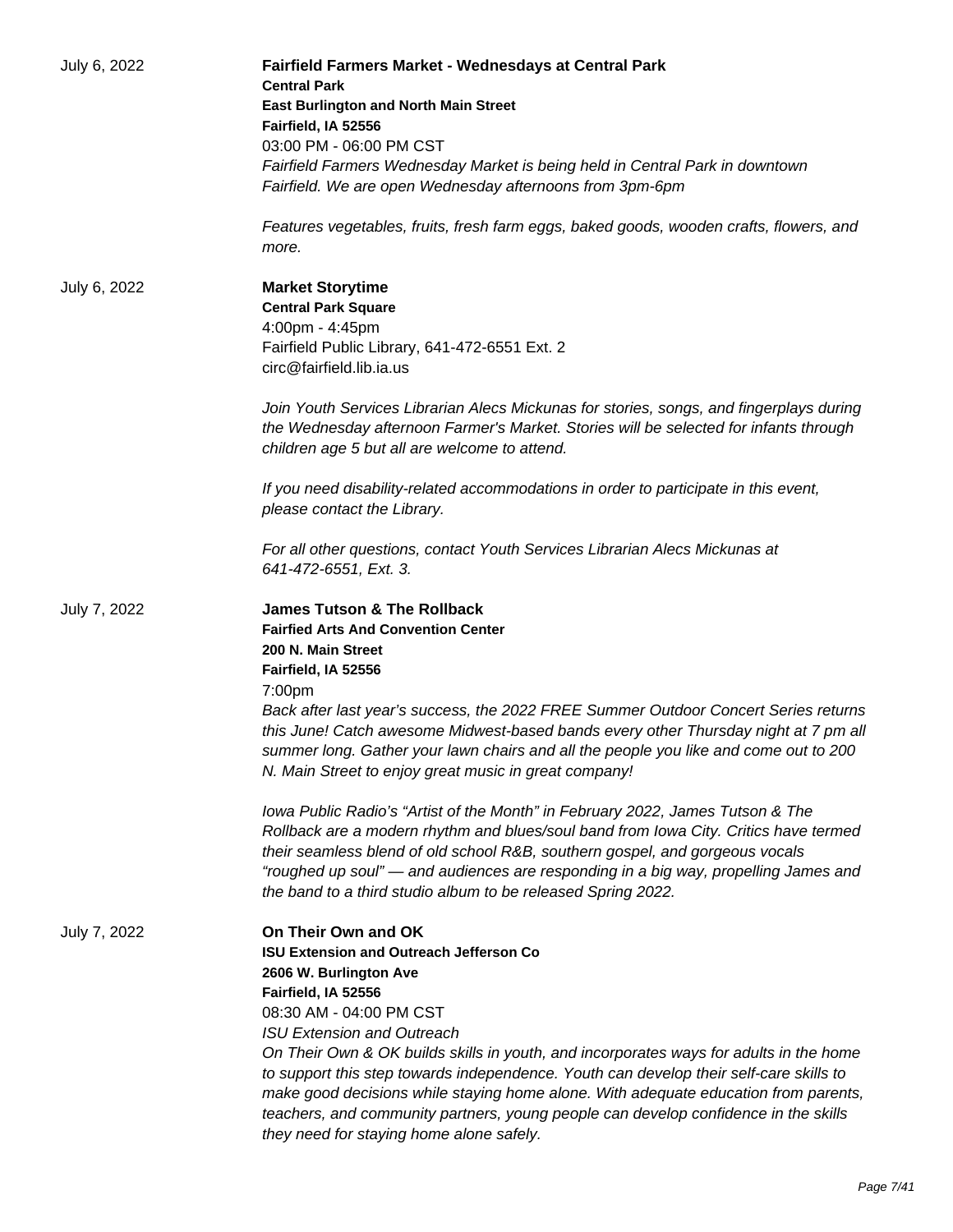| July 6, 2022 | Fairfield Farmers Market - Wednesdays at Central Park<br><b>Central Park</b><br><b>East Burlington and North Main Street</b>                                                                                                                                                                                                |
|--------------|-----------------------------------------------------------------------------------------------------------------------------------------------------------------------------------------------------------------------------------------------------------------------------------------------------------------------------|
|              | Fairfield, IA 52556                                                                                                                                                                                                                                                                                                         |
|              | 03:00 PM - 06:00 PM CST                                                                                                                                                                                                                                                                                                     |
|              | Fairfield Farmers Wednesday Market is being held in Central Park in downtown                                                                                                                                                                                                                                                |
|              | Fairfield. We are open Wednesday afternoons from 3pm-6pm                                                                                                                                                                                                                                                                    |
|              | Features vegetables, fruits, fresh farm eggs, baked goods, wooden crafts, flowers, and<br>more.                                                                                                                                                                                                                             |
| July 6, 2022 | <b>Market Storytime</b>                                                                                                                                                                                                                                                                                                     |
|              | <b>Central Park Square</b>                                                                                                                                                                                                                                                                                                  |
|              | 4:00pm - 4:45pm                                                                                                                                                                                                                                                                                                             |
|              | Fairfield Public Library, 641-472-6551 Ext. 2<br>circ@fairfield.lib.ia.us                                                                                                                                                                                                                                                   |
|              | Join Youth Services Librarian Alecs Mickunas for stories, songs, and fingerplays during<br>the Wednesday afternoon Farmer's Market. Stories will be selected for infants through<br>children age 5 but all are welcome to attend.                                                                                           |
|              | If you need disability-related accommodations in order to participate in this event,<br>please contact the Library.                                                                                                                                                                                                         |
|              | For all other questions, contact Youth Services Librarian Alecs Mickunas at<br>641-472-6551, Ext. 3.                                                                                                                                                                                                                        |
| July 7, 2022 | <b>James Tutson &amp; The Rollback</b>                                                                                                                                                                                                                                                                                      |
|              | <b>Fairfied Arts And Convention Center</b>                                                                                                                                                                                                                                                                                  |
|              | 200 N. Main Street                                                                                                                                                                                                                                                                                                          |
|              | Fairfield, IA 52556                                                                                                                                                                                                                                                                                                         |
|              | 7:00pm                                                                                                                                                                                                                                                                                                                      |
|              | Back after last year's success, the 2022 FREE Summer Outdoor Concert Series returns<br>this June! Catch awesome Midwest-based bands every other Thursday night at 7 pm all<br>summer long. Gather your lawn chairs and all the people you like and come out to 200<br>N. Main Street to enjoy great music in great company! |
|              | Iowa Public Radio's "Artist of the Month" in February 2022, James Tutson & The                                                                                                                                                                                                                                              |
|              | Rollback are a modern rhythm and blues/soul band from lowa City. Critics have termed                                                                                                                                                                                                                                        |
|              | their seamless blend of old school R&B, southern gospel, and gorgeous vocals                                                                                                                                                                                                                                                |
|              | "roughed up soul" — and audiences are responding in a big way, propelling James and<br>the band to a third studio album to be released Spring 2022.                                                                                                                                                                         |
| July 7, 2022 | On Their Own and OK                                                                                                                                                                                                                                                                                                         |
|              | <b>ISU Extension and Outreach Jefferson Co</b>                                                                                                                                                                                                                                                                              |
|              | 2606 W. Burlington Ave                                                                                                                                                                                                                                                                                                      |
|              | Fairfield, IA 52556                                                                                                                                                                                                                                                                                                         |
|              | 08:30 AM - 04:00 PM CST                                                                                                                                                                                                                                                                                                     |
|              | <b>ISU Extension and Outreach</b>                                                                                                                                                                                                                                                                                           |
|              | On Their Own & OK builds skills in youth, and incorporates ways for adults in the home                                                                                                                                                                                                                                      |
|              | to support this step towards independence. Youth can develop their self-care skills to<br>make good decisions while staying home alone. With adequate education from parents,<br>teachers, and community partners, young people can develop confidence in the skills                                                        |
|              | they need for staying home alone safely.                                                                                                                                                                                                                                                                                    |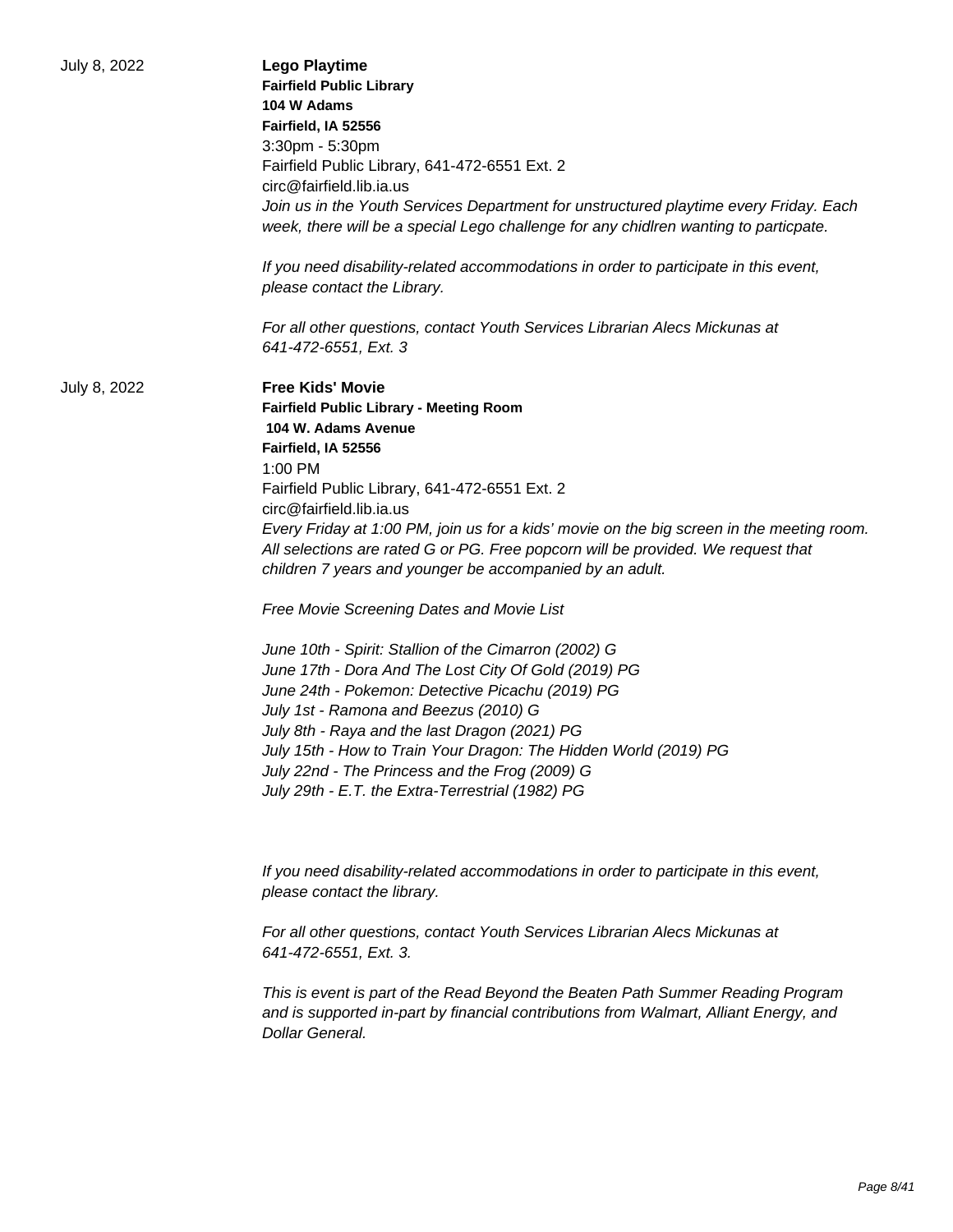| July 8, 2022 | <b>Lego Playtime</b><br><b>Fairfield Public Library</b><br>104 W Adams<br>Fairfield, IA 52556<br>3:30pm - 5:30pm<br>Fairfield Public Library, 641-472-6551 Ext. 2<br>circ@fairfield.lib.ia.us<br>Join us in the Youth Services Department for unstructured playtime every Friday. Each<br>week, there will be a special Lego challenge for any chidlren wanting to particpate.<br>If you need disability-related accommodations in order to participate in this event,<br>please contact the Library.                                                                                                                                                                                                                                                                                                                                                                                                                                              |
|--------------|----------------------------------------------------------------------------------------------------------------------------------------------------------------------------------------------------------------------------------------------------------------------------------------------------------------------------------------------------------------------------------------------------------------------------------------------------------------------------------------------------------------------------------------------------------------------------------------------------------------------------------------------------------------------------------------------------------------------------------------------------------------------------------------------------------------------------------------------------------------------------------------------------------------------------------------------------|
|              | For all other questions, contact Youth Services Librarian Alecs Mickunas at<br>641-472-6551, Ext. 3                                                                                                                                                                                                                                                                                                                                                                                                                                                                                                                                                                                                                                                                                                                                                                                                                                                |
| July 8, 2022 | <b>Free Kids' Movie</b><br><b>Fairfield Public Library - Meeting Room</b><br>104 W. Adams Avenue<br>Fairfield, IA 52556<br>1:00 PM<br>Fairfield Public Library, 641-472-6551 Ext. 2<br>circ@fairfield.lib.ia.us<br>Every Friday at 1:00 PM, join us for a kids' movie on the big screen in the meeting room.<br>All selections are rated G or PG. Free popcorn will be provided. We request that<br>children 7 years and younger be accompanied by an adult.<br>Free Movie Screening Dates and Movie List<br>June 10th - Spirit: Stallion of the Cimarron (2002) G<br>June 17th - Dora And The Lost City Of Gold (2019) PG<br>June 24th - Pokemon: Detective Picachu (2019) PG<br>July 1st - Ramona and Beezus (2010) G<br>July 8th - Raya and the last Dragon (2021) PG<br>July 15th - How to Train Your Dragon: The Hidden World (2019) PG<br>July 22nd - The Princess and the Frog (2009) G<br>July 29th - E.T. the Extra-Terrestrial (1982) PG |
|              | If you need disability-related accommodations in order to participate in this event,<br>please contact the library.<br>For all other questions, contact Youth Services Librarian Alecs Mickunas at                                                                                                                                                                                                                                                                                                                                                                                                                                                                                                                                                                                                                                                                                                                                                 |
|              | 641-472-6551, Ext. 3.<br>This is event is part of the Read Beyond the Beaten Path Summer Reading Program<br>and is supported in-part by financial contributions from Walmart, Alliant Energy, and<br>Dollar General.                                                                                                                                                                                                                                                                                                                                                                                                                                                                                                                                                                                                                                                                                                                               |
|              |                                                                                                                                                                                                                                                                                                                                                                                                                                                                                                                                                                                                                                                                                                                                                                                                                                                                                                                                                    |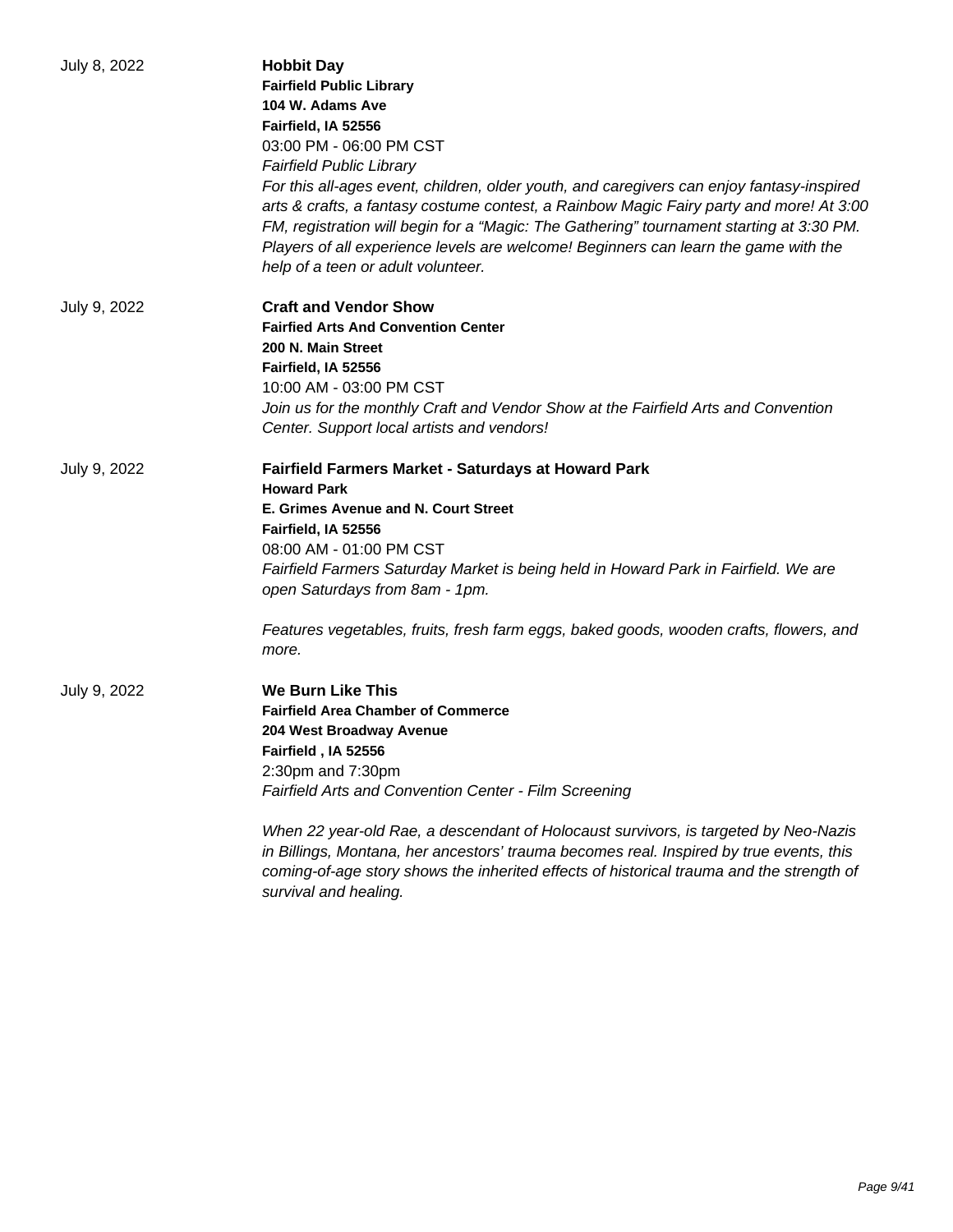| July 8, 2022 | <b>Hobbit Day</b><br><b>Fairfield Public Library</b><br>104 W. Adams Ave<br>Fairfield, IA 52556<br>03:00 PM - 06:00 PM CST<br><b>Fairfield Public Library</b><br>For this all-ages event, children, older youth, and caregivers can enjoy fantasy-inspired<br>arts & crafts, a fantasy costume contest, a Rainbow Magic Fairy party and more! At 3:00<br>FM, registration will begin for a "Magic: The Gathering" tournament starting at 3:30 PM.<br>Players of all experience levels are welcome! Beginners can learn the game with the<br>help of a teen or adult volunteer. |
|--------------|--------------------------------------------------------------------------------------------------------------------------------------------------------------------------------------------------------------------------------------------------------------------------------------------------------------------------------------------------------------------------------------------------------------------------------------------------------------------------------------------------------------------------------------------------------------------------------|
| July 9, 2022 | <b>Craft and Vendor Show</b><br><b>Fairfied Arts And Convention Center</b><br>200 N. Main Street<br>Fairfield, IA 52556<br>10:00 AM - 03:00 PM CST<br>Join us for the monthly Craft and Vendor Show at the Fairfield Arts and Convention<br>Center. Support local artists and vendors!                                                                                                                                                                                                                                                                                         |
| July 9, 2022 | <b>Fairfield Farmers Market - Saturdays at Howard Park</b><br><b>Howard Park</b><br>E. Grimes Avenue and N. Court Street<br>Fairfield, IA 52556<br>08:00 AM - 01:00 PM CST<br>Fairfield Farmers Saturday Market is being held in Howard Park in Fairfield. We are<br>open Saturdays from 8am - 1pm.<br>Features vegetables, fruits, fresh farm eggs, baked goods, wooden crafts, flowers, and<br>more.                                                                                                                                                                         |
| July 9, 2022 | <b>We Burn Like This</b><br><b>Fairfield Area Chamber of Commerce</b><br>204 West Broadway Avenue<br>Fairfield, IA 52556<br>2:30pm and 7:30pm<br>Fairfield Arts and Convention Center - Film Screening<br>When 22 year-old Rae, a descendant of Holocaust survivors, is targeted by Neo-Nazis<br>in Billings, Montana, her ancestors' trauma becomes real. Inspired by true events, this<br>coming-of-age story shows the inherited effects of historical trauma and the strength of<br>survival and healing.                                                                  |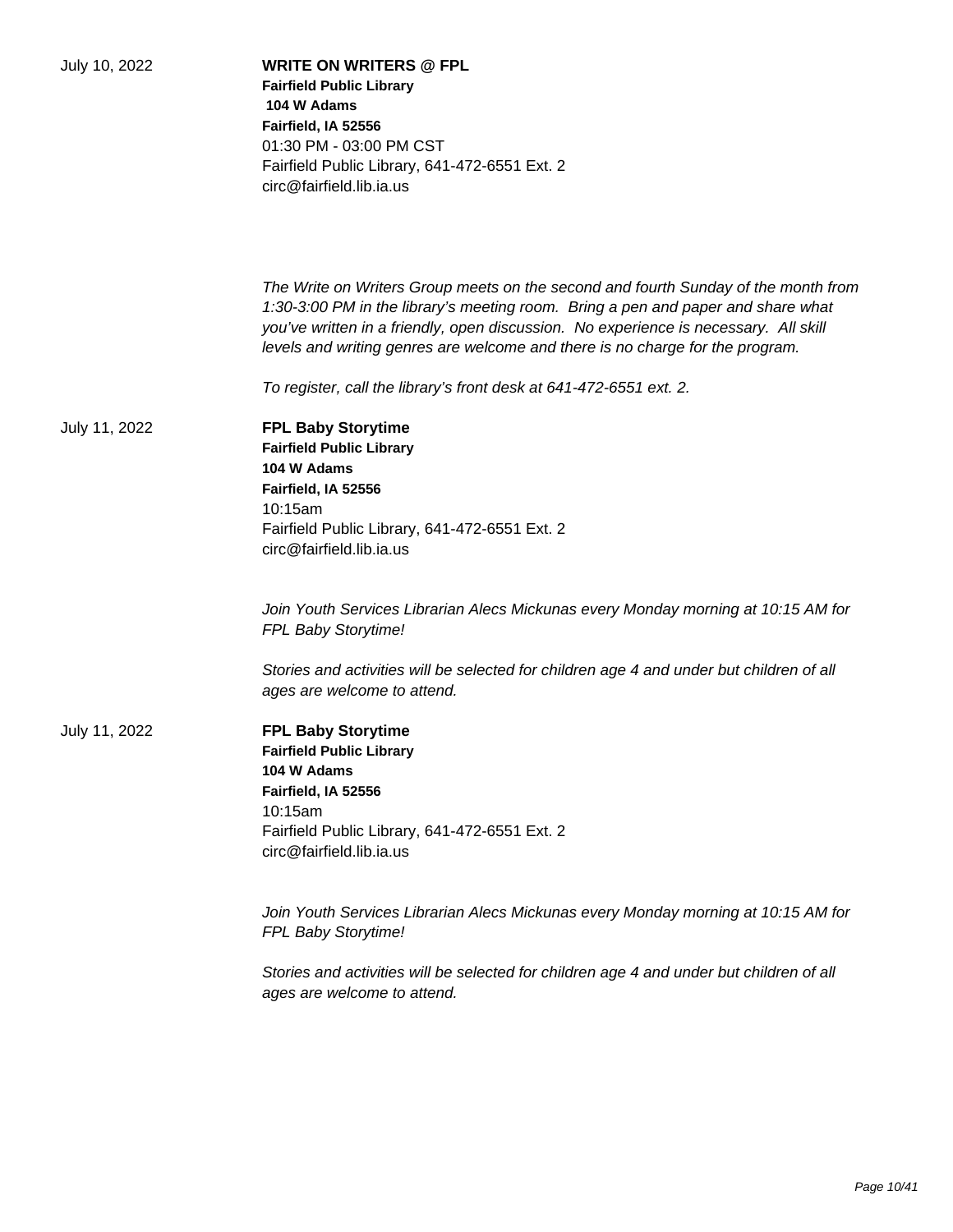| July 10, 2022 | <b>WRITE ON WRITERS @ FPL</b><br><b>Fairfield Public Library</b><br>104 W Adams<br>Fairfield, IA 52556<br>01:30 PM - 03:00 PM CST<br>Fairfield Public Library, 641-472-6551 Ext. 2<br>circ@fairfield.lib.ia.us                                                                                                                                  |
|---------------|-------------------------------------------------------------------------------------------------------------------------------------------------------------------------------------------------------------------------------------------------------------------------------------------------------------------------------------------------|
|               | The Write on Writers Group meets on the second and fourth Sunday of the month from<br>1:30-3:00 PM in the library's meeting room. Bring a pen and paper and share what<br>you've written in a friendly, open discussion. No experience is necessary. All skill<br>levels and writing genres are welcome and there is no charge for the program. |
|               | To register, call the library's front desk at 641-472-6551 ext. 2.                                                                                                                                                                                                                                                                              |
| July 11, 2022 | <b>FPL Baby Storytime</b><br><b>Fairfield Public Library</b><br>104 W Adams<br>Fairfield, IA 52556<br>10:15am<br>Fairfield Public Library, 641-472-6551 Ext. 2<br>circ@fairfield.lib.ia.us                                                                                                                                                      |
|               | Join Youth Services Librarian Alecs Mickunas every Monday morning at 10:15 AM for<br>FPL Baby Storytime!                                                                                                                                                                                                                                        |
|               | Stories and activities will be selected for children age 4 and under but children of all<br>ages are welcome to attend.                                                                                                                                                                                                                         |
| July 11, 2022 | <b>FPL Baby Storytime</b><br><b>Fairfield Public Library</b><br>104 W Adams<br>Fairfield, IA 52556<br>10:15am<br>Fairfield Public Library, 641-472-6551 Ext. 2<br>circ@fairfield.lib.ia.us                                                                                                                                                      |
|               | Join Youth Services Librarian Alecs Mickunas every Monday morning at 10:15 AM for<br>FPL Baby Storytime!                                                                                                                                                                                                                                        |
|               | Stories and activities will be selected for children age 4 and under but children of all<br>ages are welcome to attend.                                                                                                                                                                                                                         |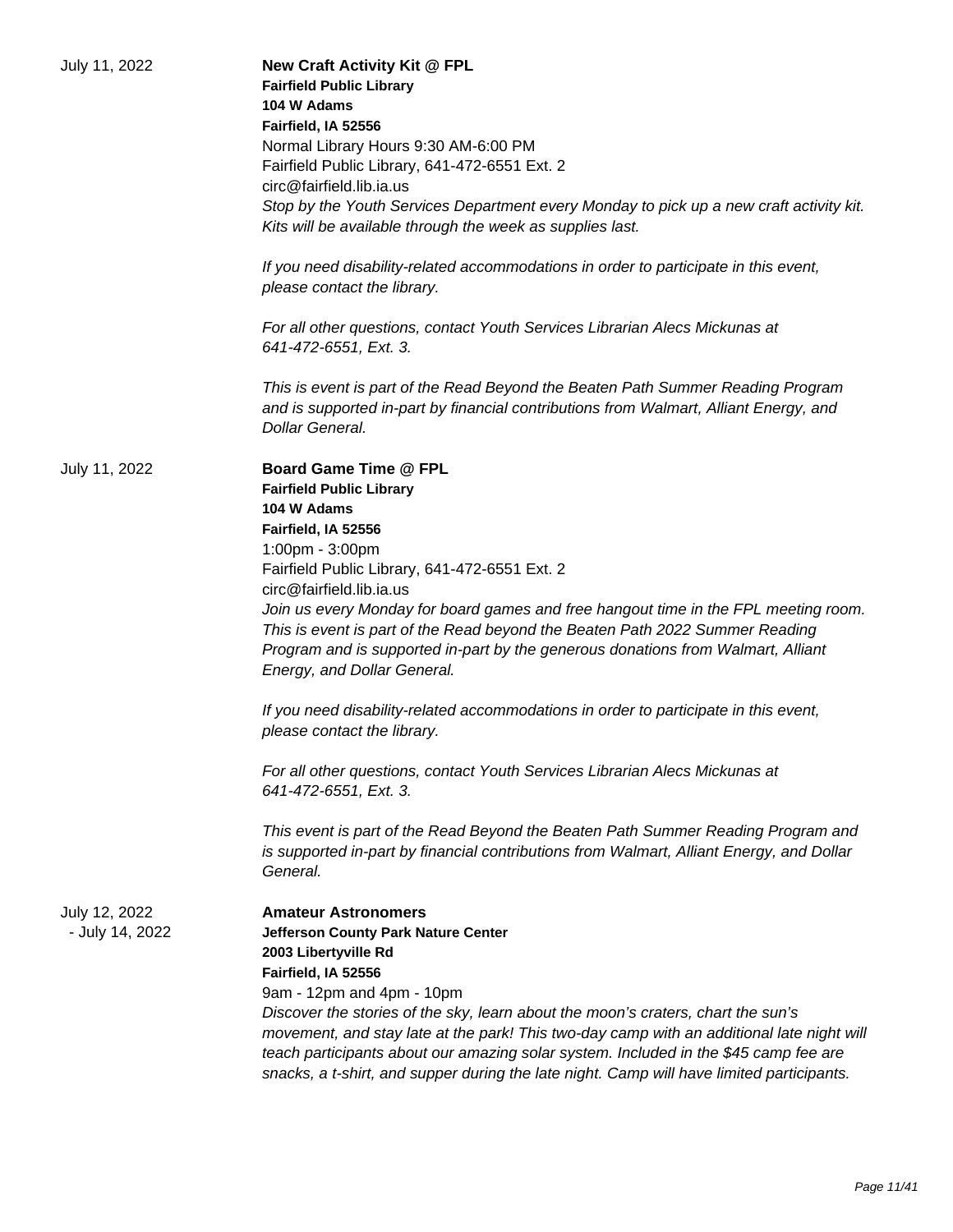| July 11, 2022                    | New Craft Activity Kit @ FPL<br><b>Fairfield Public Library</b><br>104 W Adams<br>Fairfield, IA 52556<br>Normal Library Hours 9:30 AM-6:00 PM<br>Fairfield Public Library, 641-472-6551 Ext. 2<br>circ@fairfield.lib.ia.us<br>Stop by the Youth Services Department every Monday to pick up a new craft activity kit.<br>Kits will be available through the week as supplies last.<br>If you need disability-related accommodations in order to participate in this event,<br>please contact the library.<br>For all other questions, contact Youth Services Librarian Alecs Mickunas at<br>641-472-6551, Ext. 3.                                                                                                                                                                                                                                                                                                          |
|----------------------------------|----------------------------------------------------------------------------------------------------------------------------------------------------------------------------------------------------------------------------------------------------------------------------------------------------------------------------------------------------------------------------------------------------------------------------------------------------------------------------------------------------------------------------------------------------------------------------------------------------------------------------------------------------------------------------------------------------------------------------------------------------------------------------------------------------------------------------------------------------------------------------------------------------------------------------|
|                                  | This is event is part of the Read Beyond the Beaten Path Summer Reading Program<br>and is supported in-part by financial contributions from Walmart, Alliant Energy, and<br>Dollar General.                                                                                                                                                                                                                                                                                                                                                                                                                                                                                                                                                                                                                                                                                                                                |
| July 11, 2022                    | <b>Board Game Time @ FPL</b><br><b>Fairfield Public Library</b><br>104 W Adams<br>Fairfield, IA 52556<br>1:00pm - 3:00pm<br>Fairfield Public Library, 641-472-6551 Ext. 2<br>circ@fairfield.lib.ia.us<br>Join us every Monday for board games and free hangout time in the FPL meeting room.<br>This is event is part of the Read beyond the Beaten Path 2022 Summer Reading<br>Program and is supported in-part by the generous donations from Walmart, Alliant<br>Energy, and Dollar General.<br>If you need disability-related accommodations in order to participate in this event,<br>please contact the library.<br>For all other questions, contact Youth Services Librarian Alecs Mickunas at<br>641-472-6551, Ext. 3.<br>This event is part of the Read Beyond the Beaten Path Summer Reading Program and<br>is supported in-part by financial contributions from Walmart, Alliant Energy, and Dollar<br>General. |
| July 12, 2022<br>- July 14, 2022 | <b>Amateur Astronomers</b><br>Jefferson County Park Nature Center<br>2003 Libertyville Rd<br>Fairfield, IA 52556<br>9am - 12pm and 4pm - 10pm<br>Discover the stories of the sky, learn about the moon's craters, chart the sun's<br>movement, and stay late at the park! This two-day camp with an additional late night will<br>teach participants about our amazing solar system. Included in the \$45 camp fee are<br>snacks, a t-shirt, and supper during the late night. Camp will have limited participants.                                                                                                                                                                                                                                                                                                                                                                                                        |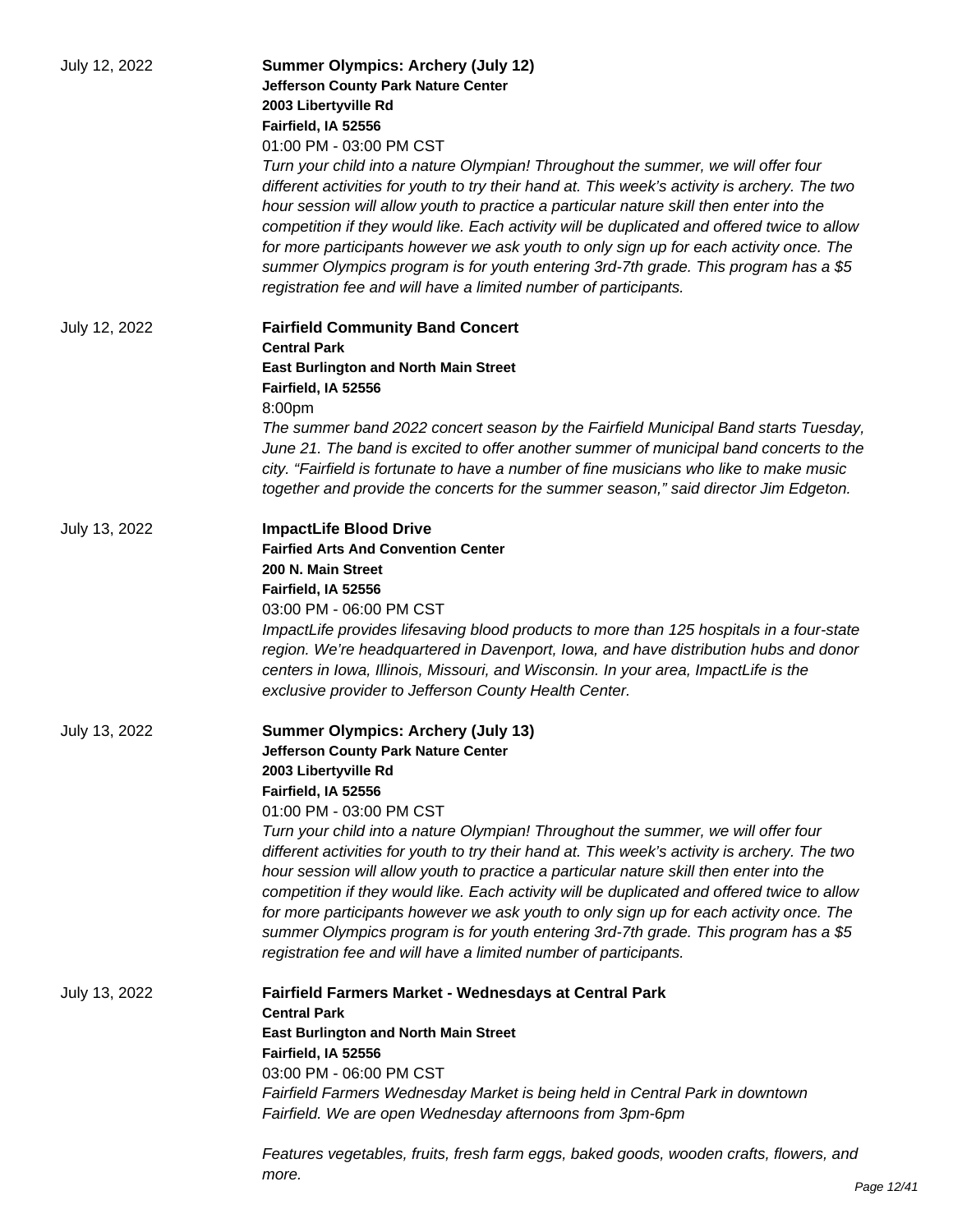| July 12, 2022 | <b>Summer Olympics: Archery (July 12)</b><br><b>Jefferson County Park Nature Center</b><br>2003 Libertyville Rd<br>Fairfield, IA 52556<br>01:00 PM - 03:00 PM CST                                                                                                                                                                                                                                                                                                                                                                                                                                                                 |
|---------------|-----------------------------------------------------------------------------------------------------------------------------------------------------------------------------------------------------------------------------------------------------------------------------------------------------------------------------------------------------------------------------------------------------------------------------------------------------------------------------------------------------------------------------------------------------------------------------------------------------------------------------------|
|               | Turn your child into a nature Olympian! Throughout the summer, we will offer four<br>different activities for youth to try their hand at. This week's activity is archery. The two<br>hour session will allow youth to practice a particular nature skill then enter into the<br>competition if they would like. Each activity will be duplicated and offered twice to allow<br>for more participants however we ask youth to only sign up for each activity once. The<br>summer Olympics program is for youth entering 3rd-7th grade. This program has a \$5<br>registration fee and will have a limited number of participants. |
| July 12, 2022 | <b>Fairfield Community Band Concert</b><br><b>Central Park</b><br><b>East Burlington and North Main Street</b><br>Fairfield, IA 52556                                                                                                                                                                                                                                                                                                                                                                                                                                                                                             |
|               | 8:00pm<br>The summer band 2022 concert season by the Fairfield Municipal Band starts Tuesday,<br>June 21. The band is excited to offer another summer of municipal band concerts to the<br>city. "Fairfield is fortunate to have a number of fine musicians who like to make music<br>together and provide the concerts for the summer season," said director Jim Edgeton.                                                                                                                                                                                                                                                        |
| July 13, 2022 | <b>ImpactLife Blood Drive</b><br><b>Fairfied Arts And Convention Center</b><br>200 N. Main Street<br>Fairfield, IA 52556<br>03:00 PM - 06:00 PM CST                                                                                                                                                                                                                                                                                                                                                                                                                                                                               |
|               | ImpactLife provides lifesaving blood products to more than 125 hospitals in a four-state<br>region. We're headquartered in Davenport, Iowa, and have distribution hubs and donor<br>centers in Iowa, Illinois, Missouri, and Wisconsin. In your area, ImpactLife is the<br>exclusive provider to Jefferson County Health Center.                                                                                                                                                                                                                                                                                                  |
| July 13, 2022 | <b>Summer Olympics: Archery (July 13)</b><br>Jefferson County Park Nature Center<br>2003 Libertyville Rd<br>Fairfield, IA 52556<br>01:00 PM - 03:00 PM CST<br>Turn your child into a nature Olympian! Throughout the summer, we will offer four                                                                                                                                                                                                                                                                                                                                                                                   |
|               | different activities for youth to try their hand at. This week's activity is archery. The two<br>hour session will allow youth to practice a particular nature skill then enter into the<br>competition if they would like. Each activity will be duplicated and offered twice to allow<br>for more participants however we ask youth to only sign up for each activity once. The<br>summer Olympics program is for youth entering 3rd-7th grade. This program has a \$5<br>registration fee and will have a limited number of participants.                                                                                      |
| July 13, 2022 | Fairfield Farmers Market - Wednesdays at Central Park<br><b>Central Park</b>                                                                                                                                                                                                                                                                                                                                                                                                                                                                                                                                                      |
|               | <b>East Burlington and North Main Street</b><br>Fairfield, IA 52556<br>03:00 PM - 06:00 PM CST<br>Fairfield Farmers Wednesday Market is being held in Central Park in downtown<br>Fairfield. We are open Wednesday afternoons from 3pm-6pm                                                                                                                                                                                                                                                                                                                                                                                        |
|               | Features vegetables, fruits, fresh farm eggs, baked goods, wooden crafts, flowers, and<br>more.                                                                                                                                                                                                                                                                                                                                                                                                                                                                                                                                   |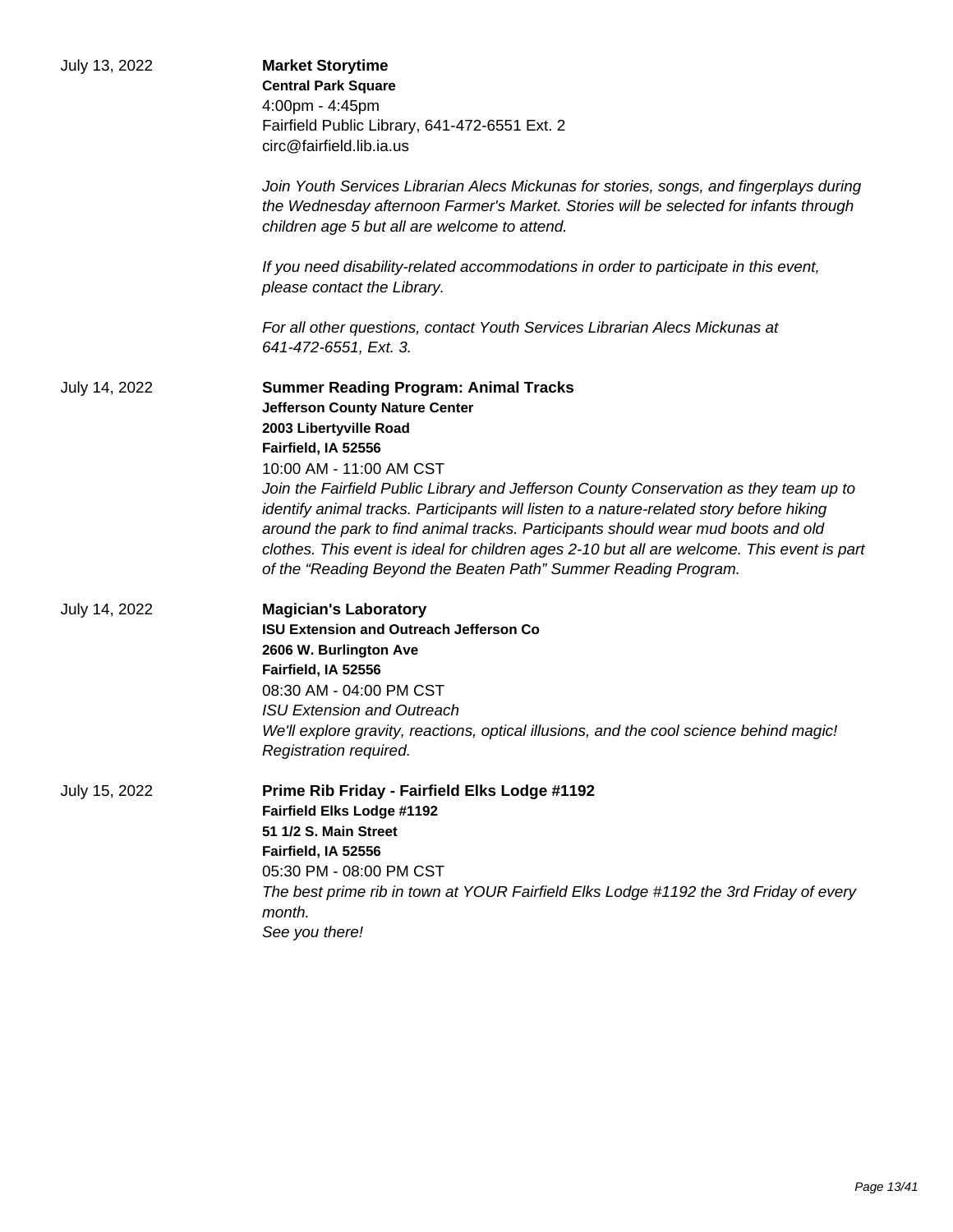| July 13, 2022 | <b>Market Storytime</b><br><b>Central Park Square</b><br>4:00pm - 4:45pm<br>Fairfield Public Library, 641-472-6551 Ext. 2<br>circ@fairfield.lib.ia.us<br>Join Youth Services Librarian Alecs Mickunas for stories, songs, and fingerplays during<br>the Wednesday afternoon Farmer's Market. Stories will be selected for infants through                                                                                                                                                                                                                                                                      |
|---------------|----------------------------------------------------------------------------------------------------------------------------------------------------------------------------------------------------------------------------------------------------------------------------------------------------------------------------------------------------------------------------------------------------------------------------------------------------------------------------------------------------------------------------------------------------------------------------------------------------------------|
|               | children age 5 but all are welcome to attend.<br>If you need disability-related accommodations in order to participate in this event,<br>please contact the Library.                                                                                                                                                                                                                                                                                                                                                                                                                                           |
|               | For all other questions, contact Youth Services Librarian Alecs Mickunas at<br>641-472-6551, Ext. 3.                                                                                                                                                                                                                                                                                                                                                                                                                                                                                                           |
| July 14, 2022 | <b>Summer Reading Program: Animal Tracks</b><br><b>Jefferson County Nature Center</b><br>2003 Libertyville Road<br>Fairfield, IA 52556<br>10:00 AM - 11:00 AM CST<br>Join the Fairfield Public Library and Jefferson County Conservation as they team up to<br>identify animal tracks. Participants will listen to a nature-related story before hiking<br>around the park to find animal tracks. Participants should wear mud boots and old<br>clothes. This event is ideal for children ages 2-10 but all are welcome. This event is part<br>of the "Reading Beyond the Beaten Path" Summer Reading Program. |
| July 14, 2022 | <b>Magician's Laboratory</b><br><b>ISU Extension and Outreach Jefferson Co</b><br>2606 W. Burlington Ave<br>Fairfield, IA 52556<br>08:30 AM - 04:00 PM CST<br><b>ISU Extension and Outreach</b><br>We'll explore gravity, reactions, optical illusions, and the cool science behind magic!<br>Registration required.                                                                                                                                                                                                                                                                                           |
| July 15, 2022 | Prime Rib Friday - Fairfield Elks Lodge #1192<br>Fairfield Elks Lodge #1192<br>51 1/2 S. Main Street<br>Fairfield, IA 52556<br>05:30 PM - 08:00 PM CST<br>The best prime rib in town at YOUR Fairfield Elks Lodge #1192 the 3rd Friday of every<br>month.<br>See you there!                                                                                                                                                                                                                                                                                                                                    |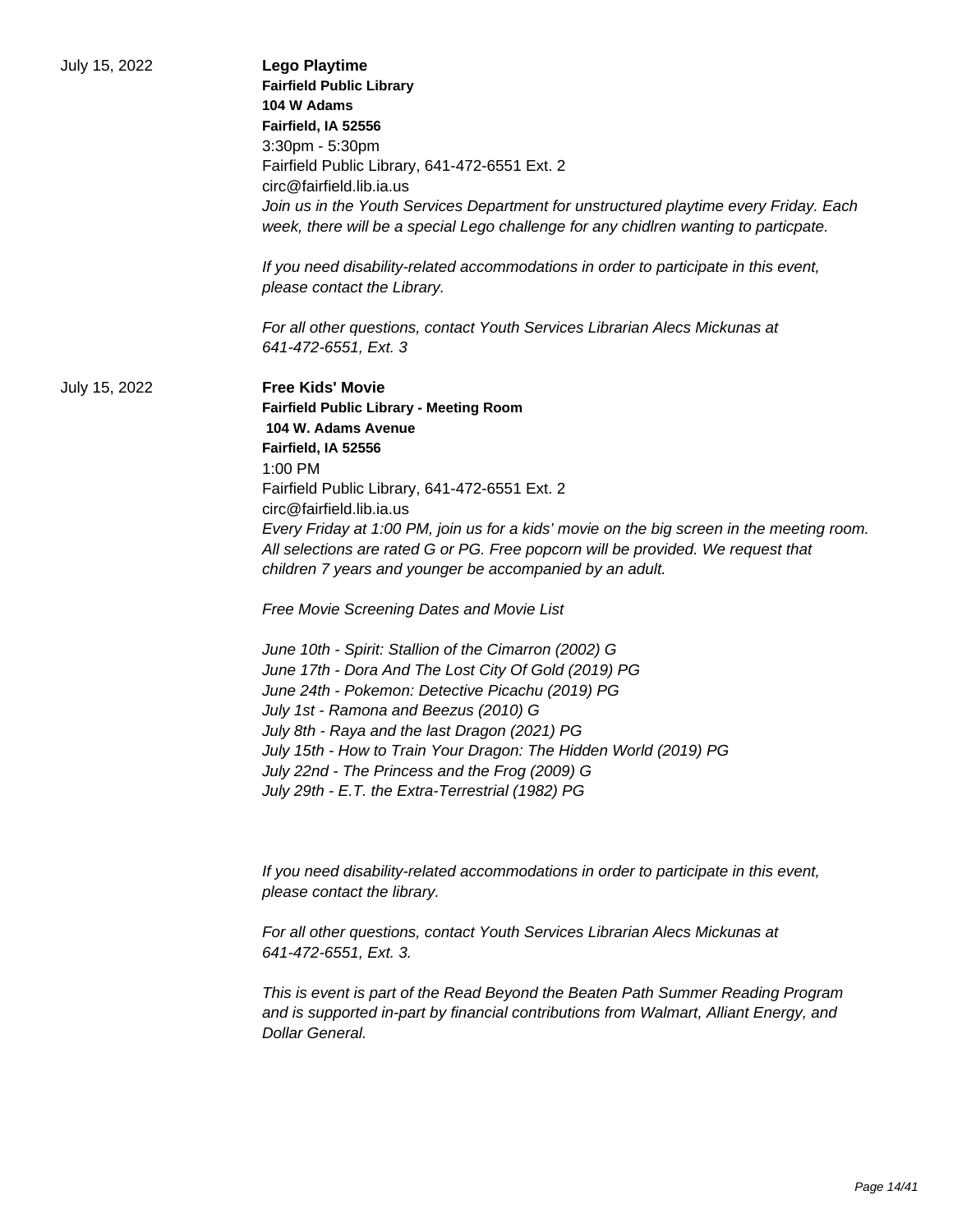| July 15, 2022 | <b>Lego Playtime</b><br><b>Fairfield Public Library</b><br>104 W Adams<br>Fairfield, IA 52556<br>3:30pm - 5:30pm<br>Fairfield Public Library, 641-472-6551 Ext. 2<br>circ@fairfield.lib.ia.us<br>Join us in the Youth Services Department for unstructured playtime every Friday. Each<br>week, there will be a special Lego challenge for any chidlren wanting to particpate.<br>If you need disability-related accommodations in order to participate in this event,<br>please contact the Library.<br>For all other questions, contact Youth Services Librarian Alecs Mickunas at                                                                                                                                                                                                                                                                                                                                                                 |
|---------------|------------------------------------------------------------------------------------------------------------------------------------------------------------------------------------------------------------------------------------------------------------------------------------------------------------------------------------------------------------------------------------------------------------------------------------------------------------------------------------------------------------------------------------------------------------------------------------------------------------------------------------------------------------------------------------------------------------------------------------------------------------------------------------------------------------------------------------------------------------------------------------------------------------------------------------------------------|
|               | 641-472-6551, Ext. 3                                                                                                                                                                                                                                                                                                                                                                                                                                                                                                                                                                                                                                                                                                                                                                                                                                                                                                                                 |
| July 15, 2022 | <b>Free Kids' Movie</b><br><b>Fairfield Public Library - Meeting Room</b><br>104 W. Adams Avenue<br>Fairfield, IA 52556<br>$1:00$ PM<br>Fairfield Public Library, 641-472-6551 Ext. 2<br>circ@fairfield.lib.ia.us<br>Every Friday at 1:00 PM, join us for a kids' movie on the big screen in the meeting room.<br>All selections are rated G or PG. Free popcorn will be provided. We request that<br>children 7 years and younger be accompanied by an adult.<br>Free Movie Screening Dates and Movie List<br>June 10th - Spirit: Stallion of the Cimarron (2002) G<br>June 17th - Dora And The Lost City Of Gold (2019) PG<br>June 24th - Pokemon: Detective Picachu (2019) PG<br>July 1st - Ramona and Beezus (2010) G<br>July 8th - Raya and the last Dragon (2021) PG<br>July 15th - How to Train Your Dragon: The Hidden World (2019) PG<br>July 22nd - The Princess and the Frog (2009) G<br>July 29th - E.T. the Extra-Terrestrial (1982) PG |
|               | If you need disability-related accommodations in order to participate in this event,<br>please contact the library.                                                                                                                                                                                                                                                                                                                                                                                                                                                                                                                                                                                                                                                                                                                                                                                                                                  |
|               | For all other questions, contact Youth Services Librarian Alecs Mickunas at<br>641-472-6551, Ext. 3.                                                                                                                                                                                                                                                                                                                                                                                                                                                                                                                                                                                                                                                                                                                                                                                                                                                 |
|               | This is event is part of the Read Beyond the Beaten Path Summer Reading Program<br>and is supported in-part by financial contributions from Walmart, Alliant Energy, and<br>Dollar General.                                                                                                                                                                                                                                                                                                                                                                                                                                                                                                                                                                                                                                                                                                                                                          |
|               |                                                                                                                                                                                                                                                                                                                                                                                                                                                                                                                                                                                                                                                                                                                                                                                                                                                                                                                                                      |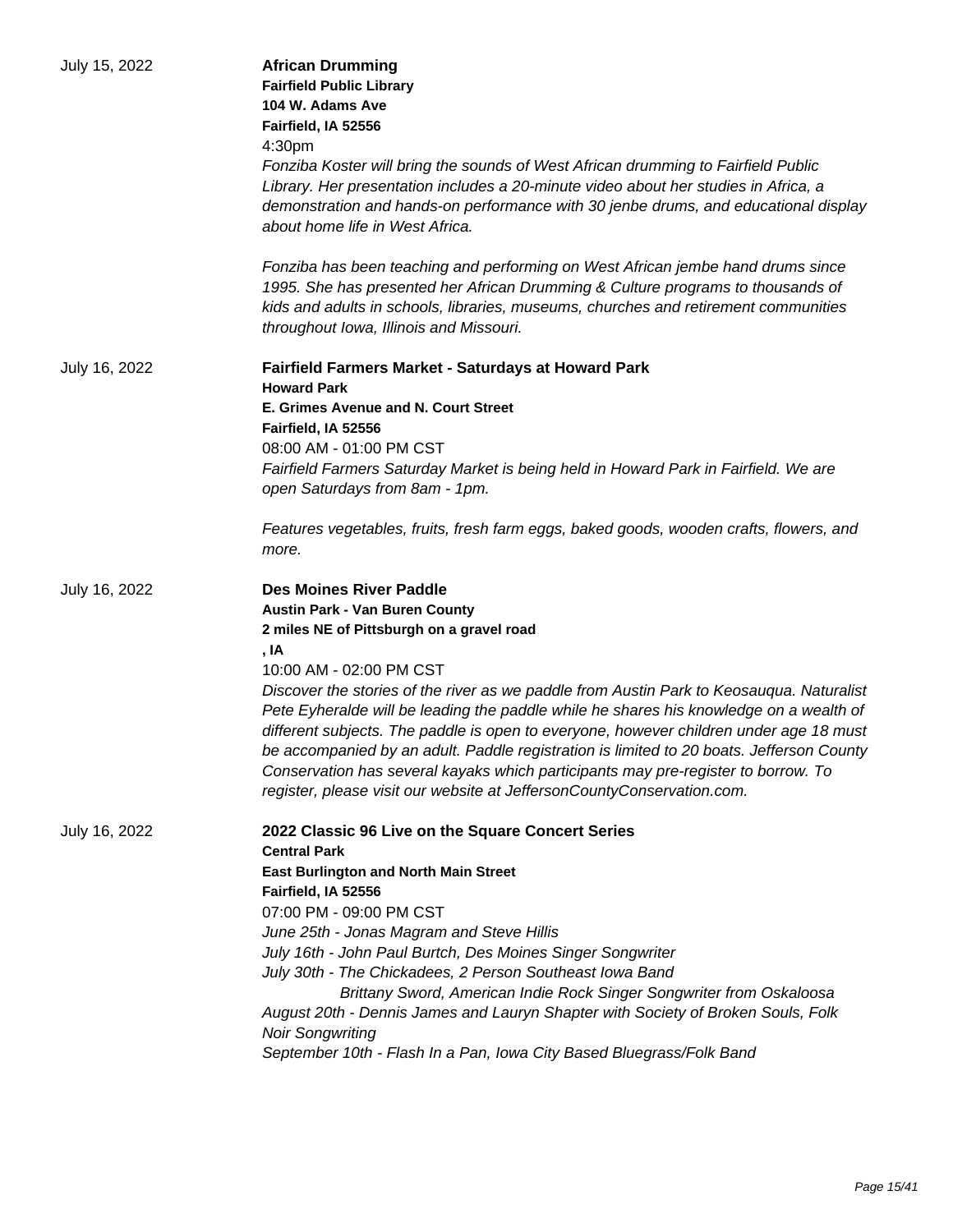| July 15, 2022 | <b>African Drumming</b><br><b>Fairfield Public Library</b><br>104 W. Adams Ave<br>Fairfield, IA 52556<br>4:30pm<br>Fonziba Koster will bring the sounds of West African drumming to Fairfield Public<br>Library. Her presentation includes a 20-minute video about her studies in Africa, a<br>demonstration and hands-on performance with 30 jenbe drums, and educational display<br>about home life in West Africa.<br>Fonziba has been teaching and performing on West African jembe hand drums since<br>1995. She has presented her African Drumming & Culture programs to thousands of |
|---------------|---------------------------------------------------------------------------------------------------------------------------------------------------------------------------------------------------------------------------------------------------------------------------------------------------------------------------------------------------------------------------------------------------------------------------------------------------------------------------------------------------------------------------------------------------------------------------------------------|
|               | kids and adults in schools, libraries, museums, churches and retirement communities<br>throughout Iowa, Illinois and Missouri.                                                                                                                                                                                                                                                                                                                                                                                                                                                              |
| July 16, 2022 | Fairfield Farmers Market - Saturdays at Howard Park<br><b>Howard Park</b>                                                                                                                                                                                                                                                                                                                                                                                                                                                                                                                   |
|               | E. Grimes Avenue and N. Court Street                                                                                                                                                                                                                                                                                                                                                                                                                                                                                                                                                        |
|               | Fairfield, IA 52556                                                                                                                                                                                                                                                                                                                                                                                                                                                                                                                                                                         |
|               | 08:00 AM - 01:00 PM CST                                                                                                                                                                                                                                                                                                                                                                                                                                                                                                                                                                     |
|               | Fairfield Farmers Saturday Market is being held in Howard Park in Fairfield. We are<br>open Saturdays from 8am - 1pm.                                                                                                                                                                                                                                                                                                                                                                                                                                                                       |
|               |                                                                                                                                                                                                                                                                                                                                                                                                                                                                                                                                                                                             |
|               | Features vegetables, fruits, fresh farm eggs, baked goods, wooden crafts, flowers, and<br>more.                                                                                                                                                                                                                                                                                                                                                                                                                                                                                             |
| July 16, 2022 | <b>Des Moines River Paddle</b>                                                                                                                                                                                                                                                                                                                                                                                                                                                                                                                                                              |
|               | <b>Austin Park - Van Buren County</b>                                                                                                                                                                                                                                                                                                                                                                                                                                                                                                                                                       |
|               | 2 miles NE of Pittsburgh on a gravel road                                                                                                                                                                                                                                                                                                                                                                                                                                                                                                                                                   |
|               | , IA                                                                                                                                                                                                                                                                                                                                                                                                                                                                                                                                                                                        |
|               | 10:00 AM - 02:00 PM CST                                                                                                                                                                                                                                                                                                                                                                                                                                                                                                                                                                     |
|               | Discover the stories of the river as we paddle from Austin Park to Keosauqua. Naturalist                                                                                                                                                                                                                                                                                                                                                                                                                                                                                                    |
|               | Pete Eyheralde will be leading the paddle while he shares his knowledge on a wealth of                                                                                                                                                                                                                                                                                                                                                                                                                                                                                                      |
|               | different subjects. The paddle is open to everyone, however children under age 18 must                                                                                                                                                                                                                                                                                                                                                                                                                                                                                                      |
|               | be accompanied by an adult. Paddle registration is limited to 20 boats. Jefferson County                                                                                                                                                                                                                                                                                                                                                                                                                                                                                                    |
|               | Conservation has several kayaks which participants may pre-register to borrow. To                                                                                                                                                                                                                                                                                                                                                                                                                                                                                                           |
|               |                                                                                                                                                                                                                                                                                                                                                                                                                                                                                                                                                                                             |
|               | register, please visit our website at JeffersonCountyConservation.com.                                                                                                                                                                                                                                                                                                                                                                                                                                                                                                                      |
| July 16, 2022 | 2022 Classic 96 Live on the Square Concert Series                                                                                                                                                                                                                                                                                                                                                                                                                                                                                                                                           |
|               | <b>Central Park</b>                                                                                                                                                                                                                                                                                                                                                                                                                                                                                                                                                                         |
|               | <b>East Burlington and North Main Street</b><br>Fairfield, IA 52556                                                                                                                                                                                                                                                                                                                                                                                                                                                                                                                         |
|               | 07:00 PM - 09:00 PM CST                                                                                                                                                                                                                                                                                                                                                                                                                                                                                                                                                                     |
|               | June 25th - Jonas Magram and Steve Hillis                                                                                                                                                                                                                                                                                                                                                                                                                                                                                                                                                   |
|               | July 16th - John Paul Burtch, Des Moines Singer Songwriter                                                                                                                                                                                                                                                                                                                                                                                                                                                                                                                                  |
|               | July 30th - The Chickadees, 2 Person Southeast Iowa Band                                                                                                                                                                                                                                                                                                                                                                                                                                                                                                                                    |
|               | Brittany Sword, American Indie Rock Singer Songwriter from Oskaloosa                                                                                                                                                                                                                                                                                                                                                                                                                                                                                                                        |
|               | August 20th - Dennis James and Lauryn Shapter with Society of Broken Souls, Folk                                                                                                                                                                                                                                                                                                                                                                                                                                                                                                            |
|               | <b>Noir Songwriting</b><br>September 10th - Flash In a Pan, Iowa City Based Bluegrass/Folk Band                                                                                                                                                                                                                                                                                                                                                                                                                                                                                             |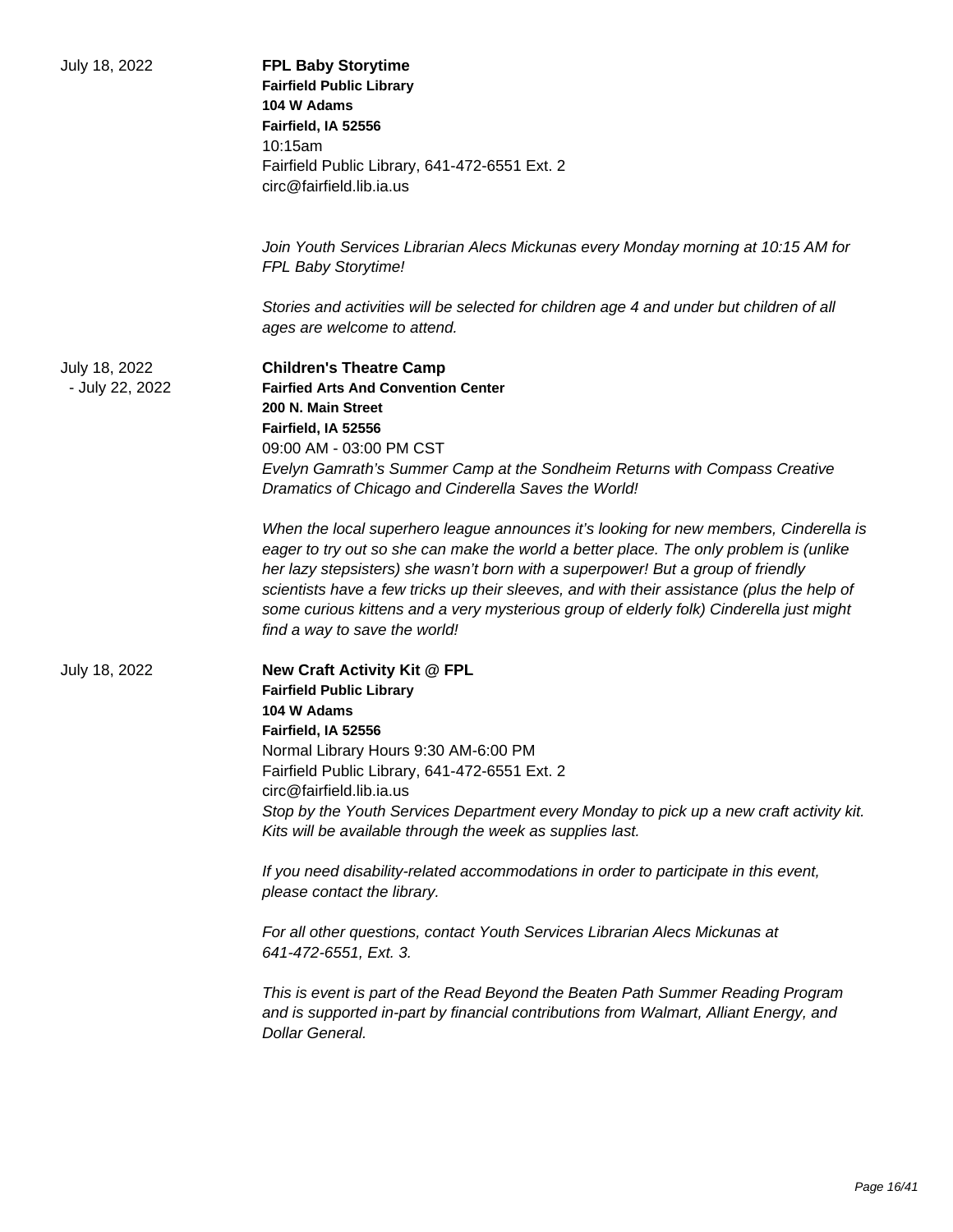| July 18, 2022                    | <b>FPL Baby Storytime</b><br><b>Fairfield Public Library</b><br>104 W Adams<br>Fairfield, IA 52556<br>10:15am<br>Fairfield Public Library, 641-472-6551 Ext. 2<br>circ@fairfield.lib.ia.us                                                                                                                                                                                                                                                                                                                                                                                                                                                                                                                                                                                                                       |
|----------------------------------|------------------------------------------------------------------------------------------------------------------------------------------------------------------------------------------------------------------------------------------------------------------------------------------------------------------------------------------------------------------------------------------------------------------------------------------------------------------------------------------------------------------------------------------------------------------------------------------------------------------------------------------------------------------------------------------------------------------------------------------------------------------------------------------------------------------|
|                                  | Join Youth Services Librarian Alecs Mickunas every Monday morning at 10:15 AM for<br>FPL Baby Storytime!                                                                                                                                                                                                                                                                                                                                                                                                                                                                                                                                                                                                                                                                                                         |
|                                  | Stories and activities will be selected for children age 4 and under but children of all<br>ages are welcome to attend.                                                                                                                                                                                                                                                                                                                                                                                                                                                                                                                                                                                                                                                                                          |
| July 18, 2022<br>- July 22, 2022 | <b>Children's Theatre Camp</b><br><b>Fairfied Arts And Convention Center</b><br>200 N. Main Street<br>Fairfield, IA 52556<br>09:00 AM - 03:00 PM CST<br>Evelyn Gamrath's Summer Camp at the Sondheim Returns with Compass Creative<br>Dramatics of Chicago and Cinderella Saves the World!                                                                                                                                                                                                                                                                                                                                                                                                                                                                                                                       |
|                                  | When the local superhero league announces it's looking for new members, Cinderella is<br>eager to try out so she can make the world a better place. The only problem is (unlike<br>her lazy stepsisters) she wasn't born with a superpower! But a group of friendly<br>scientists have a few tricks up their sleeves, and with their assistance (plus the help of<br>some curious kittens and a very mysterious group of elderly folk) Cinderella just might<br>find a way to save the world!                                                                                                                                                                                                                                                                                                                    |
| July 18, 2022                    | New Craft Activity Kit @ FPL<br><b>Fairfield Public Library</b><br>104 W Adams<br>Fairfield, IA 52556<br>Normal Library Hours 9:30 AM-6:00 PM<br>Fairfield Public Library, 641-472-6551 Ext. 2<br>circ@fairfield.lib.ia.us<br>Stop by the Youth Services Department every Monday to pick up a new craft activity kit.<br>Kits will be available through the week as supplies last.<br>If you need disability-related accommodations in order to participate in this event,<br>please contact the library.<br>For all other questions, contact Youth Services Librarian Alecs Mickunas at<br>641-472-6551, Ext. 3.<br>This is event is part of the Read Beyond the Beaten Path Summer Reading Program<br>and is supported in-part by financial contributions from Walmart, Alliant Energy, and<br>Dollar General. |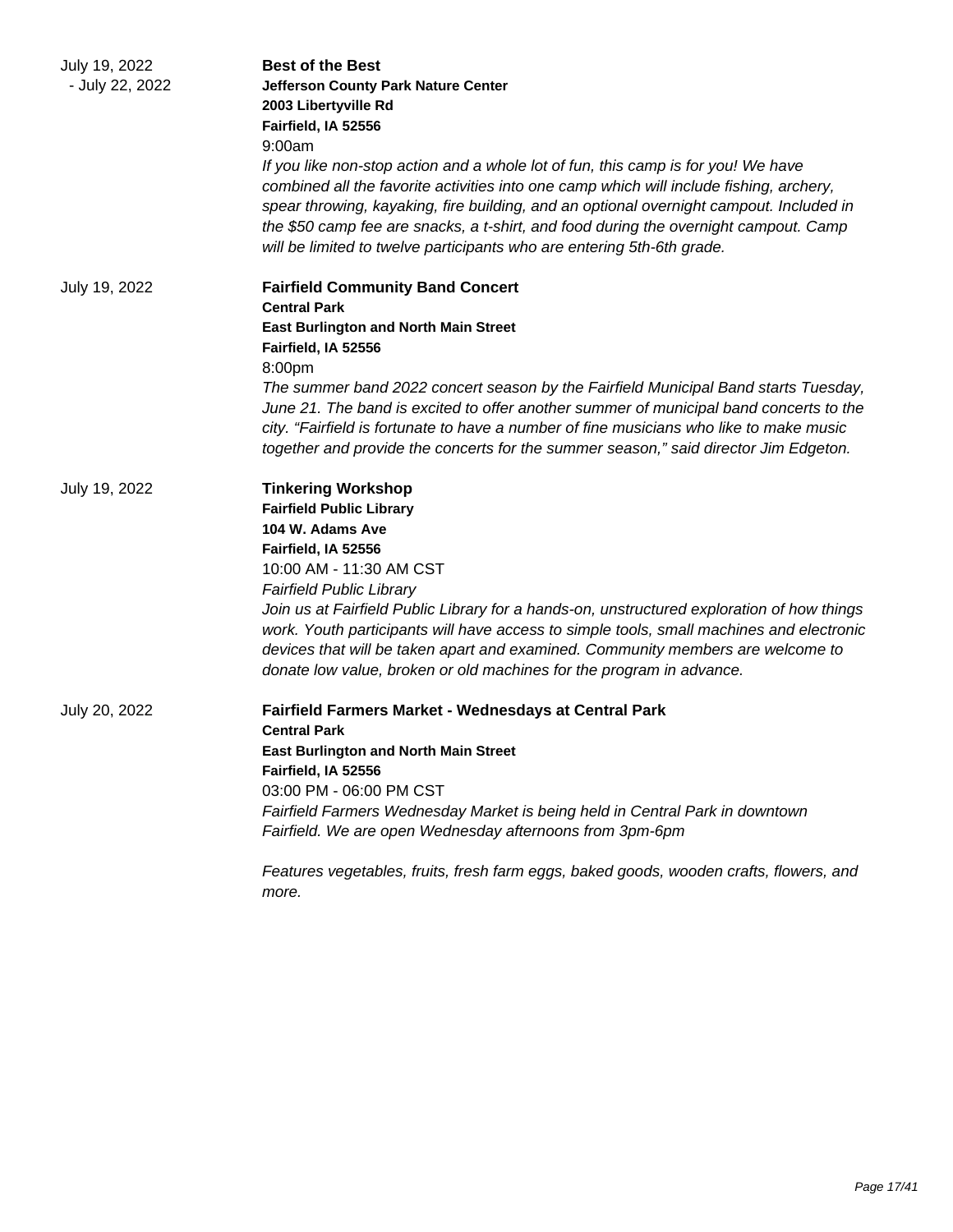| July 19, 2022   | <b>Best of the Best</b>                                                                                                                                                                                                                                                                                                                                                                                                                   |
|-----------------|-------------------------------------------------------------------------------------------------------------------------------------------------------------------------------------------------------------------------------------------------------------------------------------------------------------------------------------------------------------------------------------------------------------------------------------------|
| - July 22, 2022 | <b>Jefferson County Park Nature Center</b>                                                                                                                                                                                                                                                                                                                                                                                                |
|                 | 2003 Libertyville Rd                                                                                                                                                                                                                                                                                                                                                                                                                      |
|                 | Fairfield, IA 52556                                                                                                                                                                                                                                                                                                                                                                                                                       |
|                 | 9:00am                                                                                                                                                                                                                                                                                                                                                                                                                                    |
|                 | If you like non-stop action and a whole lot of fun, this camp is for you! We have<br>combined all the favorite activities into one camp which will include fishing, archery,<br>spear throwing, kayaking, fire building, and an optional overnight campout. Included in<br>the \$50 camp fee are snacks, a t-shirt, and food during the overnight campout. Camp<br>will be limited to twelve participants who are entering 5th-6th grade. |
| July 19, 2022   | <b>Fairfield Community Band Concert</b>                                                                                                                                                                                                                                                                                                                                                                                                   |
|                 | <b>Central Park</b>                                                                                                                                                                                                                                                                                                                                                                                                                       |
|                 | <b>East Burlington and North Main Street</b>                                                                                                                                                                                                                                                                                                                                                                                              |
|                 | Fairfield, IA 52556                                                                                                                                                                                                                                                                                                                                                                                                                       |
|                 | 8:00pm                                                                                                                                                                                                                                                                                                                                                                                                                                    |
|                 | The summer band 2022 concert season by the Fairfield Municipal Band starts Tuesday,                                                                                                                                                                                                                                                                                                                                                       |
|                 | June 21. The band is excited to offer another summer of municipal band concerts to the                                                                                                                                                                                                                                                                                                                                                    |
|                 | city. "Fairfield is fortunate to have a number of fine musicians who like to make music                                                                                                                                                                                                                                                                                                                                                   |
|                 | together and provide the concerts for the summer season," said director Jim Edgeton.                                                                                                                                                                                                                                                                                                                                                      |
| July 19, 2022   | <b>Tinkering Workshop</b>                                                                                                                                                                                                                                                                                                                                                                                                                 |
|                 | <b>Fairfield Public Library</b>                                                                                                                                                                                                                                                                                                                                                                                                           |
|                 | 104 W. Adams Ave                                                                                                                                                                                                                                                                                                                                                                                                                          |
|                 | Fairfield, IA 52556                                                                                                                                                                                                                                                                                                                                                                                                                       |
|                 | 10:00 AM - 11:30 AM CST                                                                                                                                                                                                                                                                                                                                                                                                                   |
|                 | <b>Fairfield Public Library</b>                                                                                                                                                                                                                                                                                                                                                                                                           |
|                 | Join us at Fairfield Public Library for a hands-on, unstructured exploration of how things                                                                                                                                                                                                                                                                                                                                                |
|                 | work. Youth participants will have access to simple tools, small machines and electronic                                                                                                                                                                                                                                                                                                                                                  |
|                 | devices that will be taken apart and examined. Community members are welcome to                                                                                                                                                                                                                                                                                                                                                           |
|                 | donate low value, broken or old machines for the program in advance.                                                                                                                                                                                                                                                                                                                                                                      |
| July 20, 2022   | Fairfield Farmers Market - Wednesdays at Central Park                                                                                                                                                                                                                                                                                                                                                                                     |
|                 | <b>Central Park</b>                                                                                                                                                                                                                                                                                                                                                                                                                       |
|                 | <b>East Burlington and North Main Street</b>                                                                                                                                                                                                                                                                                                                                                                                              |
|                 | Fairfield, IA 52556                                                                                                                                                                                                                                                                                                                                                                                                                       |
|                 | 03:00 PM - 06:00 PM CST                                                                                                                                                                                                                                                                                                                                                                                                                   |
|                 | Fairfield Farmers Wednesday Market is being held in Central Park in downtown                                                                                                                                                                                                                                                                                                                                                              |
|                 | Fairfield. We are open Wednesday afternoons from 3pm-6pm                                                                                                                                                                                                                                                                                                                                                                                  |
|                 | Features vegetables, fruits, fresh farm eggs, baked goods, wooden crafts, flowers, and<br>more.                                                                                                                                                                                                                                                                                                                                           |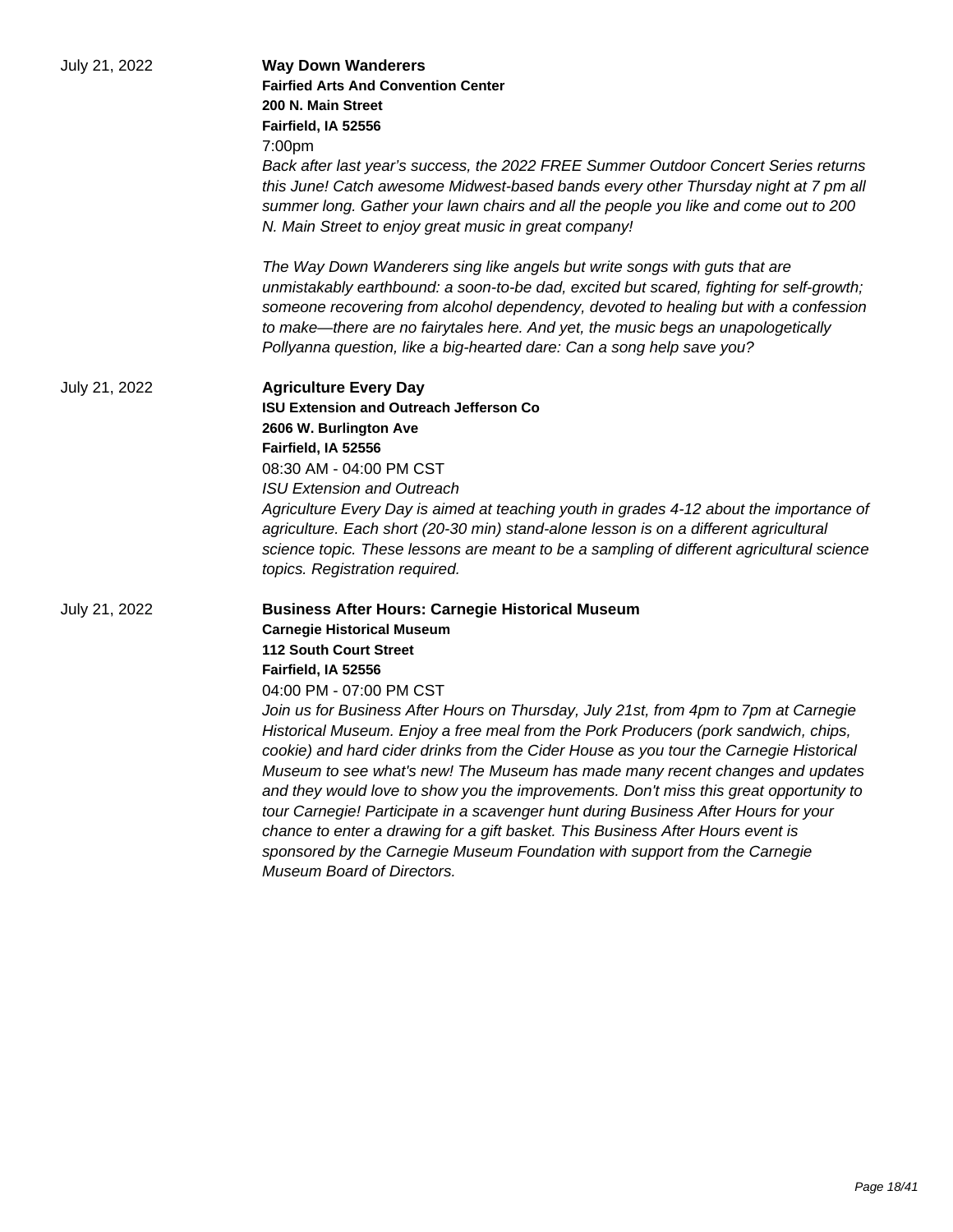| July 21, 2022 | <b>Way Down Wanderers</b><br><b>Fairfied Arts And Convention Center</b><br>200 N. Main Street<br>Fairfield, IA 52556<br>7:00pm<br>Back after last year's success, the 2022 FREE Summer Outdoor Concert Series returns<br>this June! Catch awesome Midwest-based bands every other Thursday night at 7 pm all<br>summer long. Gather your lawn chairs and all the people you like and come out to 200<br>N. Main Street to enjoy great music in great company!                                                                                                                                                                                                                                                                                                                                                                                                                                                             |
|---------------|---------------------------------------------------------------------------------------------------------------------------------------------------------------------------------------------------------------------------------------------------------------------------------------------------------------------------------------------------------------------------------------------------------------------------------------------------------------------------------------------------------------------------------------------------------------------------------------------------------------------------------------------------------------------------------------------------------------------------------------------------------------------------------------------------------------------------------------------------------------------------------------------------------------------------|
|               | The Way Down Wanderers sing like angels but write songs with guts that are<br>unmistakably earthbound: a soon-to-be dad, excited but scared, fighting for self-growth;<br>someone recovering from alcohol dependency, devoted to healing but with a confession<br>to make—there are no fairytales here. And yet, the music begs an unapologetically<br>Pollyanna question, like a big-hearted dare: Can a song help save you?                                                                                                                                                                                                                                                                                                                                                                                                                                                                                             |
| July 21, 2022 | <b>Agriculture Every Day</b><br><b>ISU Extension and Outreach Jefferson Co</b><br>2606 W. Burlington Ave<br>Fairfield, IA 52556<br>08:30 AM - 04:00 PM CST<br><b>ISU Extension and Outreach</b><br>Agriculture Every Day is aimed at teaching youth in grades 4-12 about the importance of<br>agriculture. Each short (20-30 min) stand-alone lesson is on a different agricultural<br>science topic. These lessons are meant to be a sampling of different agricultural science<br>topics. Registration required.                                                                                                                                                                                                                                                                                                                                                                                                        |
| July 21, 2022 | <b>Business After Hours: Carnegie Historical Museum</b><br><b>Carnegie Historical Museum</b><br><b>112 South Court Street</b><br>Fairfield, IA 52556<br>04:00 PM - 07:00 PM CST<br>Join us for Business After Hours on Thursday, July 21st, from 4pm to 7pm at Carnegie<br>Historical Museum. Enjoy a free meal from the Pork Producers (pork sandwich, chips,<br>cookie) and hard cider drinks from the Cider House as you tour the Carnegie Historical<br>Museum to see what's new! The Museum has made many recent changes and updates<br>and they would love to show you the improvements. Don't miss this great opportunity to<br>tour Carnegie! Participate in a scavenger hunt during Business After Hours for your<br>chance to enter a drawing for a gift basket. This Business After Hours event is<br>sponsored by the Carnegie Museum Foundation with support from the Carnegie<br>Museum Board of Directors. |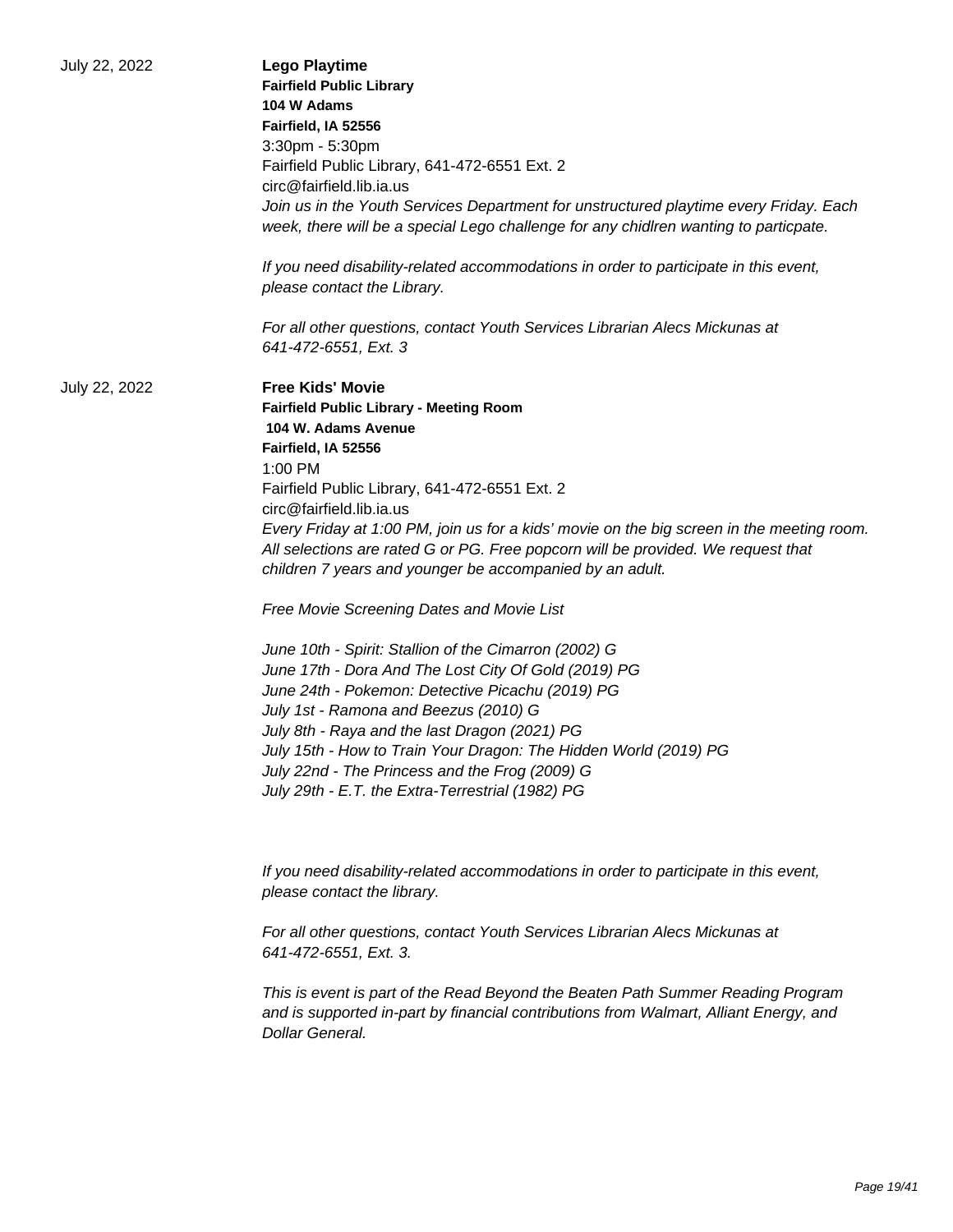| July 22, 2022 | <b>Lego Playtime</b><br><b>Fairfield Public Library</b><br>104 W Adams<br>Fairfield, IA 52556<br>3:30pm - 5:30pm<br>Fairfield Public Library, 641-472-6551 Ext. 2<br>circ@fairfield.lib.ia.us<br>Join us in the Youth Services Department for unstructured playtime every Friday. Each<br>week, there will be a special Lego challenge for any chidlren wanting to particpate.<br>If you need disability-related accommodations in order to participate in this event,<br>please contact the Library.<br>For all other questions, contact Youth Services Librarian Alecs Mickunas at                                                                                                                                                                                                                                                                                                                                                                                         |
|---------------|------------------------------------------------------------------------------------------------------------------------------------------------------------------------------------------------------------------------------------------------------------------------------------------------------------------------------------------------------------------------------------------------------------------------------------------------------------------------------------------------------------------------------------------------------------------------------------------------------------------------------------------------------------------------------------------------------------------------------------------------------------------------------------------------------------------------------------------------------------------------------------------------------------------------------------------------------------------------------|
| July 22, 2022 | 641-472-6551, Ext. 3<br><b>Free Kids' Movie</b><br><b>Fairfield Public Library - Meeting Room</b><br>104 W. Adams Avenue<br>Fairfield, IA 52556<br>$1:00$ PM<br>Fairfield Public Library, 641-472-6551 Ext. 2<br>circ@fairfield.lib.ia.us<br>Every Friday at 1:00 PM, join us for a kids' movie on the big screen in the meeting room.<br>All selections are rated G or PG. Free popcorn will be provided. We request that<br>children 7 years and younger be accompanied by an adult.<br>Free Movie Screening Dates and Movie List<br>June 10th - Spirit: Stallion of the Cimarron (2002) G<br>June 17th - Dora And The Lost City Of Gold (2019) PG<br>June 24th - Pokemon: Detective Picachu (2019) PG<br>July 1st - Ramona and Beezus (2010) G<br>July 8th - Raya and the last Dragon (2021) PG<br>July 15th - How to Train Your Dragon: The Hidden World (2019) PG<br>July 22nd - The Princess and the Frog (2009) G<br>July 29th - E.T. the Extra-Terrestrial (1982) PG |
|               | If you need disability-related accommodations in order to participate in this event,<br>please contact the library.<br>For all other questions, contact Youth Services Librarian Alecs Mickunas at<br>641-472-6551, Ext. 3.<br>This is event is part of the Read Beyond the Beaten Path Summer Reading Program<br>and is supported in-part by financial contributions from Walmart, Alliant Energy, and<br>Dollar General.                                                                                                                                                                                                                                                                                                                                                                                                                                                                                                                                                   |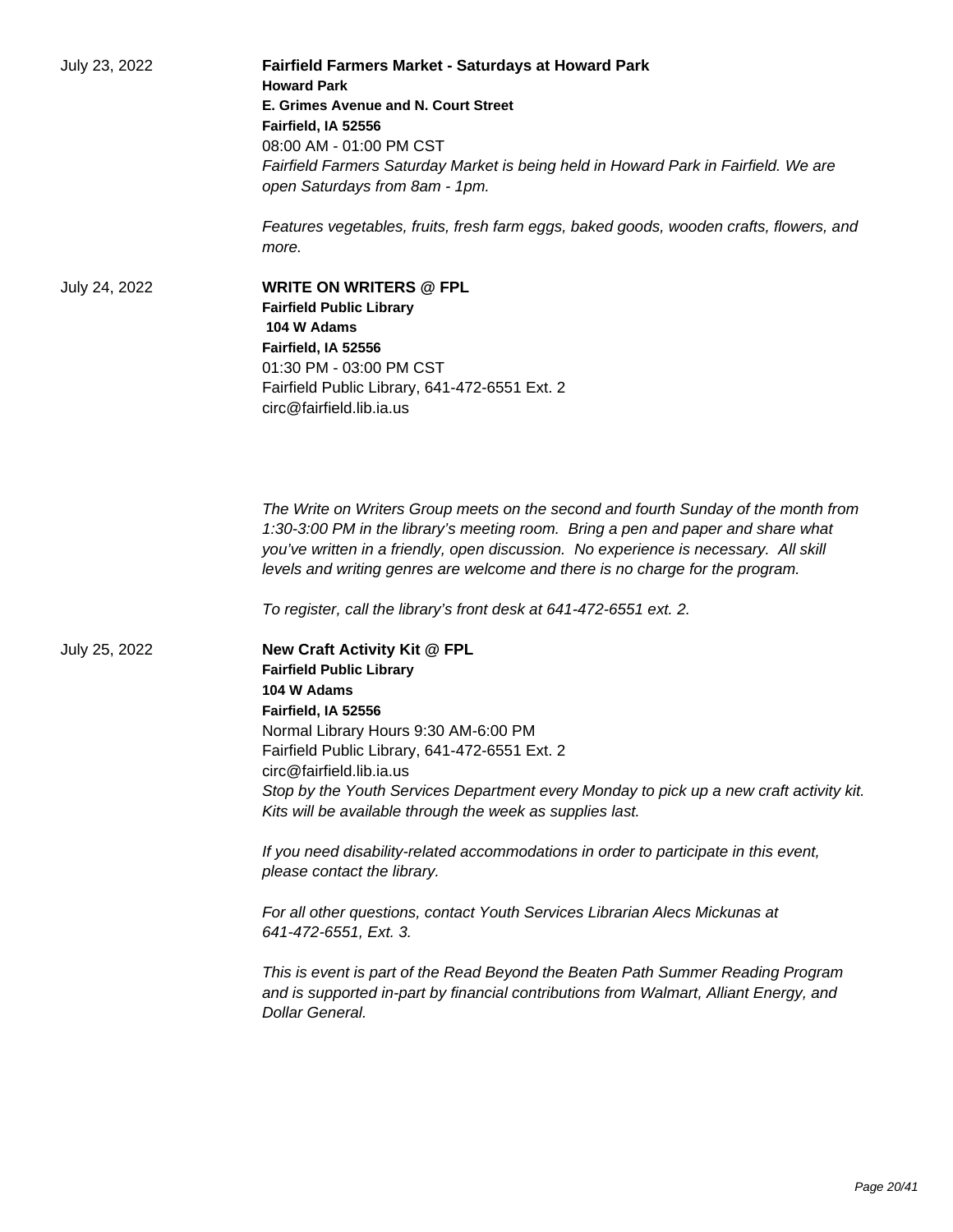| July 23, 2022 | <b>Fairfield Farmers Market - Saturdays at Howard Park</b><br><b>Howard Park</b><br>E. Grimes Avenue and N. Court Street<br>Fairfield, IA 52556<br>08:00 AM - 01:00 PM CST<br>Fairfield Farmers Saturday Market is being held in Howard Park in Fairfield. We are<br>open Saturdays from 8am - 1pm.<br>Features vegetables, fruits, fresh farm eggs, baked goods, wooden crafts, flowers, and<br>more.                                                                                                                                                                                                            |
|---------------|-------------------------------------------------------------------------------------------------------------------------------------------------------------------------------------------------------------------------------------------------------------------------------------------------------------------------------------------------------------------------------------------------------------------------------------------------------------------------------------------------------------------------------------------------------------------------------------------------------------------|
| July 24, 2022 | <b>WRITE ON WRITERS @ FPL</b><br><b>Fairfield Public Library</b><br>104 W Adams<br>Fairfield, IA 52556<br>01:30 PM - 03:00 PM CST<br>Fairfield Public Library, 641-472-6551 Ext. 2<br>circ@fairfield.lib.ia.us                                                                                                                                                                                                                                                                                                                                                                                                    |
|               | The Write on Writers Group meets on the second and fourth Sunday of the month from<br>1:30-3:00 PM in the library's meeting room. Bring a pen and paper and share what<br>you've written in a friendly, open discussion. No experience is necessary. All skill<br>levels and writing genres are welcome and there is no charge for the program.<br>To register, call the library's front desk at 641-472-6551 ext. 2.                                                                                                                                                                                             |
| July 25, 2022 | New Craft Activity Kit @ FPL<br><b>Fairfield Public Library</b><br>104 W Adams<br>Fairfield, IA 52556<br>Normal Library Hours 9:30 AM-6:00 PM<br>Fairfield Public Library, 641-472-6551 Ext. 2<br>circ@fairfield.lib.ia.us<br>Stop by the Youth Services Department every Monday to pick up a new craft activity kit.<br>Kits will be available through the week as supplies last.<br>If you need disability-related accommodations in order to participate in this event,<br>please contact the library.<br>For all other questions, contact Youth Services Librarian Alecs Mickunas at<br>641-472-6551, Ext. 3. |
|               | This is event is part of the Read Beyond the Beaten Path Summer Reading Program<br>and is supported in-part by financial contributions from Walmart, Alliant Energy, and<br>Dollar General.                                                                                                                                                                                                                                                                                                                                                                                                                       |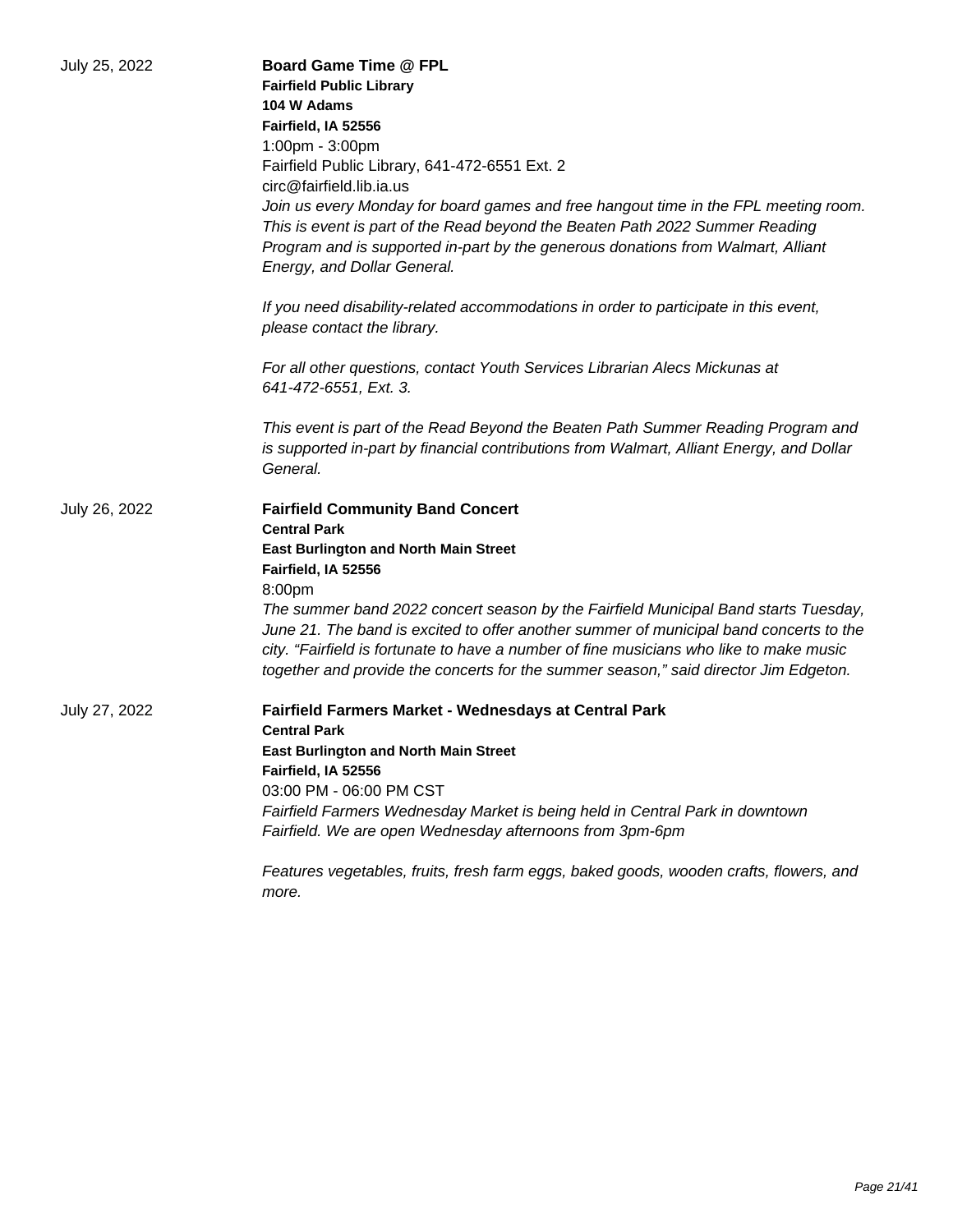| July 25, 2022 | <b>Board Game Time @ FPL</b><br><b>Fairfield Public Library</b>                                                 |
|---------------|-----------------------------------------------------------------------------------------------------------------|
|               | 104 W Adams                                                                                                     |
|               | Fairfield, IA 52556                                                                                             |
|               | 1:00pm - 3:00pm                                                                                                 |
|               | Fairfield Public Library, 641-472-6551 Ext. 2                                                                   |
|               | circ@fairfield.lib.ia.us                                                                                        |
|               | Join us every Monday for board games and free hangout time in the FPL meeting room.                             |
|               | This is event is part of the Read beyond the Beaten Path 2022 Summer Reading                                    |
|               | Program and is supported in-part by the generous donations from Walmart, Alliant<br>Energy, and Dollar General. |
|               | If you need disability-related accommodations in order to participate in this event,                            |
|               | please contact the library.                                                                                     |
|               | For all other questions, contact Youth Services Librarian Alecs Mickunas at                                     |
|               | 641-472-6551, Ext. 3.                                                                                           |
|               | This event is part of the Read Beyond the Beaten Path Summer Reading Program and                                |
|               | is supported in-part by financial contributions from Walmart, Alliant Energy, and Dollar<br>General.            |
| July 26, 2022 | <b>Fairfield Community Band Concert</b>                                                                         |
|               | <b>Central Park</b>                                                                                             |
|               | <b>East Burlington and North Main Street</b>                                                                    |
|               | Fairfield, IA 52556                                                                                             |
|               | 8:00pm                                                                                                          |
|               | The summer band 2022 concert season by the Fairfield Municipal Band starts Tuesday,                             |
|               | June 21. The band is excited to offer another summer of municipal band concerts to the                          |
|               | city. "Fairfield is fortunate to have a number of fine musicians who like to make music                         |
|               | together and provide the concerts for the summer season," said director Jim Edgeton.                            |
| July 27, 2022 | <b>Fairfield Farmers Market - Wednesdays at Central Park</b>                                                    |
|               | <b>Central Park</b>                                                                                             |
|               | <b>East Burlington and North Main Street</b>                                                                    |
|               | Fairfield, IA 52556                                                                                             |
|               | 03:00 PM - 06:00 PM CST                                                                                         |
|               | Fairfield Farmers Wednesday Market is being held in Central Park in downtown                                    |
|               | Fairfield. We are open Wednesday afternoons from 3pm-6pm                                                        |
|               | Features vegetables, fruits, fresh farm eggs, baked goods, wooden crafts, flowers, and<br>more.                 |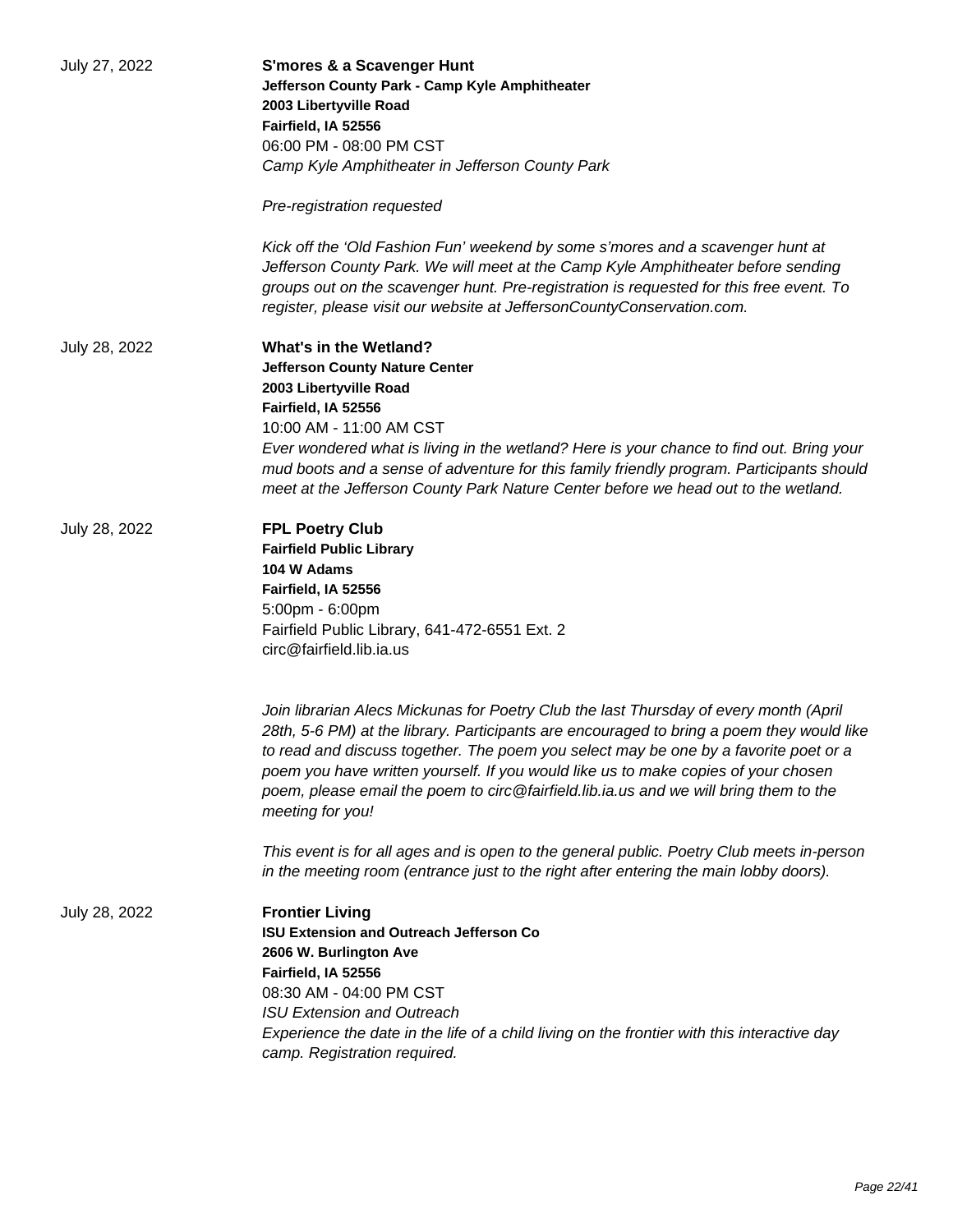| July 27, 2022 | <b>S'mores &amp; a Scavenger Hunt</b><br>Jefferson County Park - Camp Kyle Amphitheater<br>2003 Libertyville Road<br>Fairfield, IA 52556<br>06:00 PM - 08:00 PM CST<br>Camp Kyle Amphitheater in Jefferson County Park                                                                                                                                                                                                                                                        |
|---------------|-------------------------------------------------------------------------------------------------------------------------------------------------------------------------------------------------------------------------------------------------------------------------------------------------------------------------------------------------------------------------------------------------------------------------------------------------------------------------------|
|               | Pre-registration requested                                                                                                                                                                                                                                                                                                                                                                                                                                                    |
|               | Kick off the 'Old Fashion Fun' weekend by some s'mores and a scavenger hunt at<br>Jefferson County Park. We will meet at the Camp Kyle Amphitheater before sending<br>groups out on the scavenger hunt. Pre-registration is requested for this free event. To<br>register, please visit our website at JeffersonCountyConservation.com.                                                                                                                                       |
| July 28, 2022 | <b>What's in the Wetland?</b><br><b>Jefferson County Nature Center</b><br>2003 Libertyville Road<br>Fairfield, IA 52556<br>10:00 AM - 11:00 AM CST<br>Ever wondered what is living in the wetland? Here is your chance to find out. Bring your<br>mud boots and a sense of adventure for this family friendly program. Participants should<br>meet at the Jefferson County Park Nature Center before we head out to the wetland.                                              |
| July 28, 2022 | <b>FPL Poetry Club</b><br><b>Fairfield Public Library</b><br>104 W Adams<br>Fairfield, IA 52556<br>5:00pm - 6:00pm<br>Fairfield Public Library, 641-472-6551 Ext. 2<br>circ@fairfield.lib.ia.us                                                                                                                                                                                                                                                                               |
|               | Join librarian Alecs Mickunas for Poetry Club the last Thursday of every month (April<br>28th, 5-6 PM) at the library. Participants are encouraged to bring a poem they would like<br>to read and discuss together. The poem you select may be one by a favorite poet or a<br>poem you have written yourself. If you would like us to make copies of your chosen<br>poem, please email the poem to circ@fairfield.lib.ia.us and we will bring them to the<br>meeting for you! |
|               | This event is for all ages and is open to the general public. Poetry Club meets in-person<br>in the meeting room (entrance just to the right after entering the main lobby doors).                                                                                                                                                                                                                                                                                            |
| July 28, 2022 | <b>Frontier Living</b><br><b>ISU Extension and Outreach Jefferson Co</b><br>2606 W. Burlington Ave<br>Fairfield, IA 52556<br>08:30 AM - 04:00 PM CST<br><b>ISU Extension and Outreach</b><br>Experience the date in the life of a child living on the frontier with this interactive day<br>camp. Registration required.                                                                                                                                                      |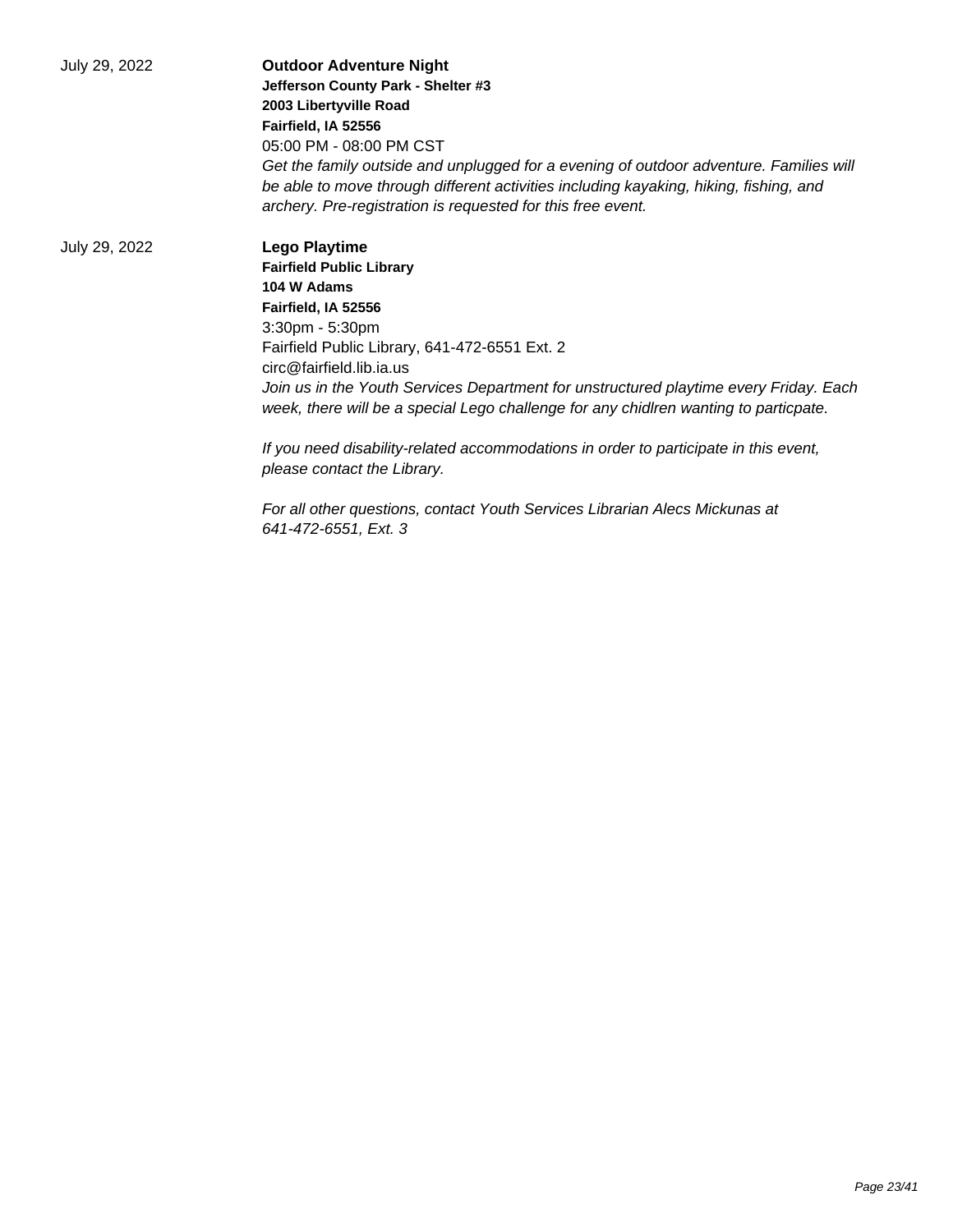July 29, 2022 **Outdoor Adventure Night Jefferson County Park - Shelter #3 2003 Libertyville Road Fairfield, IA 52556** 05:00 PM - 08:00 PM CST Get the family outside and unplugged for a evening of outdoor adventure. Families will be able to move through different activities including kayaking, hiking, fishing, and archery. Pre-registration is requested for this free event. July 29, 2022 **Lego Playtime Fairfield Public Library 104 W Adams Fairfield, IA 52556** 3:30pm - 5:30pm Fairfield Public Library, 641-472-6551 Ext. 2 circ@fairfield.lib.ia.us Join us in the Youth Services Department for unstructured playtime every Friday. Each week, there will be a special Lego challenge for any chidlren wanting to particpate.

> If you need disability-related accommodations in order to participate in this event, please contact the Library.

For all other questions, contact Youth Services Librarian Alecs Mickunas at 641-472-6551, Ext. 3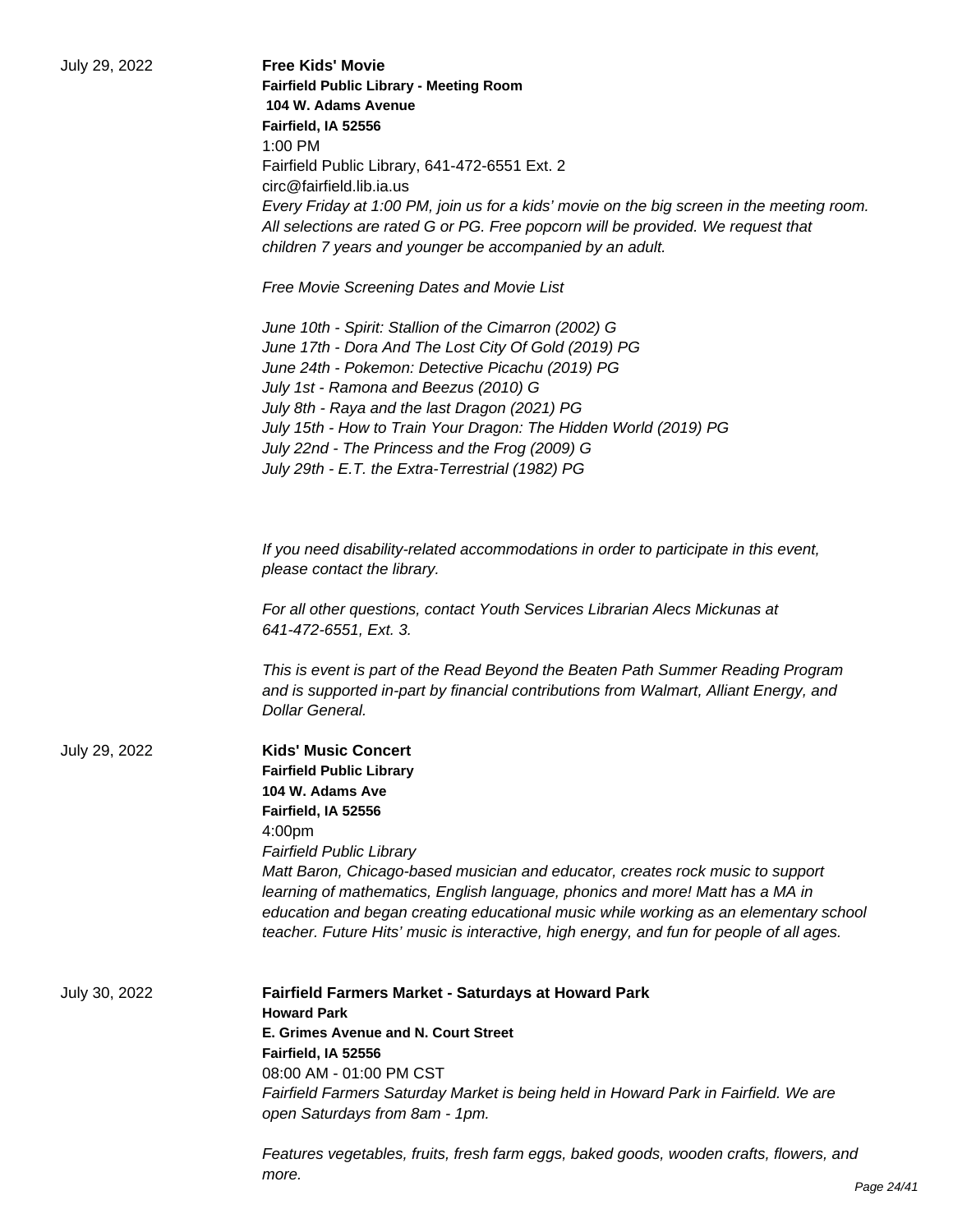| July 29, 2022 | <b>Free Kids' Movie</b><br><b>Fairfield Public Library - Meeting Room</b><br>104 W. Adams Avenue<br>Fairfield, IA 52556<br>$1:00$ PM<br>Fairfield Public Library, 641-472-6551 Ext. 2<br>circ@fairfield.lib.ia.us<br>Every Friday at 1:00 PM, join us for a kids' movie on the big screen in the meeting room.                                                                                                                                                                                                           |
|---------------|--------------------------------------------------------------------------------------------------------------------------------------------------------------------------------------------------------------------------------------------------------------------------------------------------------------------------------------------------------------------------------------------------------------------------------------------------------------------------------------------------------------------------|
|               | All selections are rated G or PG. Free popcorn will be provided. We request that<br>children 7 years and younger be accompanied by an adult.                                                                                                                                                                                                                                                                                                                                                                             |
|               | Free Movie Screening Dates and Movie List                                                                                                                                                                                                                                                                                                                                                                                                                                                                                |
|               | June 10th - Spirit: Stallion of the Cimarron (2002) G<br>June 17th - Dora And The Lost City Of Gold (2019) PG<br>June 24th - Pokemon: Detective Picachu (2019) PG<br>July 1st - Ramona and Beezus (2010) G<br>July 8th - Raya and the last Dragon (2021) PG<br>July 15th - How to Train Your Dragon: The Hidden World (2019) PG<br>July 22nd - The Princess and the Frog (2009) G<br>July 29th - E.T. the Extra-Terrestrial (1982) PG                                                                                    |
|               | If you need disability-related accommodations in order to participate in this event,<br>please contact the library.                                                                                                                                                                                                                                                                                                                                                                                                      |
|               | For all other questions, contact Youth Services Librarian Alecs Mickunas at<br>641-472-6551, Ext. 3.                                                                                                                                                                                                                                                                                                                                                                                                                     |
|               | This is event is part of the Read Beyond the Beaten Path Summer Reading Program<br>and is supported in-part by financial contributions from Walmart, Alliant Energy, and<br>Dollar General.                                                                                                                                                                                                                                                                                                                              |
| July 29, 2022 | <b>Kids' Music Concert</b><br><b>Fairfield Public Library</b><br>104 W. Adams Ave<br>Fairfield, IA 52556<br>4:00 <sub>pm</sub><br><b>Fairfield Public Library</b><br>Matt Baron, Chicago-based musician and educator, creates rock music to support<br>learning of mathematics, English language, phonics and more! Matt has a MA in<br>education and began creating educational music while working as an elementary school<br>teacher. Future Hits' music is interactive, high energy, and fun for people of all ages. |
| July 30, 2022 | Fairfield Farmers Market - Saturdays at Howard Park<br><b>Howard Park</b><br>E. Grimes Avenue and N. Court Street<br>Fairfield, IA 52556<br>08:00 AM - 01:00 PM CST<br>Fairfield Farmers Saturday Market is being held in Howard Park in Fairfield. We are<br>open Saturdays from 8am - 1pm.                                                                                                                                                                                                                             |
|               |                                                                                                                                                                                                                                                                                                                                                                                                                                                                                                                          |

Features vegetables, fruits, fresh farm eggs, baked goods, wooden crafts, flowers, and more.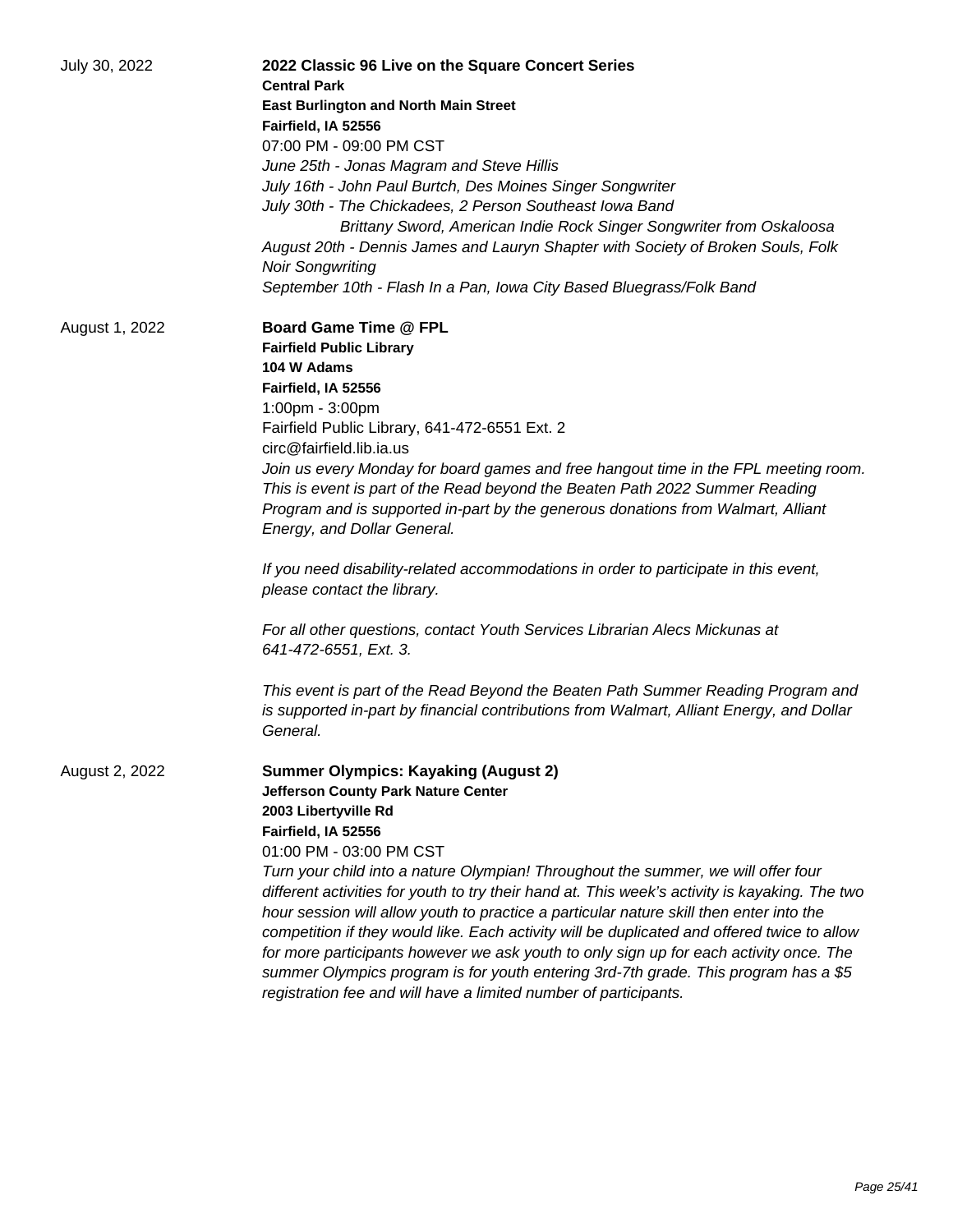| July 30, 2022  | 2022 Classic 96 Live on the Square Concert Series<br><b>Central Park</b>                                                                                                                                                                                                                                                                                                                                                                                                |
|----------------|-------------------------------------------------------------------------------------------------------------------------------------------------------------------------------------------------------------------------------------------------------------------------------------------------------------------------------------------------------------------------------------------------------------------------------------------------------------------------|
|                | <b>East Burlington and North Main Street</b>                                                                                                                                                                                                                                                                                                                                                                                                                            |
|                | Fairfield, IA 52556                                                                                                                                                                                                                                                                                                                                                                                                                                                     |
|                | 07:00 PM - 09:00 PM CST                                                                                                                                                                                                                                                                                                                                                                                                                                                 |
|                | June 25th - Jonas Magram and Steve Hillis                                                                                                                                                                                                                                                                                                                                                                                                                               |
|                | July 16th - John Paul Burtch, Des Moines Singer Songwriter                                                                                                                                                                                                                                                                                                                                                                                                              |
|                | July 30th - The Chickadees, 2 Person Southeast Iowa Band                                                                                                                                                                                                                                                                                                                                                                                                                |
|                | Brittany Sword, American Indie Rock Singer Songwriter from Oskaloosa                                                                                                                                                                                                                                                                                                                                                                                                    |
|                | August 20th - Dennis James and Lauryn Shapter with Society of Broken Souls, Folk                                                                                                                                                                                                                                                                                                                                                                                        |
|                | <b>Noir Songwriting</b>                                                                                                                                                                                                                                                                                                                                                                                                                                                 |
|                | September 10th - Flash In a Pan, Iowa City Based Bluegrass/Folk Band                                                                                                                                                                                                                                                                                                                                                                                                    |
| August 1, 2022 | <b>Board Game Time @ FPL</b>                                                                                                                                                                                                                                                                                                                                                                                                                                            |
|                | <b>Fairfield Public Library</b>                                                                                                                                                                                                                                                                                                                                                                                                                                         |
|                | 104 W Adams                                                                                                                                                                                                                                                                                                                                                                                                                                                             |
|                | Fairfield, IA 52556                                                                                                                                                                                                                                                                                                                                                                                                                                                     |
|                | 1:00pm - 3:00pm                                                                                                                                                                                                                                                                                                                                                                                                                                                         |
|                | Fairfield Public Library, 641-472-6551 Ext. 2                                                                                                                                                                                                                                                                                                                                                                                                                           |
|                | circ@fairfield.lib.ia.us                                                                                                                                                                                                                                                                                                                                                                                                                                                |
|                | Join us every Monday for board games and free hangout time in the FPL meeting room.                                                                                                                                                                                                                                                                                                                                                                                     |
|                | This is event is part of the Read beyond the Beaten Path 2022 Summer Reading                                                                                                                                                                                                                                                                                                                                                                                            |
|                | Program and is supported in-part by the generous donations from Walmart, Alliant                                                                                                                                                                                                                                                                                                                                                                                        |
|                | Energy, and Dollar General.                                                                                                                                                                                                                                                                                                                                                                                                                                             |
|                | If you need disability-related accommodations in order to participate in this event,<br>please contact the library.                                                                                                                                                                                                                                                                                                                                                     |
|                | For all other questions, contact Youth Services Librarian Alecs Mickunas at<br>641-472-6551, Ext. 3.                                                                                                                                                                                                                                                                                                                                                                    |
|                | This event is part of the Read Beyond the Beaten Path Summer Reading Program and<br>is supported in-part by financial contributions from Walmart, Alliant Energy, and Dollar<br>General.                                                                                                                                                                                                                                                                                |
| August 2, 2022 | <b>Summer Olympics: Kayaking (August 2)</b>                                                                                                                                                                                                                                                                                                                                                                                                                             |
|                | Jefferson County Park Nature Center                                                                                                                                                                                                                                                                                                                                                                                                                                     |
|                | 2003 Libertyville Rd                                                                                                                                                                                                                                                                                                                                                                                                                                                    |
|                | Fairfield, IA 52556                                                                                                                                                                                                                                                                                                                                                                                                                                                     |
|                | 01:00 PM - 03:00 PM CST                                                                                                                                                                                                                                                                                                                                                                                                                                                 |
|                | Turn your child into a nature Olympian! Throughout the summer, we will offer four<br>different activities for youth to try their hand at. This week's activity is kayaking. The two<br>hour session will allow youth to practice a particular nature skill then enter into the<br>competition if they would like. Each activity will be duplicated and offered twice to allow<br>for more participants however we ask youth to only sign up for each activity once. The |
|                | summer Olympics program is for youth entering 3rd-7th grade. This program has a \$5<br>registration fee and will have a limited number of participants.                                                                                                                                                                                                                                                                                                                 |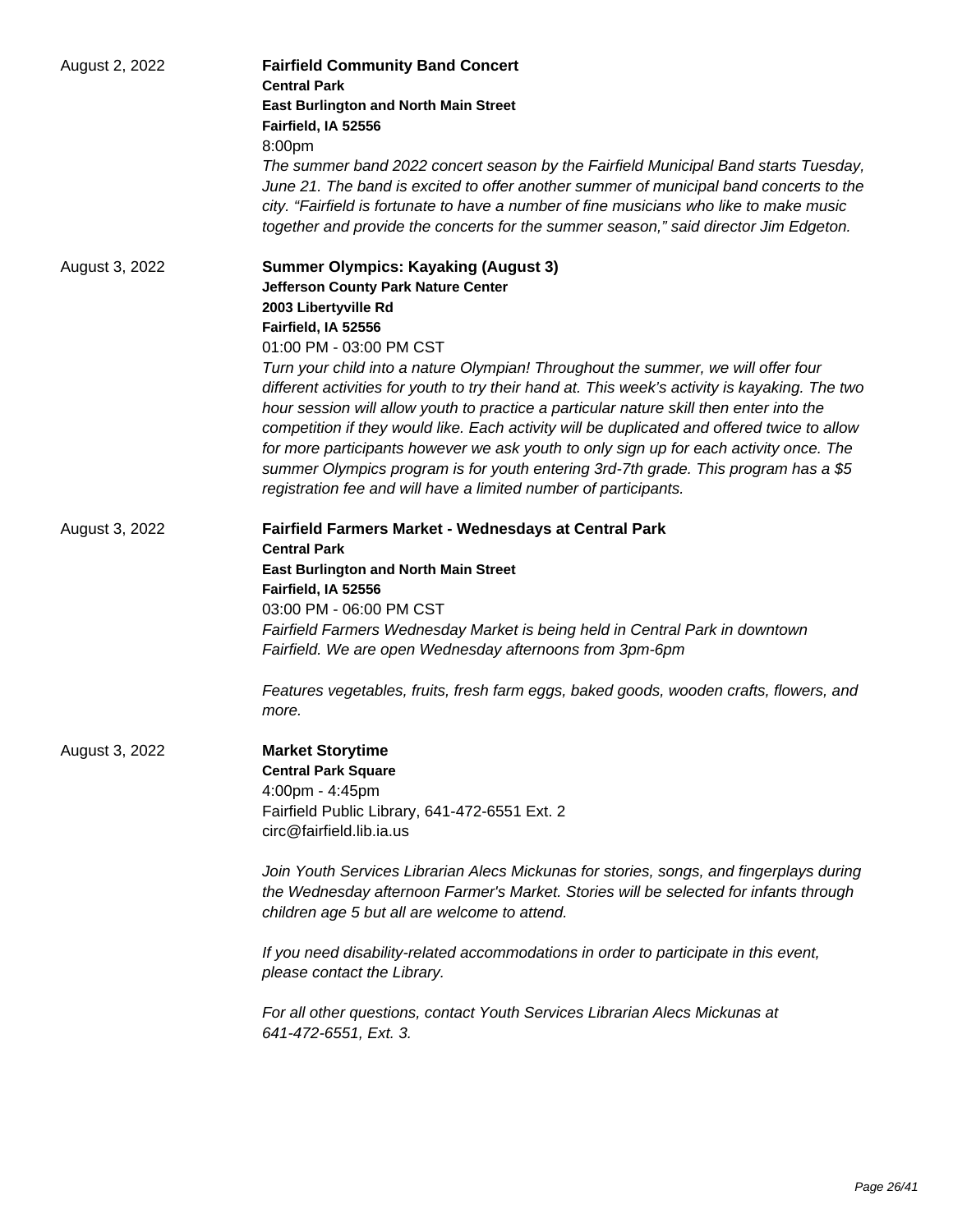| August 2, 2022 | <b>Fairfield Community Band Concert</b><br><b>Central Park</b><br><b>East Burlington and North Main Street</b><br>Fairfield, IA 52556<br>8:00pm<br>The summer band 2022 concert season by the Fairfield Municipal Band starts Tuesday,<br>June 21. The band is excited to offer another summer of municipal band concerts to the<br>city. "Fairfield is fortunate to have a number of fine musicians who like to make music<br>together and provide the concerts for the summer season," said director Jim Edgeton.                                                                                                                                                                                                                                                                                |
|----------------|----------------------------------------------------------------------------------------------------------------------------------------------------------------------------------------------------------------------------------------------------------------------------------------------------------------------------------------------------------------------------------------------------------------------------------------------------------------------------------------------------------------------------------------------------------------------------------------------------------------------------------------------------------------------------------------------------------------------------------------------------------------------------------------------------|
| August 3, 2022 | <b>Summer Olympics: Kayaking (August 3)</b><br>Jefferson County Park Nature Center<br>2003 Libertyville Rd<br>Fairfield, IA 52556<br>01:00 PM - 03:00 PM CST<br>Turn your child into a nature Olympian! Throughout the summer, we will offer four<br>different activities for youth to try their hand at. This week's activity is kayaking. The two<br>hour session will allow youth to practice a particular nature skill then enter into the<br>competition if they would like. Each activity will be duplicated and offered twice to allow<br>for more participants however we ask youth to only sign up for each activity once. The<br>summer Olympics program is for youth entering 3rd-7th grade. This program has a \$5<br>registration fee and will have a limited number of participants. |
| August 3, 2022 | Fairfield Farmers Market - Wednesdays at Central Park<br><b>Central Park</b><br><b>East Burlington and North Main Street</b><br>Fairfield, IA 52556<br>03:00 PM - 06:00 PM CST<br>Fairfield Farmers Wednesday Market is being held in Central Park in downtown<br>Fairfield. We are open Wednesday afternoons from 3pm-6pm<br>Features vegetables, fruits, fresh farm eggs, baked goods, wooden crafts, flowers, and<br>more.                                                                                                                                                                                                                                                                                                                                                                      |
| August 3, 2022 | <b>Market Storytime</b><br><b>Central Park Square</b><br>4:00pm - 4:45pm<br>Fairfield Public Library, 641-472-6551 Ext. 2<br>circ@fairfield.lib.ia.us<br>Join Youth Services Librarian Alecs Mickunas for stories, songs, and fingerplays during<br>the Wednesday afternoon Farmer's Market. Stories will be selected for infants through<br>children age 5 but all are welcome to attend.<br>If you need disability-related accommodations in order to participate in this event,<br>please contact the Library.<br>For all other questions, contact Youth Services Librarian Alecs Mickunas at<br>641-472-6551, Ext. 3.                                                                                                                                                                          |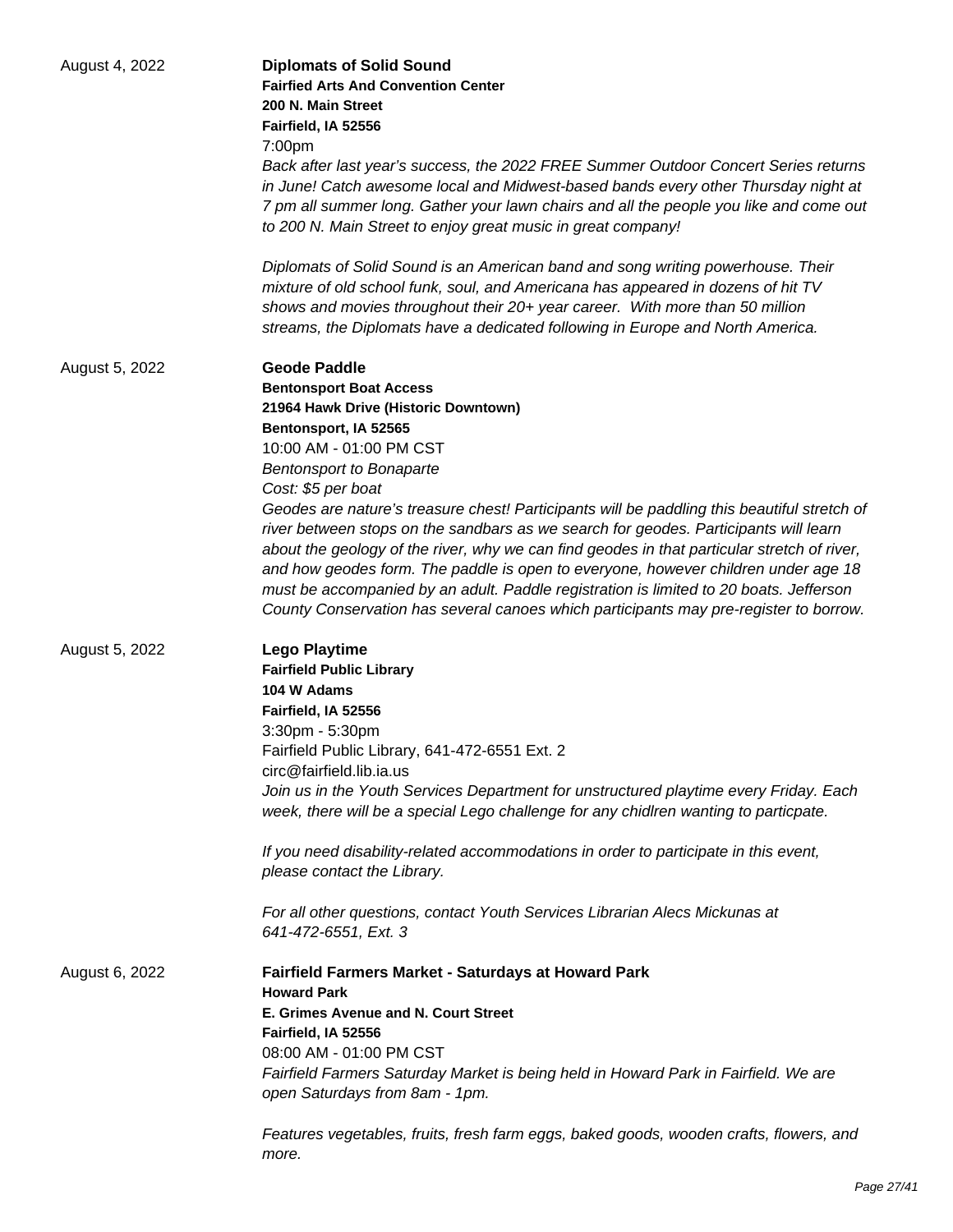| August 4, 2022 | <b>Diplomats of Solid Sound</b>                                                                                                                                               |
|----------------|-------------------------------------------------------------------------------------------------------------------------------------------------------------------------------|
|                | <b>Fairfied Arts And Convention Center</b>                                                                                                                                    |
|                | 200 N. Main Street                                                                                                                                                            |
|                | Fairfield, IA 52556                                                                                                                                                           |
|                | 7:00pm                                                                                                                                                                        |
|                | Back after last year's success, the 2022 FREE Summer Outdoor Concert Series returns                                                                                           |
|                | in June! Catch awesome local and Midwest-based bands every other Thursday night at                                                                                            |
|                | 7 pm all summer long. Gather your lawn chairs and all the people you like and come out                                                                                        |
|                | to 200 N. Main Street to enjoy great music in great company!                                                                                                                  |
|                | Diplomats of Solid Sound is an American band and song writing powerhouse. Their                                                                                               |
|                | mixture of old school funk, soul, and Americana has appeared in dozens of hit TV                                                                                              |
|                | shows and movies throughout their 20+ year career. With more than 50 million<br>streams, the Diplomats have a dedicated following in Europe and North America.                |
| August 5, 2022 | <b>Geode Paddle</b>                                                                                                                                                           |
|                | <b>Bentonsport Boat Access</b>                                                                                                                                                |
|                | 21964 Hawk Drive (Historic Downtown)                                                                                                                                          |
|                | Bentonsport, IA 52565                                                                                                                                                         |
|                | 10:00 AM - 01:00 PM CST                                                                                                                                                       |
|                | <b>Bentonsport to Bonaparte</b>                                                                                                                                               |
|                | Cost: \$5 per boat                                                                                                                                                            |
|                | Geodes are nature's treasure chest! Participants will be paddling this beautiful stretch of                                                                                   |
|                | river between stops on the sandbars as we search for geodes. Participants will learn                                                                                          |
|                | about the geology of the river, why we can find geodes in that particular stretch of river,                                                                                   |
|                | and how geodes form. The paddle is open to everyone, however children under age 18                                                                                            |
|                | must be accompanied by an adult. Paddle registration is limited to 20 boats. Jefferson                                                                                        |
|                | County Conservation has several canoes which participants may pre-register to borrow.                                                                                         |
| August 5, 2022 | <b>Lego Playtime</b>                                                                                                                                                          |
|                | <b>Fairfield Public Library</b>                                                                                                                                               |
|                | 104 W Adams                                                                                                                                                                   |
|                | Fairfield, IA 52556                                                                                                                                                           |
|                | 3:30pm - 5:30pm                                                                                                                                                               |
|                | Fairfield Public Library, 641-472-6551 Ext. 2                                                                                                                                 |
|                | circ@fairfield.lib.ia.us                                                                                                                                                      |
|                | Join us in the Youth Services Department for unstructured playtime every Friday. Each<br>week, there will be a special Lego challenge for any chidlren wanting to particpate. |
|                | If you need disability-related accommodations in order to participate in this event,<br>please contact the Library.                                                           |
|                |                                                                                                                                                                               |
|                | For all other questions, contact Youth Services Librarian Alecs Mickunas at<br>641-472-6551, Ext. 3                                                                           |
| August 6, 2022 | Fairfield Farmers Market - Saturdays at Howard Park                                                                                                                           |
|                | <b>Howard Park</b>                                                                                                                                                            |
|                | E. Grimes Avenue and N. Court Street                                                                                                                                          |
|                | Fairfield, IA 52556                                                                                                                                                           |
|                | 08:00 AM - 01:00 PM CST                                                                                                                                                       |
|                | Fairfield Farmers Saturday Market is being held in Howard Park in Fairfield. We are                                                                                           |
|                | open Saturdays from 8am - 1pm.                                                                                                                                                |
|                | Features vegetables, fruits, fresh farm eggs, baked goods, wooden crafts, flowers, and                                                                                        |
|                | more.                                                                                                                                                                         |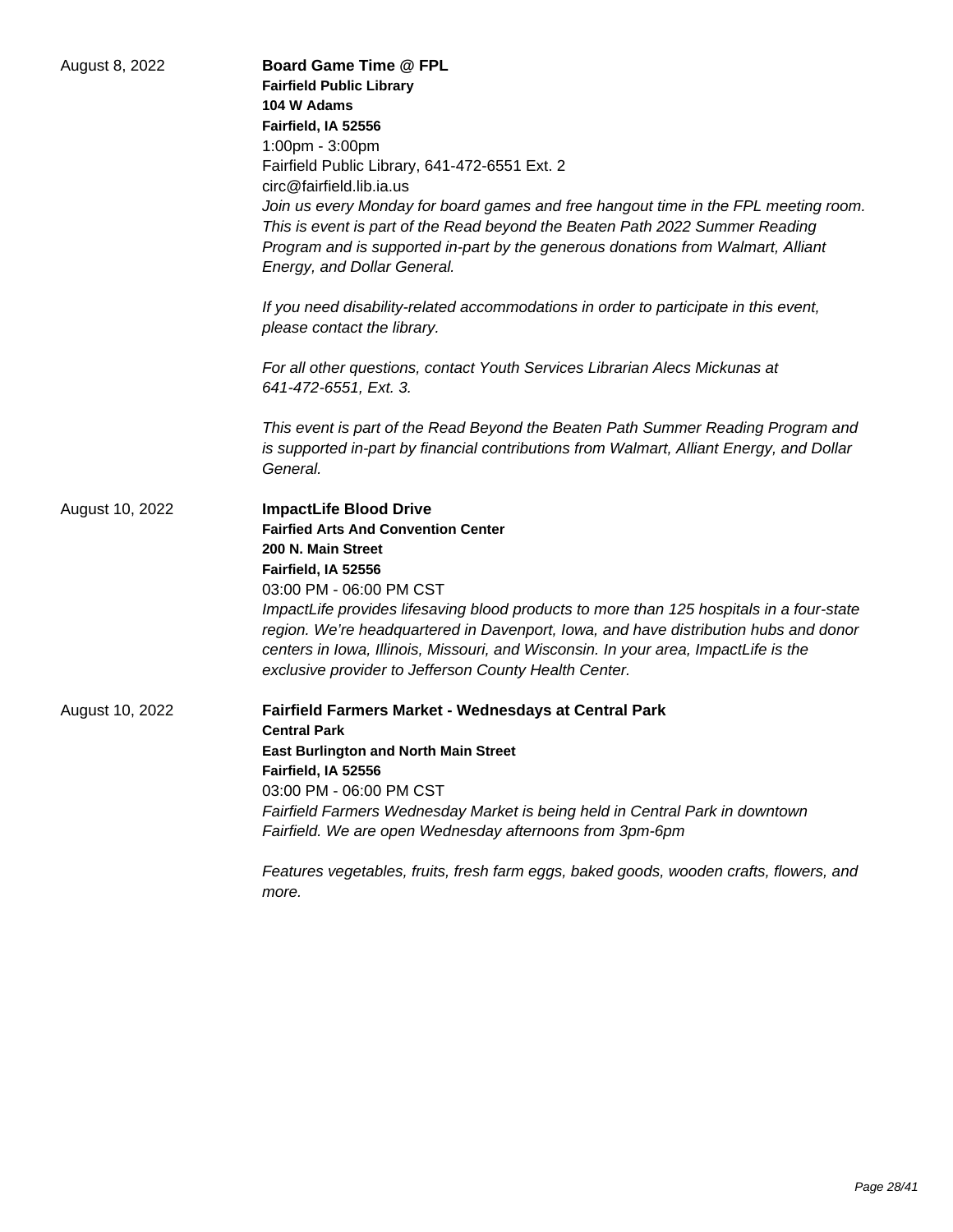| August 8, 2022  | <b>Board Game Time @ FPL</b><br><b>Fairfield Public Library</b><br>104 W Adams<br>Fairfield, IA 52556<br>1:00pm - 3:00pm<br>Fairfield Public Library, 641-472-6551 Ext. 2<br>circ@fairfield.lib.ia.us<br>Join us every Monday for board games and free hangout time in the FPL meeting room.<br>This is event is part of the Read beyond the Beaten Path 2022 Summer Reading<br>Program and is supported in-part by the generous donations from Walmart, Alliant                        |
|-----------------|-----------------------------------------------------------------------------------------------------------------------------------------------------------------------------------------------------------------------------------------------------------------------------------------------------------------------------------------------------------------------------------------------------------------------------------------------------------------------------------------|
|                 | Energy, and Dollar General.<br>If you need disability-related accommodations in order to participate in this event,<br>please contact the library.                                                                                                                                                                                                                                                                                                                                      |
|                 | For all other questions, contact Youth Services Librarian Alecs Mickunas at<br>641-472-6551, Ext. 3.                                                                                                                                                                                                                                                                                                                                                                                    |
|                 | This event is part of the Read Beyond the Beaten Path Summer Reading Program and<br>is supported in-part by financial contributions from Walmart, Alliant Energy, and Dollar<br>General.                                                                                                                                                                                                                                                                                                |
| August 10, 2022 | <b>ImpactLife Blood Drive</b><br><b>Fairfied Arts And Convention Center</b><br>200 N. Main Street<br>Fairfield, IA 52556<br>03:00 PM - 06:00 PM CST<br>ImpactLife provides lifesaving blood products to more than 125 hospitals in a four-state<br>region. We're headquartered in Davenport, Iowa, and have distribution hubs and donor<br>centers in Iowa, Illinois, Missouri, and Wisconsin. In your area, ImpactLife is the<br>exclusive provider to Jefferson County Health Center. |
| August 10, 2022 | Fairfield Farmers Market - Wednesdays at Central Park<br><b>Central Park</b><br><b>East Burlington and North Main Street</b><br>Fairfield, IA 52556<br>03:00 PM - 06:00 PM CST<br>Fairfield Farmers Wednesday Market is being held in Central Park in downtown<br>Fairfield. We are open Wednesday afternoons from 3pm-6pm                                                                                                                                                              |
|                 | Features vegetables, fruits, fresh farm eggs, baked goods, wooden crafts, flowers, and<br>more.                                                                                                                                                                                                                                                                                                                                                                                         |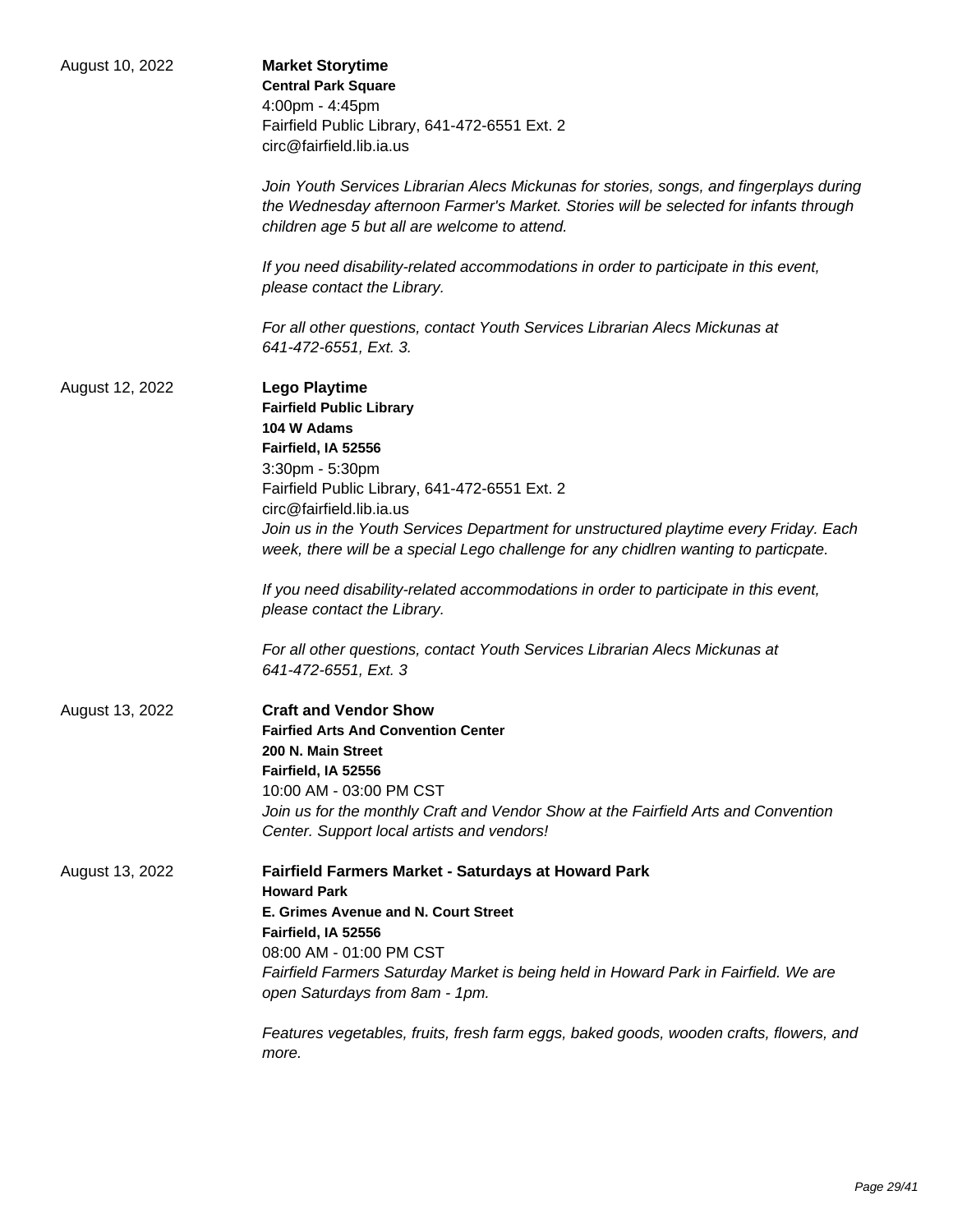| August 10, 2022 | <b>Market Storytime</b><br><b>Central Park Square</b><br>4:00pm - 4:45pm<br>Fairfield Public Library, 641-472-6551 Ext. 2<br>circ@fairfield.lib.ia.us                                                                                                                                                                                                                                                                                                                                                                                                                                                        |
|-----------------|--------------------------------------------------------------------------------------------------------------------------------------------------------------------------------------------------------------------------------------------------------------------------------------------------------------------------------------------------------------------------------------------------------------------------------------------------------------------------------------------------------------------------------------------------------------------------------------------------------------|
|                 | Join Youth Services Librarian Alecs Mickunas for stories, songs, and fingerplays during<br>the Wednesday afternoon Farmer's Market. Stories will be selected for infants through<br>children age 5 but all are welcome to attend.                                                                                                                                                                                                                                                                                                                                                                            |
|                 | If you need disability-related accommodations in order to participate in this event,<br>please contact the Library.                                                                                                                                                                                                                                                                                                                                                                                                                                                                                          |
|                 | For all other questions, contact Youth Services Librarian Alecs Mickunas at<br>641-472-6551, Ext. 3.                                                                                                                                                                                                                                                                                                                                                                                                                                                                                                         |
| August 12, 2022 | <b>Lego Playtime</b><br><b>Fairfield Public Library</b><br>104 W Adams<br>Fairfield, IA 52556<br>3:30pm - 5:30pm<br>Fairfield Public Library, 641-472-6551 Ext. 2<br>circ@fairfield.lib.ia.us<br>Join us in the Youth Services Department for unstructured playtime every Friday. Each<br>week, there will be a special Lego challenge for any chidlren wanting to particpate.<br>If you need disability-related accommodations in order to participate in this event,<br>please contact the Library.<br>For all other questions, contact Youth Services Librarian Alecs Mickunas at<br>641-472-6551, Ext. 3 |
| August 13, 2022 | <b>Craft and Vendor Show</b><br><b>Fairfied Arts And Convention Center</b><br>200 N. Main Street<br>Fairfield, IA 52556<br>10:00 AM - 03:00 PM CST<br>Join us for the monthly Craft and Vendor Show at the Fairfield Arts and Convention<br>Center. Support local artists and vendors!                                                                                                                                                                                                                                                                                                                       |
| August 13, 2022 | <b>Fairfield Farmers Market - Saturdays at Howard Park</b><br><b>Howard Park</b><br>E. Grimes Avenue and N. Court Street<br>Fairfield, IA 52556<br>08:00 AM - 01:00 PM CST<br>Fairfield Farmers Saturday Market is being held in Howard Park in Fairfield. We are<br>open Saturdays from 8am - 1pm.<br>Features vegetables, fruits, fresh farm eggs, baked goods, wooden crafts, flowers, and<br>more.                                                                                                                                                                                                       |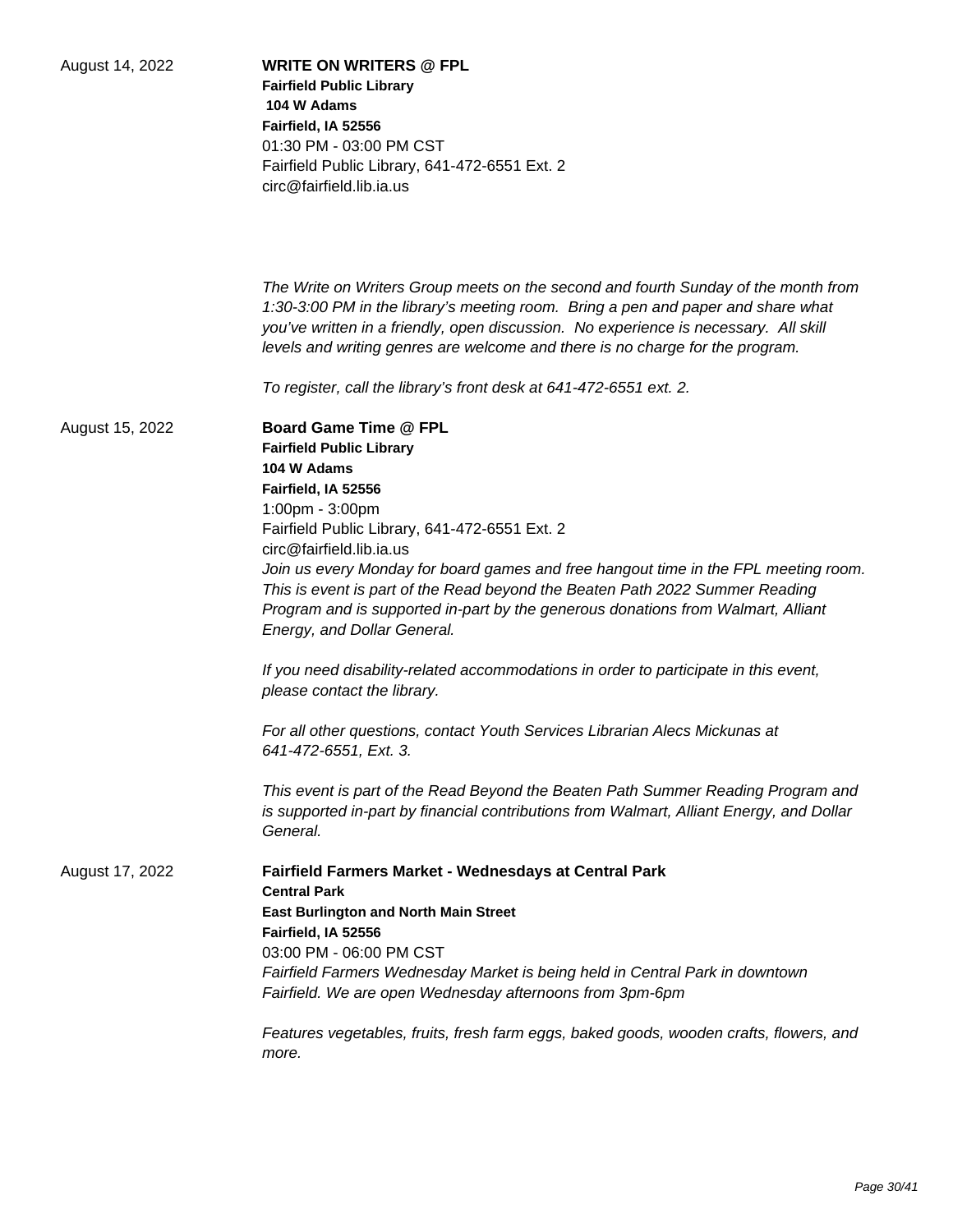| August 14, 2022 | <b>WRITE ON WRITERS @ FPL</b><br><b>Fairfield Public Library</b><br>104 W Adams<br>Fairfield, IA 52556<br>01:30 PM - 03:00 PM CST<br>Fairfield Public Library, 641-472-6551 Ext. 2<br>circ@fairfield.lib.ia.us                                                                                                                                                                                                                                                                                  |
|-----------------|-------------------------------------------------------------------------------------------------------------------------------------------------------------------------------------------------------------------------------------------------------------------------------------------------------------------------------------------------------------------------------------------------------------------------------------------------------------------------------------------------|
|                 | The Write on Writers Group meets on the second and fourth Sunday of the month from<br>1:30-3:00 PM in the library's meeting room. Bring a pen and paper and share what<br>you've written in a friendly, open discussion. No experience is necessary. All skill<br>levels and writing genres are welcome and there is no charge for the program.                                                                                                                                                 |
|                 | To register, call the library's front desk at 641-472-6551 ext. 2.                                                                                                                                                                                                                                                                                                                                                                                                                              |
| August 15, 2022 | <b>Board Game Time @ FPL</b><br><b>Fairfield Public Library</b><br>104 W Adams<br>Fairfield, IA 52556<br>1:00pm - 3:00pm<br>Fairfield Public Library, 641-472-6551 Ext. 2<br>circ@fairfield.lib.ia.us<br>Join us every Monday for board games and free hangout time in the FPL meeting room.<br>This is event is part of the Read beyond the Beaten Path 2022 Summer Reading<br>Program and is supported in-part by the generous donations from Walmart, Alliant<br>Energy, and Dollar General. |
|                 | If you need disability-related accommodations in order to participate in this event,<br>please contact the library.                                                                                                                                                                                                                                                                                                                                                                             |
|                 | For all other questions, contact Youth Services Librarian Alecs Mickunas at<br>641-472-6551, Ext. 3.                                                                                                                                                                                                                                                                                                                                                                                            |
|                 | This event is part of the Read Beyond the Beaten Path Summer Reading Program and<br>is supported in-part by financial contributions from Walmart, Alliant Energy, and Dollar<br>General.                                                                                                                                                                                                                                                                                                        |
| August 17, 2022 | Fairfield Farmers Market - Wednesdays at Central Park<br><b>Central Park</b><br><b>East Burlington and North Main Street</b><br>Fairfield, IA 52556<br>03:00 PM - 06:00 PM CST<br>Fairfield Farmers Wednesday Market is being held in Central Park in downtown<br>Fairfield. We are open Wednesday afternoons from 3pm-6pm                                                                                                                                                                      |
|                 | Features vegetables, fruits, fresh farm eggs, baked goods, wooden crafts, flowers, and<br>more.                                                                                                                                                                                                                                                                                                                                                                                                 |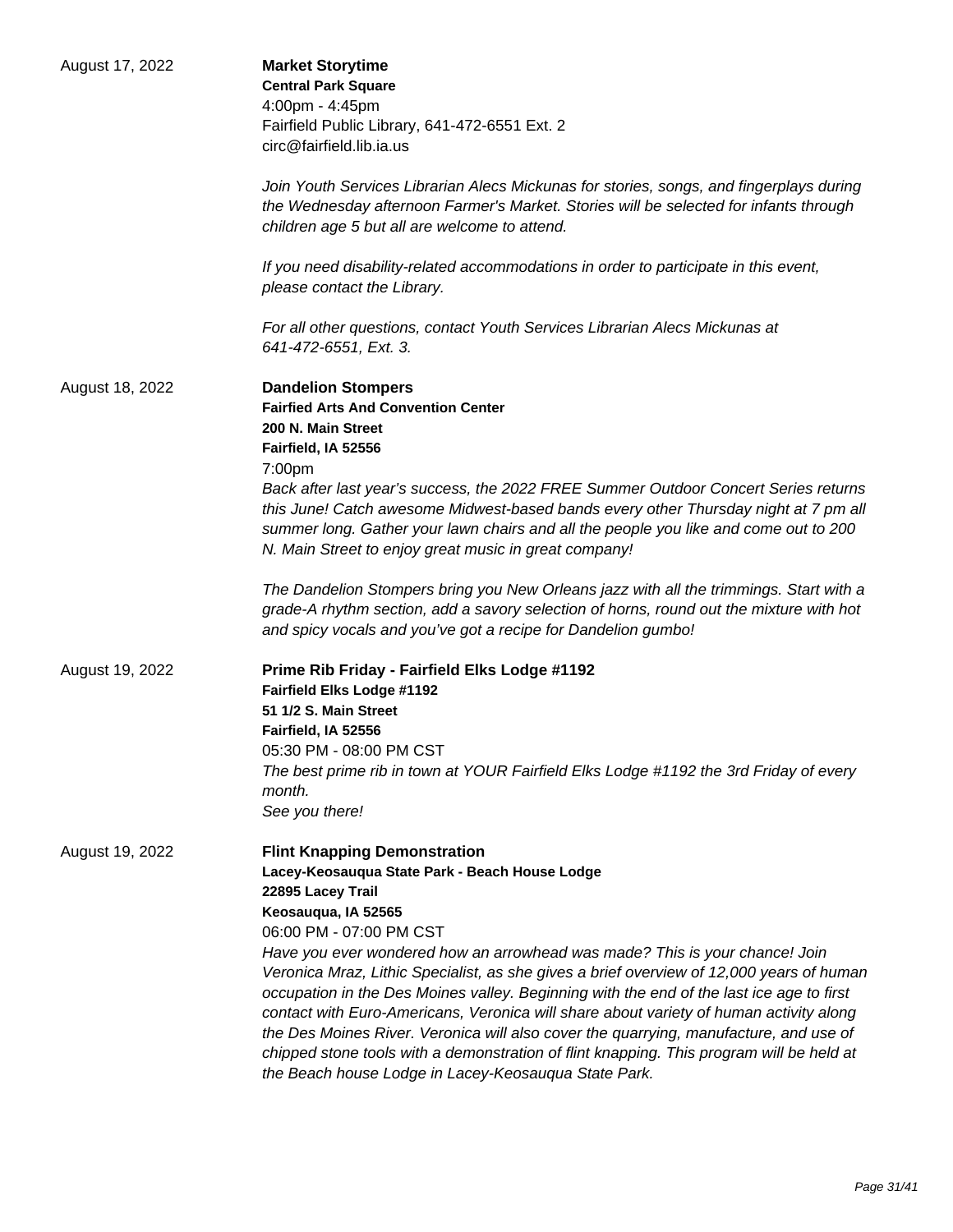| August 17, 2022 | <b>Market Storytime</b><br><b>Central Park Square</b><br>4:00pm - 4:45pm<br>Fairfield Public Library, 641-472-6551 Ext. 2<br>circ@fairfield.lib.ia.us<br>Join Youth Services Librarian Alecs Mickunas for stories, songs, and fingerplays during<br>the Wednesday afternoon Farmer's Market. Stories will be selected for infants through<br>children age 5 but all are welcome to attend.<br>If you need disability-related accommodations in order to participate in this event,<br>please contact the Library.                                                                                                                                                                                                                                                          |
|-----------------|----------------------------------------------------------------------------------------------------------------------------------------------------------------------------------------------------------------------------------------------------------------------------------------------------------------------------------------------------------------------------------------------------------------------------------------------------------------------------------------------------------------------------------------------------------------------------------------------------------------------------------------------------------------------------------------------------------------------------------------------------------------------------|
|                 | For all other questions, contact Youth Services Librarian Alecs Mickunas at<br>641-472-6551, Ext. 3.                                                                                                                                                                                                                                                                                                                                                                                                                                                                                                                                                                                                                                                                       |
| August 18, 2022 | <b>Dandelion Stompers</b><br><b>Fairfied Arts And Convention Center</b><br>200 N. Main Street<br>Fairfield, IA 52556<br>7:00pm<br>Back after last year's success, the 2022 FREE Summer Outdoor Concert Series returns<br>this June! Catch awesome Midwest-based bands every other Thursday night at 7 pm all<br>summer long. Gather your lawn chairs and all the people you like and come out to 200<br>N. Main Street to enjoy great music in great company!<br>The Dandelion Stompers bring you New Orleans jazz with all the trimmings. Start with a<br>grade-A rhythm section, add a savory selection of horns, round out the mixture with hot<br>and spicy vocals and you've got a recipe for Dandelion gumbo!                                                        |
| August 19, 2022 | Prime Rib Friday - Fairfield Elks Lodge #1192<br>Fairfield Elks Lodge #1192<br>51 1/2 S. Main Street<br>Fairfield, IA 52556<br>05:30 PM - 08:00 PM CST<br>The best prime rib in town at YOUR Fairfield Elks Lodge #1192 the 3rd Friday of every<br>month.<br>See you there!                                                                                                                                                                                                                                                                                                                                                                                                                                                                                                |
| August 19, 2022 | <b>Flint Knapping Demonstration</b><br>Lacey-Keosauqua State Park - Beach House Lodge<br>22895 Lacey Trail<br>Keosauqua, IA 52565<br>06:00 PM - 07:00 PM CST<br>Have you ever wondered how an arrowhead was made? This is your chance! Join<br>Veronica Mraz, Lithic Specialist, as she gives a brief overview of 12,000 years of human<br>occupation in the Des Moines valley. Beginning with the end of the last ice age to first<br>contact with Euro-Americans, Veronica will share about variety of human activity along<br>the Des Moines River. Veronica will also cover the quarrying, manufacture, and use of<br>chipped stone tools with a demonstration of flint knapping. This program will be held at<br>the Beach house Lodge in Lacey-Keosauqua State Park. |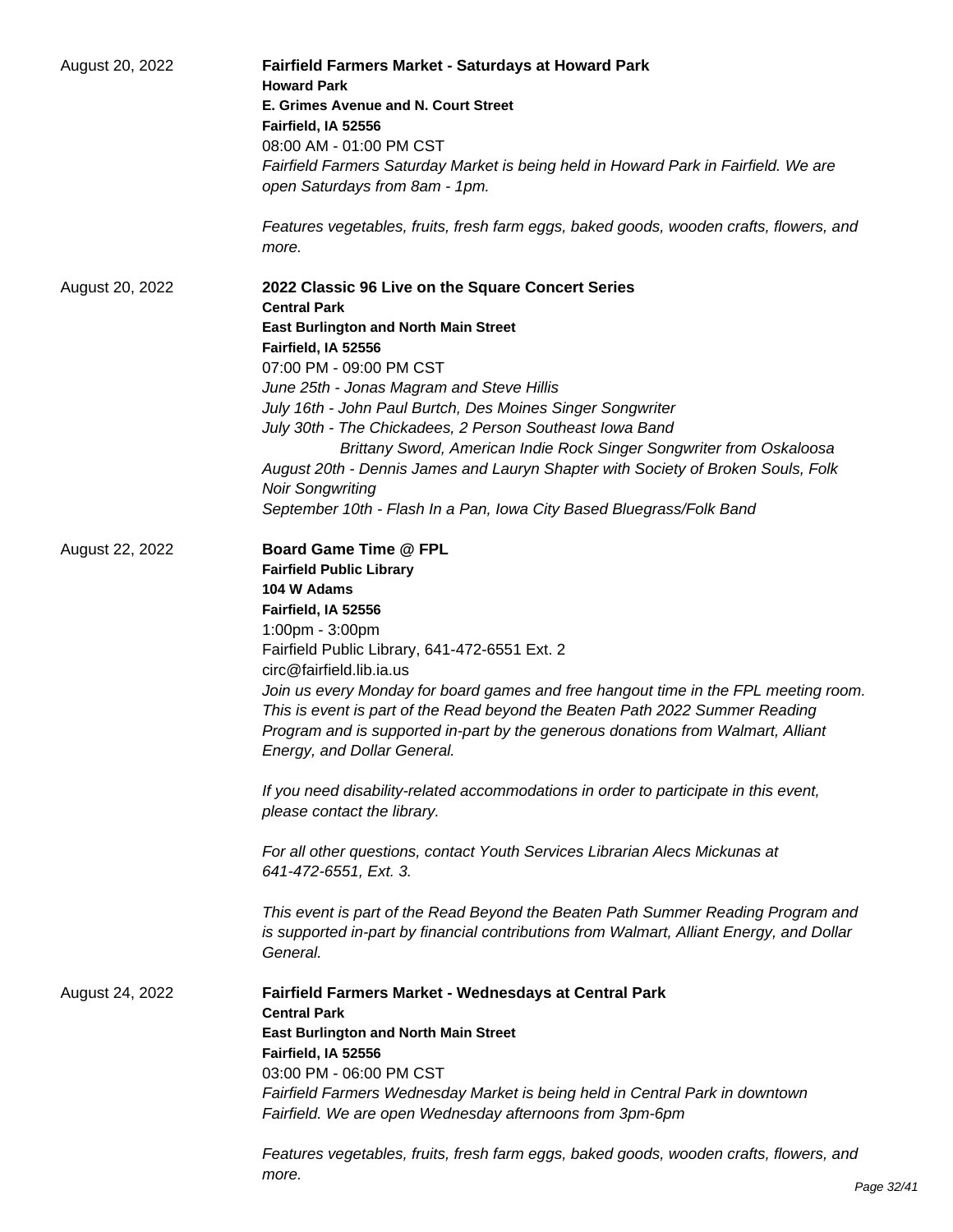| August 20, 2022 | Fairfield Farmers Market - Saturdays at Howard Park<br><b>Howard Park</b>                                                                                                                |
|-----------------|------------------------------------------------------------------------------------------------------------------------------------------------------------------------------------------|
|                 | E. Grimes Avenue and N. Court Street<br>Fairfield, IA 52556                                                                                                                              |
|                 | 08:00 AM - 01:00 PM CST                                                                                                                                                                  |
|                 | Fairfield Farmers Saturday Market is being held in Howard Park in Fairfield. We are                                                                                                      |
|                 | open Saturdays from 8am - 1pm.                                                                                                                                                           |
|                 |                                                                                                                                                                                          |
|                 | Features vegetables, fruits, fresh farm eggs, baked goods, wooden crafts, flowers, and<br>more.                                                                                          |
| August 20, 2022 | 2022 Classic 96 Live on the Square Concert Series<br><b>Central Park</b>                                                                                                                 |
|                 | <b>East Burlington and North Main Street</b>                                                                                                                                             |
|                 | Fairfield, IA 52556                                                                                                                                                                      |
|                 | 07:00 PM - 09:00 PM CST                                                                                                                                                                  |
|                 | June 25th - Jonas Magram and Steve Hillis                                                                                                                                                |
|                 | July 16th - John Paul Burtch, Des Moines Singer Songwriter                                                                                                                               |
|                 | July 30th - The Chickadees, 2 Person Southeast Iowa Band                                                                                                                                 |
|                 | Brittany Sword, American Indie Rock Singer Songwriter from Oskaloosa                                                                                                                     |
|                 | August 20th - Dennis James and Lauryn Shapter with Society of Broken Souls, Folk                                                                                                         |
|                 | <b>Noir Songwriting</b>                                                                                                                                                                  |
|                 | September 10th - Flash In a Pan, Iowa City Based Bluegrass/Folk Band                                                                                                                     |
| August 22, 2022 | <b>Board Game Time @ FPL</b>                                                                                                                                                             |
|                 | <b>Fairfield Public Library</b>                                                                                                                                                          |
|                 | 104 W Adams                                                                                                                                                                              |
|                 | Fairfield, IA 52556                                                                                                                                                                      |
|                 | 1:00pm - 3:00pm                                                                                                                                                                          |
|                 | Fairfield Public Library, 641-472-6551 Ext. 2                                                                                                                                            |
|                 | circ@fairfield.lib.ia.us                                                                                                                                                                 |
|                 | Join us every Monday for board games and free hangout time in the FPL meeting room.                                                                                                      |
|                 | This is event is part of the Read beyond the Beaten Path 2022 Summer Reading                                                                                                             |
|                 | Program and is supported in-part by the generous donations from Walmart, Alliant                                                                                                         |
|                 | Energy, and Dollar General.                                                                                                                                                              |
|                 | If you need disability-related accommodations in order to participate in this event,<br>please contact the library.                                                                      |
|                 | For all other questions, contact Youth Services Librarian Alecs Mickunas at                                                                                                              |
|                 | 641-472-6551, Ext. 3.                                                                                                                                                                    |
|                 |                                                                                                                                                                                          |
|                 | This event is part of the Read Beyond the Beaten Path Summer Reading Program and<br>is supported in-part by financial contributions from Walmart, Alliant Energy, and Dollar<br>General. |
| August 24, 2022 | <b>Fairfield Farmers Market - Wednesdays at Central Park</b><br><b>Central Park</b>                                                                                                      |
|                 | <b>East Burlington and North Main Street</b>                                                                                                                                             |
|                 | Fairfield, IA 52556                                                                                                                                                                      |
|                 | 03:00 PM - 06:00 PM CST                                                                                                                                                                  |
|                 | Fairfield Farmers Wednesday Market is being held in Central Park in downtown                                                                                                             |
|                 | Fairfield. We are open Wednesday afternoons from 3pm-6pm                                                                                                                                 |
|                 |                                                                                                                                                                                          |
|                 | Features vegetables, fruits, fresh farm eggs, baked goods, wooden crafts, flowers, and<br>more.                                                                                          |
|                 |                                                                                                                                                                                          |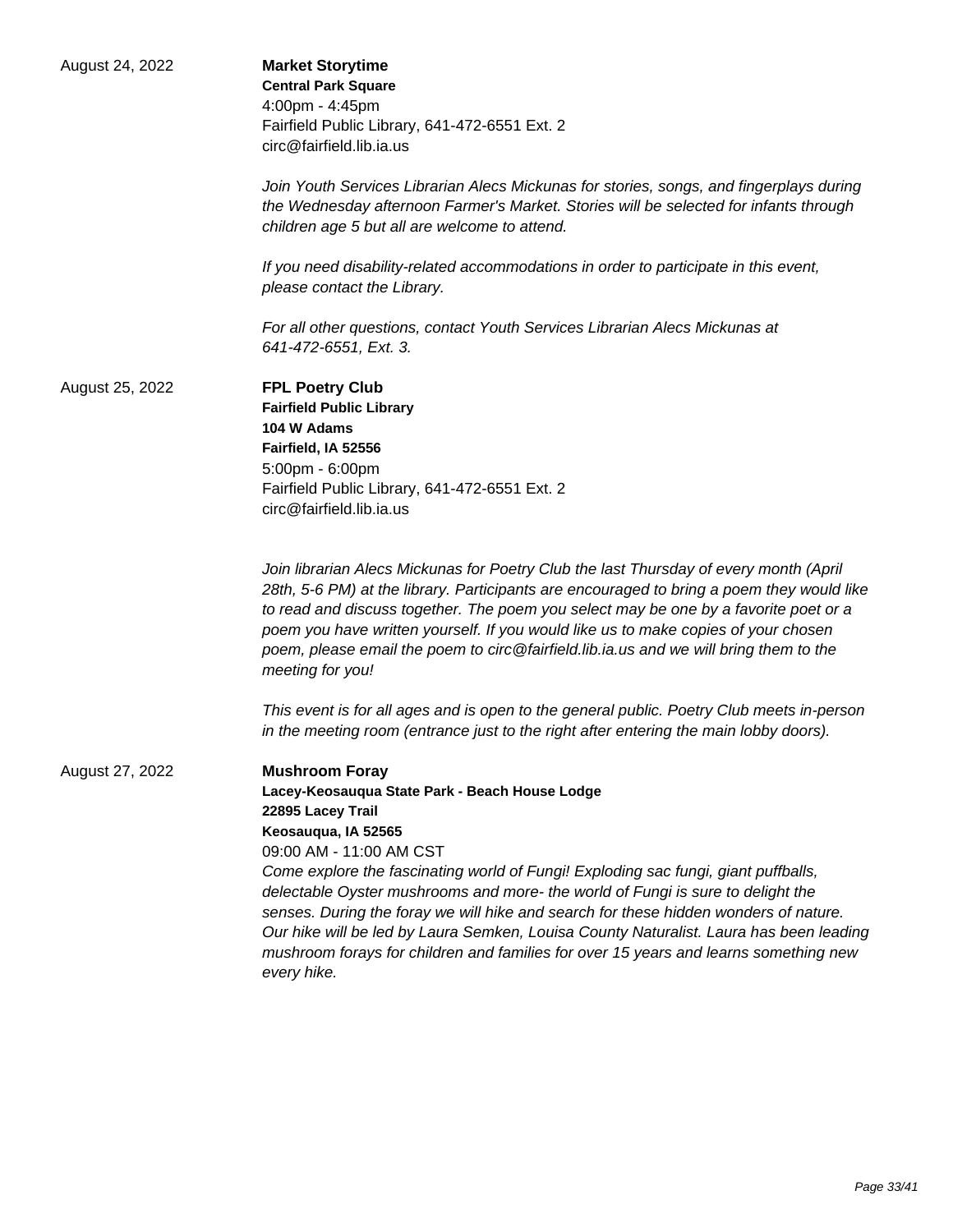| August 24, 2022 | <b>Market Storytime</b><br><b>Central Park Square</b><br>4:00pm - 4:45pm<br>Fairfield Public Library, 641-472-6551 Ext. 2<br>circ@fairfield.lib.ia.us<br>Join Youth Services Librarian Alecs Mickunas for stories, songs, and fingerplays during<br>the Wednesday afternoon Farmer's Market. Stories will be selected for infants through<br>children age 5 but all are welcome to attend.                                                                                                                                                                                                                                                                          |
|-----------------|---------------------------------------------------------------------------------------------------------------------------------------------------------------------------------------------------------------------------------------------------------------------------------------------------------------------------------------------------------------------------------------------------------------------------------------------------------------------------------------------------------------------------------------------------------------------------------------------------------------------------------------------------------------------|
|                 | If you need disability-related accommodations in order to participate in this event,<br>please contact the Library.<br>For all other questions, contact Youth Services Librarian Alecs Mickunas at<br>641-472-6551, Ext. 3.                                                                                                                                                                                                                                                                                                                                                                                                                                         |
| August 25, 2022 | <b>FPL Poetry Club</b><br><b>Fairfield Public Library</b><br>104 W Adams<br>Fairfield, IA 52556<br>5:00pm - 6:00pm<br>Fairfield Public Library, 641-472-6551 Ext. 2<br>circ@fairfield.lib.ia.us                                                                                                                                                                                                                                                                                                                                                                                                                                                                     |
|                 | Join librarian Alecs Mickunas for Poetry Club the last Thursday of every month (April<br>28th, 5-6 PM) at the library. Participants are encouraged to bring a poem they would like<br>to read and discuss together. The poem you select may be one by a favorite poet or a<br>poem you have written yourself. If you would like us to make copies of your chosen<br>poem, please email the poem to circ@fairfield.lib.ia.us and we will bring them to the<br>meeting for you!<br>This event is for all ages and is open to the general public. Poetry Club meets in-person<br>in the meeting room (entrance just to the right after entering the main lobby doors). |
| August 27, 2022 | <b>Mushroom Foray</b><br>Lacey-Keosauqua State Park - Beach House Lodge<br>22895 Lacey Trail<br>Keosauqua, IA 52565<br>09:00 AM - 11:00 AM CST<br>Come explore the fascinating world of Fungi! Exploding sac fungi, giant puffballs,<br>delectable Oyster mushrooms and more- the world of Fungi is sure to delight the<br>senses. During the foray we will hike and search for these hidden wonders of nature.<br>Our hike will be led by Laura Semken, Louisa County Naturalist. Laura has been leading<br>mushroom forays for children and families for over 15 years and learns something new<br>every hike.                                                    |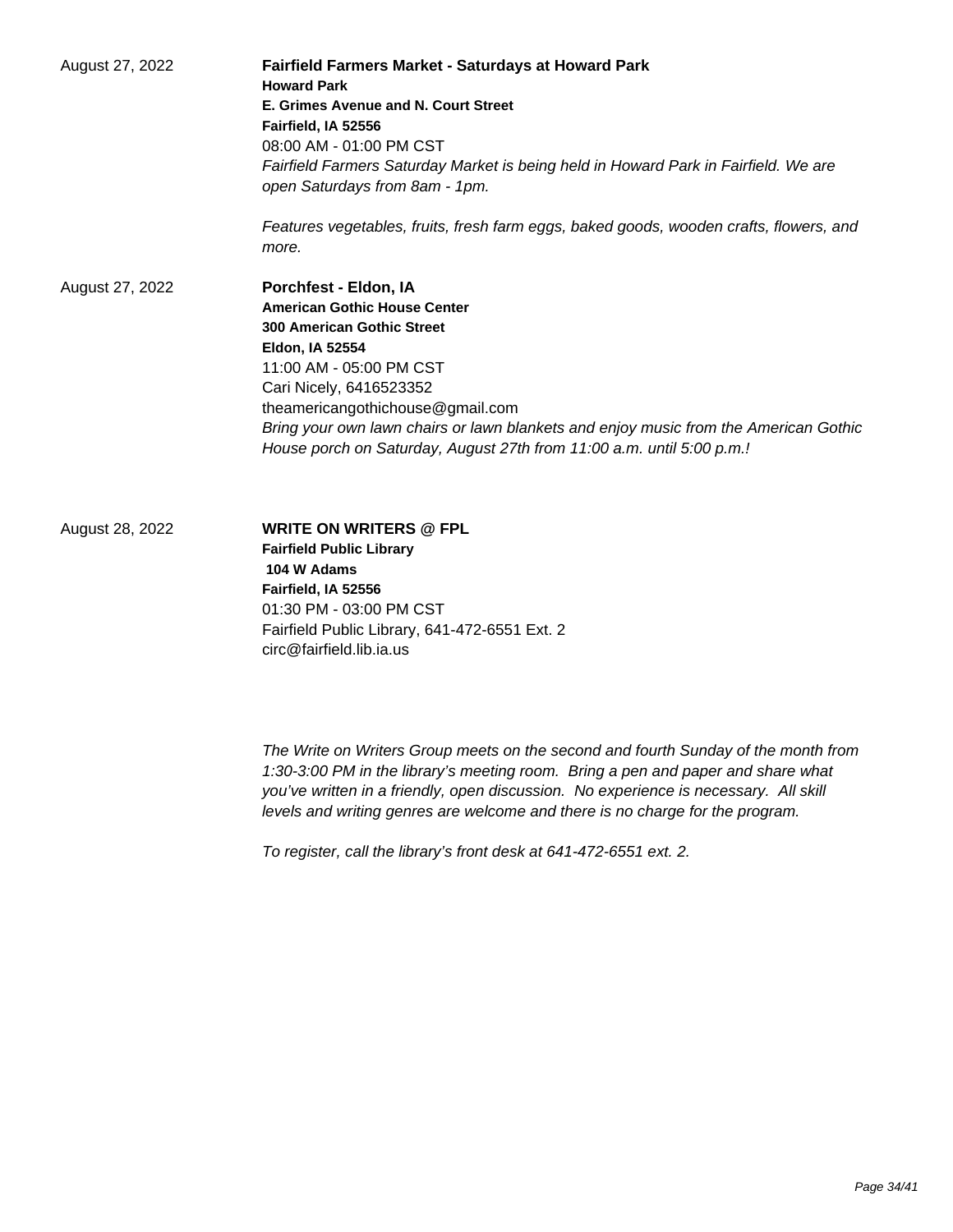August 27, 2022 **Fairfield Farmers Market - Saturdays at Howard Park Howard Park E. Grimes Avenue and N. Court Street Fairfield, IA 52556** 08:00 AM - 01:00 PM CST Fairfield Farmers Saturday Market is being held in Howard Park in Fairfield. We are open Saturdays from 8am - 1pm. Features vegetables, fruits, fresh farm eggs, baked goods, wooden crafts, flowers, and more. August 27, 2022 **Porchfest - Eldon, IA American Gothic House Center 300 American Gothic Street Eldon, IA 52554** 11:00 AM - 05:00 PM CST Cari Nicely, 6416523352 theamericangothichouse@gmail.com Bring your own lawn chairs or lawn blankets and enjoy music from the American Gothic

House porch on Saturday, August 27th from 11:00 a.m. until 5:00 p.m.!

August 28, 2022 **WRITE ON WRITERS @ FPL Fairfield Public Library 104 W Adams Fairfield, IA 52556** 01:30 PM - 03:00 PM CST Fairfield Public Library, 641-472-6551 Ext. 2 circ@fairfield.lib.ia.us

> The Write on Writers Group meets on the second and fourth Sunday of the month from 1:30-3:00 PM in the library's meeting room. Bring a pen and paper and share what you've written in a friendly, open discussion. No experience is necessary. All skill levels and writing genres are welcome and there is no charge for the program.

To register, call the library's front desk at 641-472-6551 ext. 2.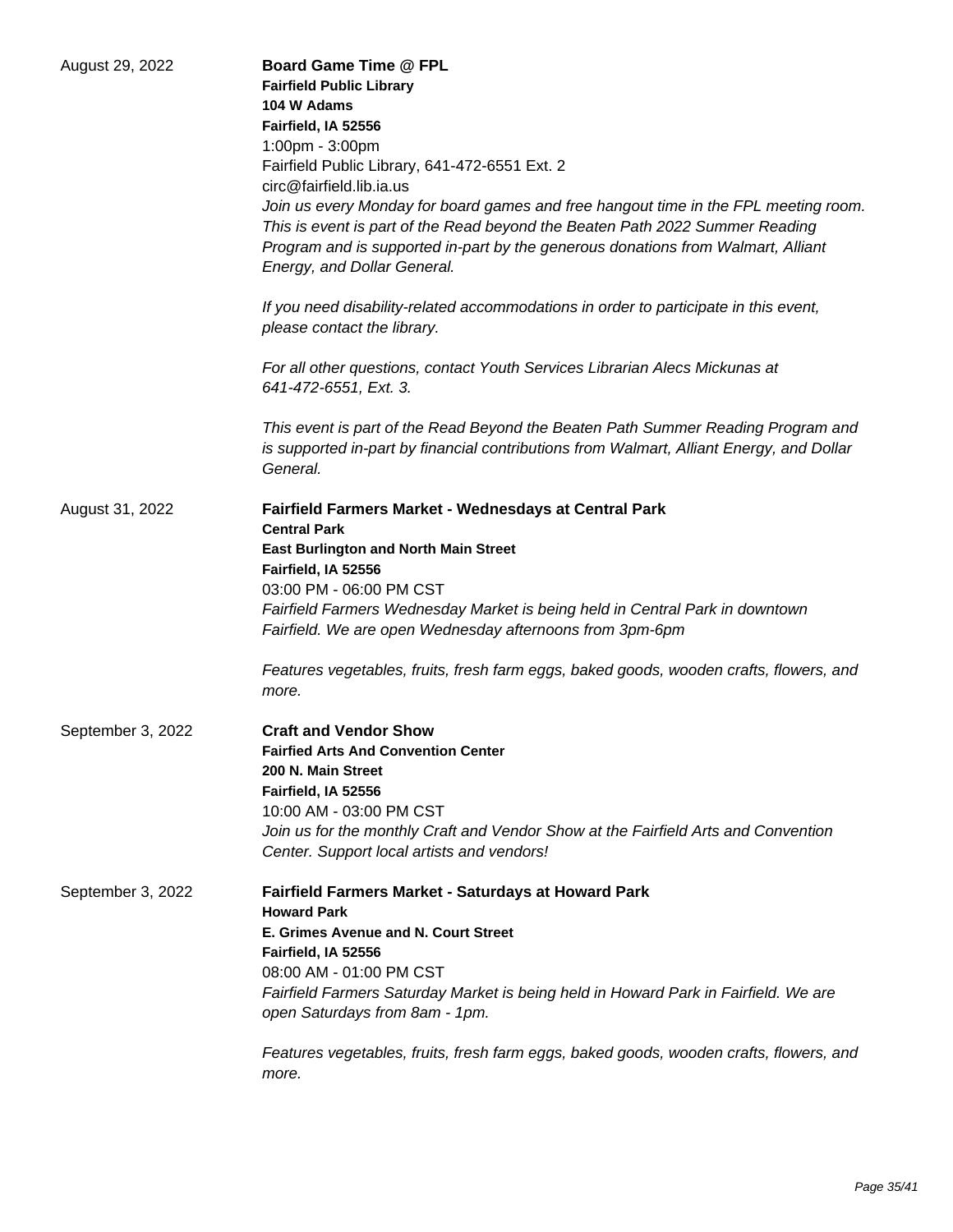| August 29, 2022   | <b>Board Game Time @ FPL</b><br><b>Fairfield Public Library</b><br>104 W Adams<br>Fairfield, IA 52556<br>1:00pm - 3:00pm<br>Fairfield Public Library, 641-472-6551 Ext. 2<br>circ@fairfield.lib.ia.us<br>Join us every Monday for board games and free hangout time in the FPL meeting room.<br>This is event is part of the Read beyond the Beaten Path 2022 Summer Reading<br>Program and is supported in-part by the generous donations from Walmart, Alliant<br>Energy, and Dollar General.<br>If you need disability-related accommodations in order to participate in this event,<br>please contact the library.<br>For all other questions, contact Youth Services Librarian Alecs Mickunas at<br>641-472-6551, Ext. 3. |
|-------------------|--------------------------------------------------------------------------------------------------------------------------------------------------------------------------------------------------------------------------------------------------------------------------------------------------------------------------------------------------------------------------------------------------------------------------------------------------------------------------------------------------------------------------------------------------------------------------------------------------------------------------------------------------------------------------------------------------------------------------------|
|                   | This event is part of the Read Beyond the Beaten Path Summer Reading Program and<br>is supported in-part by financial contributions from Walmart, Alliant Energy, and Dollar<br>General.                                                                                                                                                                                                                                                                                                                                                                                                                                                                                                                                       |
| August 31, 2022   | Fairfield Farmers Market - Wednesdays at Central Park<br><b>Central Park</b><br><b>East Burlington and North Main Street</b><br>Fairfield, IA 52556<br>03:00 PM - 06:00 PM CST<br>Fairfield Farmers Wednesday Market is being held in Central Park in downtown<br>Fairfield. We are open Wednesday afternoons from 3pm-6pm<br>Features vegetables, fruits, fresh farm eggs, baked goods, wooden crafts, flowers, and<br>more.                                                                                                                                                                                                                                                                                                  |
| September 3, 2022 | <b>Craft and Vendor Show</b><br><b>Fairfied Arts And Convention Center</b><br>200 N. Main Street<br>Fairfield, IA 52556<br>10:00 AM - 03:00 PM CST<br>Join us for the monthly Craft and Vendor Show at the Fairfield Arts and Convention<br>Center. Support local artists and vendors!                                                                                                                                                                                                                                                                                                                                                                                                                                         |
| September 3, 2022 | Fairfield Farmers Market - Saturdays at Howard Park<br><b>Howard Park</b><br>E. Grimes Avenue and N. Court Street<br>Fairfield, IA 52556<br>08:00 AM - 01:00 PM CST<br>Fairfield Farmers Saturday Market is being held in Howard Park in Fairfield. We are<br>open Saturdays from 8am - 1pm.<br>Features vegetables, fruits, fresh farm eggs, baked goods, wooden crafts, flowers, and<br>more.                                                                                                                                                                                                                                                                                                                                |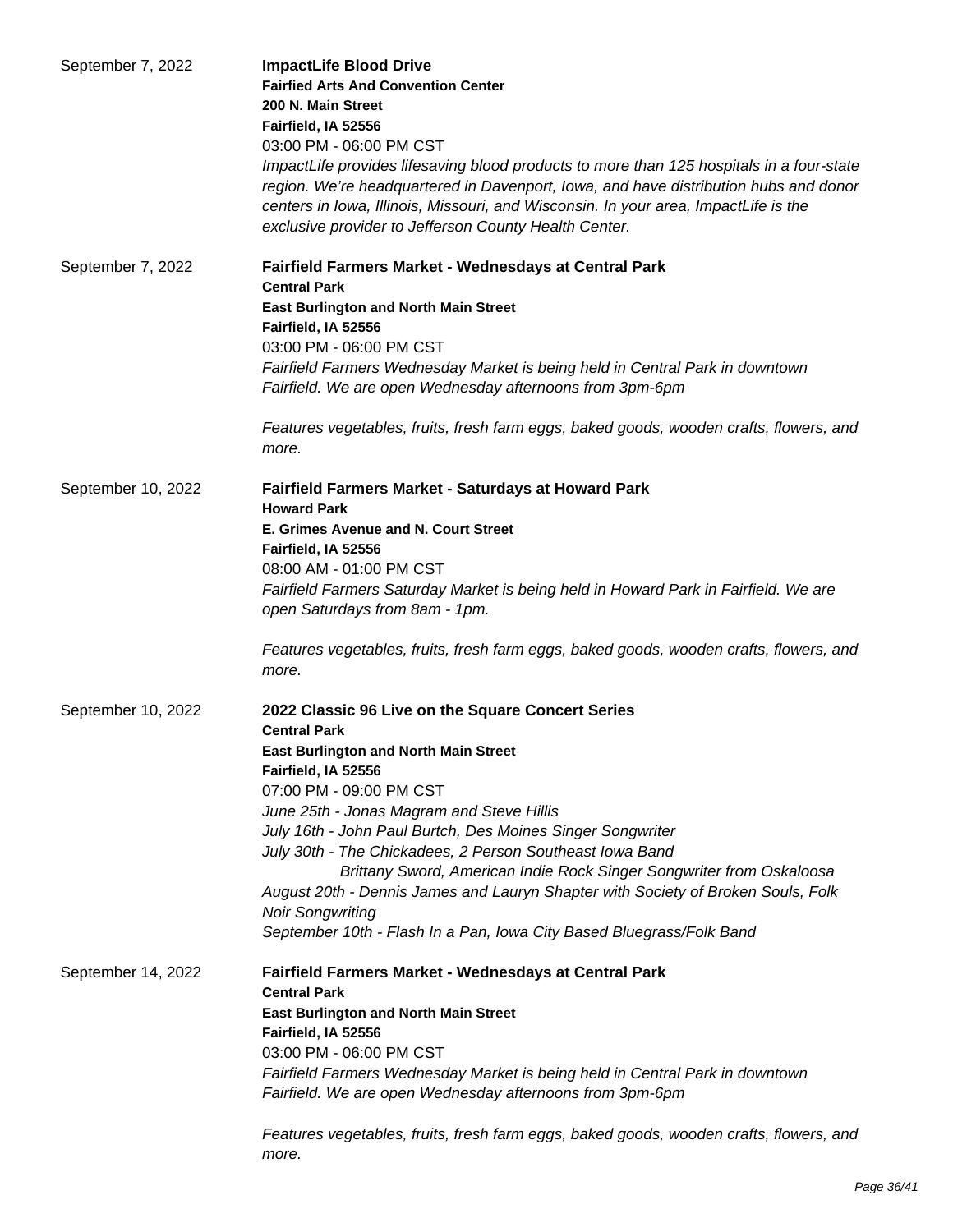| September 7, 2022  | <b>ImpactLife Blood Drive</b><br><b>Fairfied Arts And Convention Center</b><br>200 N. Main Street<br>Fairfield, IA 52556<br>03:00 PM - 06:00 PM CST<br>ImpactLife provides lifesaving blood products to more than 125 hospitals in a four-state<br>region. We're headquartered in Davenport, Iowa, and have distribution hubs and donor<br>centers in Iowa, Illinois, Missouri, and Wisconsin. In your area, ImpactLife is the<br>exclusive provider to Jefferson County Health Center.                                                                                                                          |
|--------------------|------------------------------------------------------------------------------------------------------------------------------------------------------------------------------------------------------------------------------------------------------------------------------------------------------------------------------------------------------------------------------------------------------------------------------------------------------------------------------------------------------------------------------------------------------------------------------------------------------------------|
| September 7, 2022  | Fairfield Farmers Market - Wednesdays at Central Park<br><b>Central Park</b><br><b>East Burlington and North Main Street</b><br>Fairfield, IA 52556<br>03:00 PM - 06:00 PM CST<br>Fairfield Farmers Wednesday Market is being held in Central Park in downtown<br>Fairfield. We are open Wednesday afternoons from 3pm-6pm<br>Features vegetables, fruits, fresh farm eggs, baked goods, wooden crafts, flowers, and                                                                                                                                                                                             |
|                    | more.                                                                                                                                                                                                                                                                                                                                                                                                                                                                                                                                                                                                            |
| September 10, 2022 | Fairfield Farmers Market - Saturdays at Howard Park<br><b>Howard Park</b><br>E. Grimes Avenue and N. Court Street<br>Fairfield, IA 52556<br>08:00 AM - 01:00 PM CST<br>Fairfield Farmers Saturday Market is being held in Howard Park in Fairfield. We are<br>open Saturdays from 8am - 1pm.<br>Features vegetables, fruits, fresh farm eggs, baked goods, wooden crafts, flowers, and<br>more.                                                                                                                                                                                                                  |
| September 10, 2022 | 2022 Classic 96 Live on the Square Concert Series<br><b>Central Park</b><br><b>East Burlington and North Main Street</b><br>Fairfield, IA 52556<br>07:00 PM - 09:00 PM CST<br>June 25th - Jonas Magram and Steve Hillis<br>July 16th - John Paul Burtch, Des Moines Singer Songwriter<br>July 30th - The Chickadees, 2 Person Southeast Iowa Band<br>Brittany Sword, American Indie Rock Singer Songwriter from Oskaloosa<br>August 20th - Dennis James and Lauryn Shapter with Society of Broken Souls, Folk<br><b>Noir Songwriting</b><br>September 10th - Flash In a Pan, Iowa City Based Bluegrass/Folk Band |
| September 14, 2022 | Fairfield Farmers Market - Wednesdays at Central Park<br><b>Central Park</b><br><b>East Burlington and North Main Street</b><br>Fairfield, IA 52556<br>03:00 PM - 06:00 PM CST<br>Fairfield Farmers Wednesday Market is being held in Central Park in downtown<br>Fairfield. We are open Wednesday afternoons from 3pm-6pm<br>Features vegetables, fruits, fresh farm eggs, baked goods, wooden crafts, flowers, and<br>more.                                                                                                                                                                                    |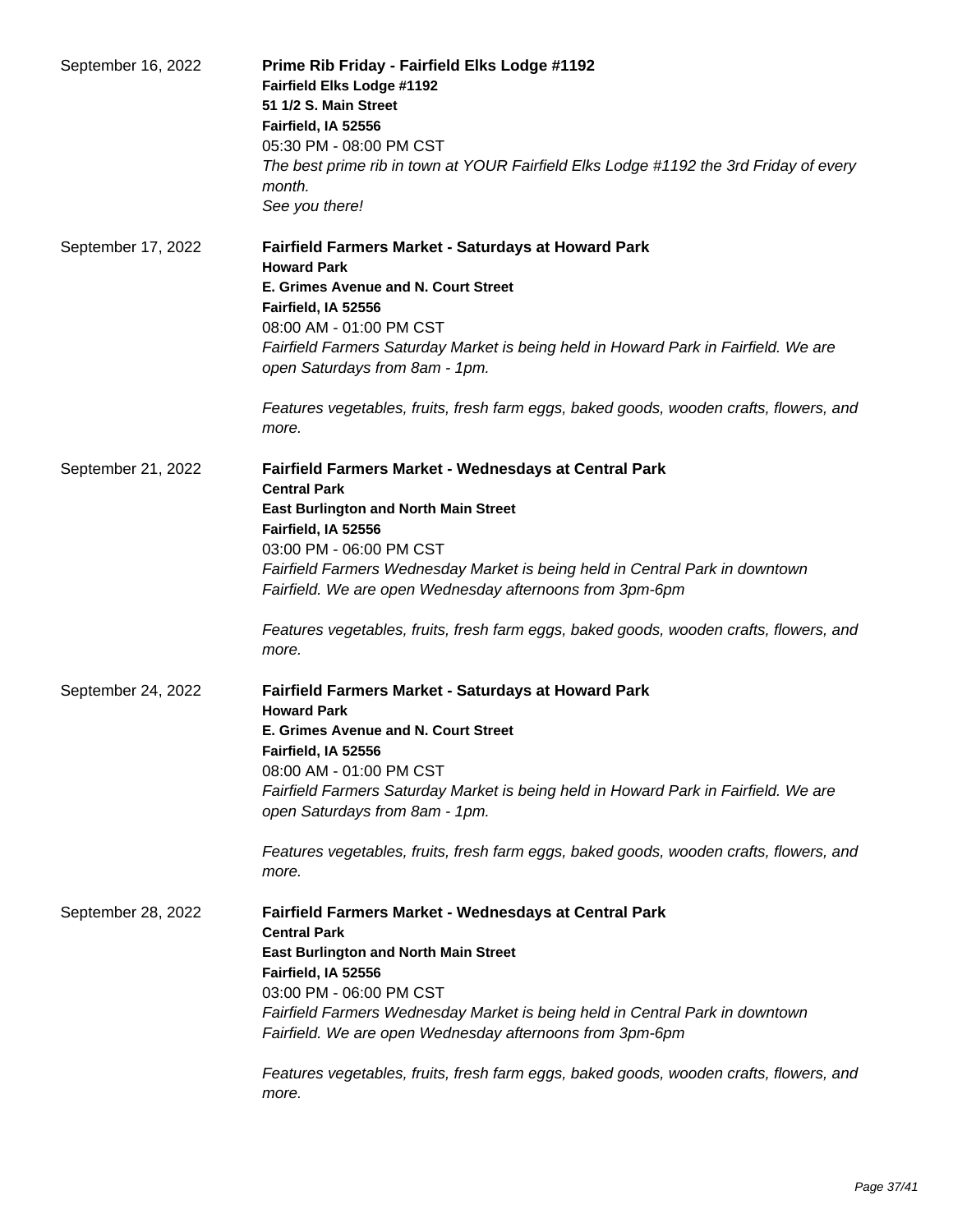| September 16, 2022 | Prime Rib Friday - Fairfield Elks Lodge #1192<br>Fairfield Elks Lodge #1192<br>51 1/2 S. Main Street<br>Fairfield, IA 52556<br>05:30 PM - 08:00 PM CST<br>The best prime rib in town at YOUR Fairfield Elks Lodge #1192 the 3rd Friday of every<br>month.<br>See you there!                                                                                                                                                   |
|--------------------|-------------------------------------------------------------------------------------------------------------------------------------------------------------------------------------------------------------------------------------------------------------------------------------------------------------------------------------------------------------------------------------------------------------------------------|
| September 17, 2022 | Fairfield Farmers Market - Saturdays at Howard Park<br><b>Howard Park</b><br>E. Grimes Avenue and N. Court Street<br>Fairfield, IA 52556<br>08:00 AM - 01:00 PM CST<br>Fairfield Farmers Saturday Market is being held in Howard Park in Fairfield. We are<br>open Saturdays from 8am - 1pm.<br>Features vegetables, fruits, fresh farm eggs, baked goods, wooden crafts, flowers, and<br>more.                               |
| September 21, 2022 | Fairfield Farmers Market - Wednesdays at Central Park<br><b>Central Park</b><br><b>East Burlington and North Main Street</b><br>Fairfield, IA 52556<br>03:00 PM - 06:00 PM CST<br>Fairfield Farmers Wednesday Market is being held in Central Park in downtown<br>Fairfield. We are open Wednesday afternoons from 3pm-6pm<br>Features vegetables, fruits, fresh farm eggs, baked goods, wooden crafts, flowers, and          |
|                    | more.                                                                                                                                                                                                                                                                                                                                                                                                                         |
| September 24, 2022 | Fairfield Farmers Market - Saturdays at Howard Park<br><b>Howard Park</b><br>E. Grimes Avenue and N. Court Street<br>Fairfield, IA 52556<br>08:00 AM - 01:00 PM CST<br>Fairfield Farmers Saturday Market is being held in Howard Park in Fairfield. We are<br>open Saturdays from 8am - 1pm.<br>Features vegetables, fruits, fresh farm eggs, baked goods, wooden crafts, flowers, and<br>more.                               |
| September 28, 2022 | Fairfield Farmers Market - Wednesdays at Central Park<br><b>Central Park</b><br><b>East Burlington and North Main Street</b><br>Fairfield, IA 52556<br>03:00 PM - 06:00 PM CST<br>Fairfield Farmers Wednesday Market is being held in Central Park in downtown<br>Fairfield. We are open Wednesday afternoons from 3pm-6pm<br>Features vegetables, fruits, fresh farm eggs, baked goods, wooden crafts, flowers, and<br>more. |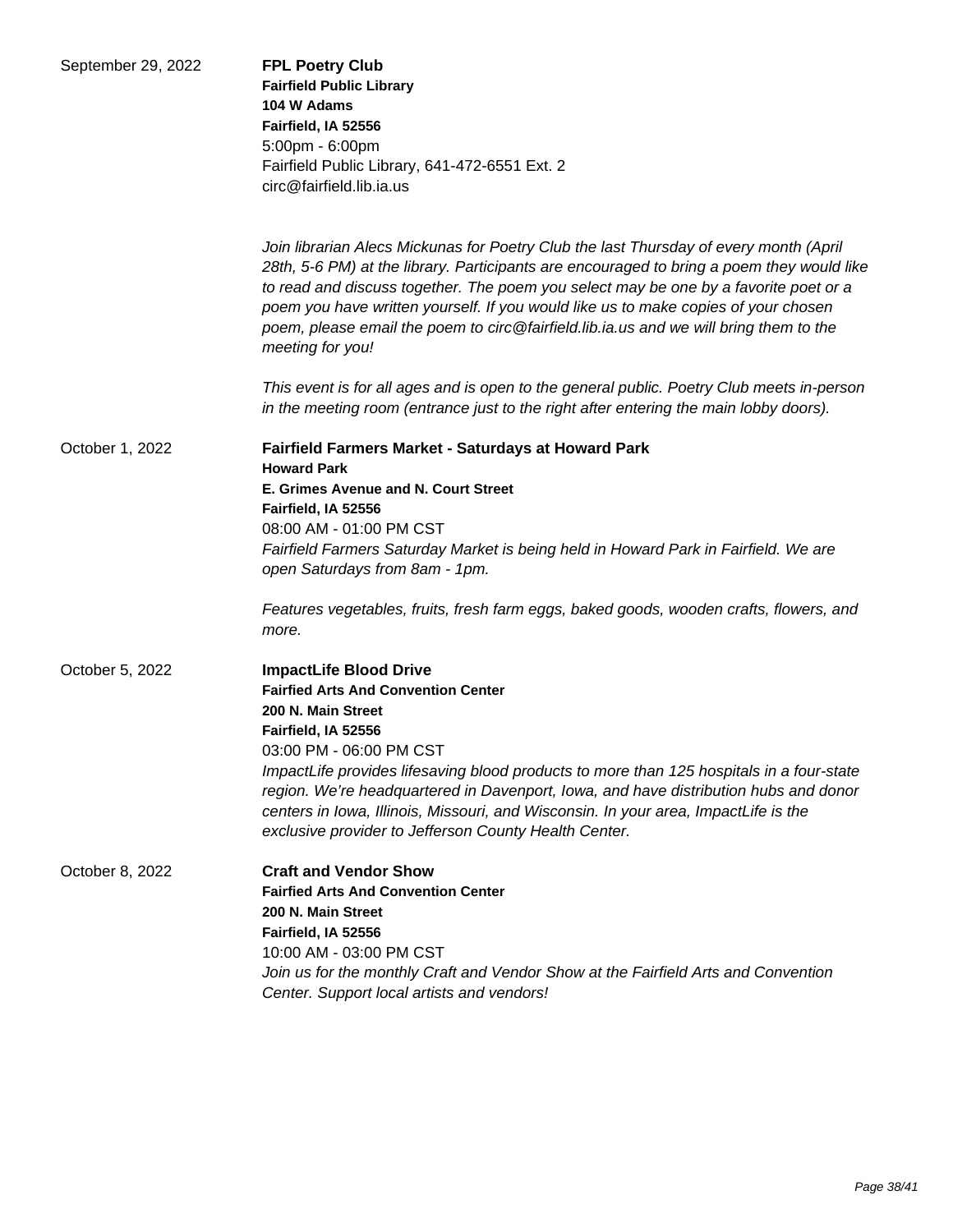| September 29, 2022 | <b>FPL Poetry Club</b><br><b>Fairfield Public Library</b><br>104 W Adams<br>Fairfield, IA 52556<br>5:00pm - 6:00pm<br>Fairfield Public Library, 641-472-6551 Ext. 2<br>circ@fairfield.lib.ia.us                                                                                                                                                                                                                                                                                         |
|--------------------|-----------------------------------------------------------------------------------------------------------------------------------------------------------------------------------------------------------------------------------------------------------------------------------------------------------------------------------------------------------------------------------------------------------------------------------------------------------------------------------------|
|                    | Join librarian Alecs Mickunas for Poetry Club the last Thursday of every month (April<br>28th, 5-6 PM) at the library. Participants are encouraged to bring a poem they would like<br>to read and discuss together. The poem you select may be one by a favorite poet or a<br>poem you have written yourself. If you would like us to make copies of your chosen<br>poem, please email the poem to circ@fairfield.lib.ia.us and we will bring them to the<br>meeting for you!           |
|                    | This event is for all ages and is open to the general public. Poetry Club meets in-person<br>in the meeting room (entrance just to the right after entering the main lobby doors).                                                                                                                                                                                                                                                                                                      |
| October 1, 2022    | Fairfield Farmers Market - Saturdays at Howard Park<br><b>Howard Park</b><br>E. Grimes Avenue and N. Court Street<br>Fairfield, IA 52556<br>08:00 AM - 01:00 PM CST<br>Fairfield Farmers Saturday Market is being held in Howard Park in Fairfield. We are<br>open Saturdays from 8am - 1pm.<br>Features vegetables, fruits, fresh farm eggs, baked goods, wooden crafts, flowers, and<br>more.                                                                                         |
| October 5, 2022    | <b>ImpactLife Blood Drive</b><br><b>Fairfied Arts And Convention Center</b><br>200 N. Main Street<br>Fairfield, IA 52556<br>03:00 PM - 06:00 PM CST<br>ImpactLife provides lifesaving blood products to more than 125 hospitals in a four-state<br>region. We're headquartered in Davenport, Iowa, and have distribution hubs and donor<br>centers in Iowa, Illinois, Missouri, and Wisconsin. In your area, ImpactLife is the<br>exclusive provider to Jefferson County Health Center. |
| October 8, 2022    | <b>Craft and Vendor Show</b><br><b>Fairfied Arts And Convention Center</b><br>200 N. Main Street<br>Fairfield, IA 52556<br>10:00 AM - 03:00 PM CST<br>Join us for the monthly Craft and Vendor Show at the Fairfield Arts and Convention<br>Center. Support local artists and vendors!                                                                                                                                                                                                  |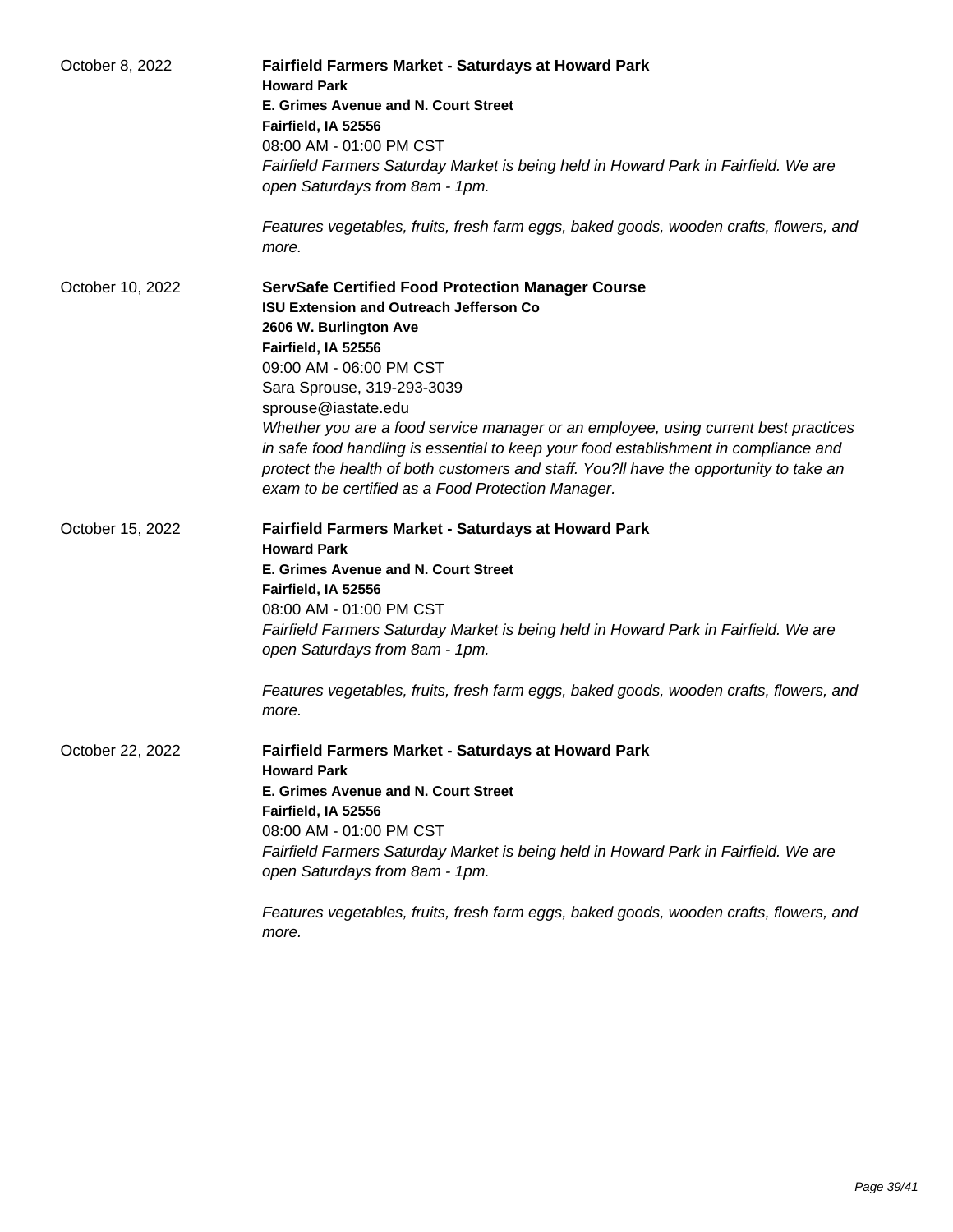| October 8, 2022  | <b>Fairfield Farmers Market - Saturdays at Howard Park</b><br><b>Howard Park</b>                                      |
|------------------|-----------------------------------------------------------------------------------------------------------------------|
|                  | E. Grimes Avenue and N. Court Street<br>Fairfield, IA 52556                                                           |
|                  | 08:00 AM - 01:00 PM CST                                                                                               |
|                  | Fairfield Farmers Saturday Market is being held in Howard Park in Fairfield. We are<br>open Saturdays from 8am - 1pm. |
|                  | Features vegetables, fruits, fresh farm eggs, baked goods, wooden crafts, flowers, and<br>more.                       |
| October 10, 2022 | <b>ServSafe Certified Food Protection Manager Course</b>                                                              |
|                  | <b>ISU Extension and Outreach Jefferson Co</b>                                                                        |
|                  | 2606 W. Burlington Ave                                                                                                |
|                  | Fairfield, IA 52556                                                                                                   |
|                  | 09:00 AM - 06:00 PM CST<br>Sara Sprouse, 319-293-3039                                                                 |
|                  | sprouse@iastate.edu                                                                                                   |
|                  | Whether you are a food service manager or an employee, using current best practices                                   |
|                  | in safe food handling is essential to keep your food establishment in compliance and                                  |
|                  | protect the health of both customers and staff. You?II have the opportunity to take an                                |
|                  | exam to be certified as a Food Protection Manager.                                                                    |
| October 15, 2022 | <b>Fairfield Farmers Market - Saturdays at Howard Park</b>                                                            |
|                  | <b>Howard Park</b>                                                                                                    |
|                  | E. Grimes Avenue and N. Court Street                                                                                  |
|                  | Fairfield, IA 52556                                                                                                   |
|                  | 08:00 AM - 01:00 PM CST                                                                                               |
|                  | Fairfield Farmers Saturday Market is being held in Howard Park in Fairfield. We are<br>open Saturdays from 8am - 1pm. |
|                  | Features vegetables, fruits, fresh farm eggs, baked goods, wooden crafts, flowers, and<br>more.                       |
| October 22, 2022 | <b>Fairfield Farmers Market - Saturdays at Howard Park</b>                                                            |
|                  | <b>Howard Park</b><br>E. Grimes Avenue and N. Court Street                                                            |
|                  | Fairfield, IA 52556                                                                                                   |
|                  | 08:00 AM - 01:00 PM CST                                                                                               |
|                  | Fairfield Farmers Saturday Market is being held in Howard Park in Fairfield. We are                                   |
|                  | open Saturdays from 8am - 1pm.                                                                                        |
|                  |                                                                                                                       |
|                  | Features vegetables, fruits, fresh farm eggs, baked goods, wooden crafts, flowers, and<br>more.                       |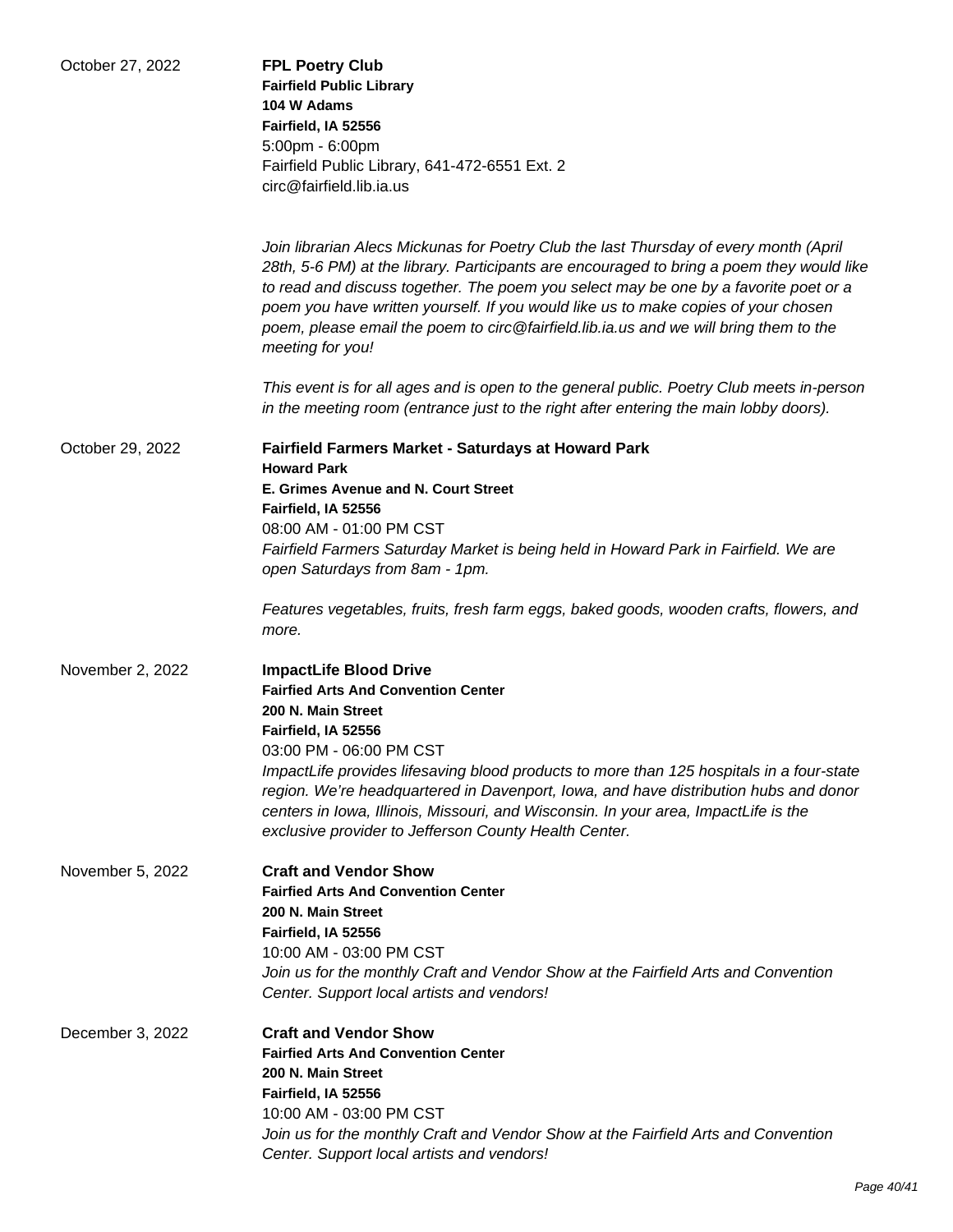| October 27, 2022 | <b>FPL Poetry Club</b><br><b>Fairfield Public Library</b><br>104 W Adams<br>Fairfield, IA 52556<br>5:00pm - 6:00pm<br>Fairfield Public Library, 641-472-6551 Ext. 2<br>circ@fairfield.lib.ia.us                                                                                                                                                                                                                                                                               |
|------------------|-------------------------------------------------------------------------------------------------------------------------------------------------------------------------------------------------------------------------------------------------------------------------------------------------------------------------------------------------------------------------------------------------------------------------------------------------------------------------------|
|                  | Join librarian Alecs Mickunas for Poetry Club the last Thursday of every month (April<br>28th, 5-6 PM) at the library. Participants are encouraged to bring a poem they would like<br>to read and discuss together. The poem you select may be one by a favorite poet or a<br>poem you have written yourself. If you would like us to make copies of your chosen<br>poem, please email the poem to circ@fairfield.lib.ia.us and we will bring them to the<br>meeting for you! |
|                  | This event is for all ages and is open to the general public. Poetry Club meets in-person<br>in the meeting room (entrance just to the right after entering the main lobby doors).                                                                                                                                                                                                                                                                                            |
| October 29, 2022 | Fairfield Farmers Market - Saturdays at Howard Park<br><b>Howard Park</b>                                                                                                                                                                                                                                                                                                                                                                                                     |
|                  | E. Grimes Avenue and N. Court Street                                                                                                                                                                                                                                                                                                                                                                                                                                          |
|                  | Fairfield, IA 52556                                                                                                                                                                                                                                                                                                                                                                                                                                                           |
|                  | 08:00 AM - 01:00 PM CST                                                                                                                                                                                                                                                                                                                                                                                                                                                       |
|                  | Fairfield Farmers Saturday Market is being held in Howard Park in Fairfield. We are<br>open Saturdays from 8am - 1pm.                                                                                                                                                                                                                                                                                                                                                         |
|                  | Features vegetables, fruits, fresh farm eggs, baked goods, wooden crafts, flowers, and<br>more.                                                                                                                                                                                                                                                                                                                                                                               |
| November 2, 2022 | <b>ImpactLife Blood Drive</b>                                                                                                                                                                                                                                                                                                                                                                                                                                                 |
|                  | <b>Fairfied Arts And Convention Center</b>                                                                                                                                                                                                                                                                                                                                                                                                                                    |
|                  | 200 N. Main Street<br>Fairfield, IA 52556                                                                                                                                                                                                                                                                                                                                                                                                                                     |
|                  | 03:00 PM - 06:00 PM CST                                                                                                                                                                                                                                                                                                                                                                                                                                                       |
|                  | ImpactLife provides lifesaving blood products to more than 125 hospitals in a four-state<br>region. We're headquartered in Davenport, Iowa, and have distribution hubs and donor<br>centers in Iowa, Illinois, Missouri, and Wisconsin. In your area, ImpactLife is the<br>exclusive provider to Jefferson County Health Center.                                                                                                                                              |
| November 5, 2022 | <b>Craft and Vendor Show</b>                                                                                                                                                                                                                                                                                                                                                                                                                                                  |
|                  | <b>Fairfied Arts And Convention Center</b>                                                                                                                                                                                                                                                                                                                                                                                                                                    |
|                  | 200 N. Main Street                                                                                                                                                                                                                                                                                                                                                                                                                                                            |
|                  | Fairfield, IA 52556<br>10:00 AM - 03:00 PM CST                                                                                                                                                                                                                                                                                                                                                                                                                                |
|                  | Join us for the monthly Craft and Vendor Show at the Fairfield Arts and Convention                                                                                                                                                                                                                                                                                                                                                                                            |
|                  | Center. Support local artists and vendors!                                                                                                                                                                                                                                                                                                                                                                                                                                    |
| December 3, 2022 | <b>Craft and Vendor Show</b>                                                                                                                                                                                                                                                                                                                                                                                                                                                  |
|                  | <b>Fairfied Arts And Convention Center</b>                                                                                                                                                                                                                                                                                                                                                                                                                                    |
|                  | 200 N. Main Street<br>Fairfield, IA 52556                                                                                                                                                                                                                                                                                                                                                                                                                                     |
|                  | 10:00 AM - 03:00 PM CST                                                                                                                                                                                                                                                                                                                                                                                                                                                       |
|                  | Join us for the monthly Craft and Vendor Show at the Fairfield Arts and Convention                                                                                                                                                                                                                                                                                                                                                                                            |
|                  | Center. Support local artists and vendors!                                                                                                                                                                                                                                                                                                                                                                                                                                    |